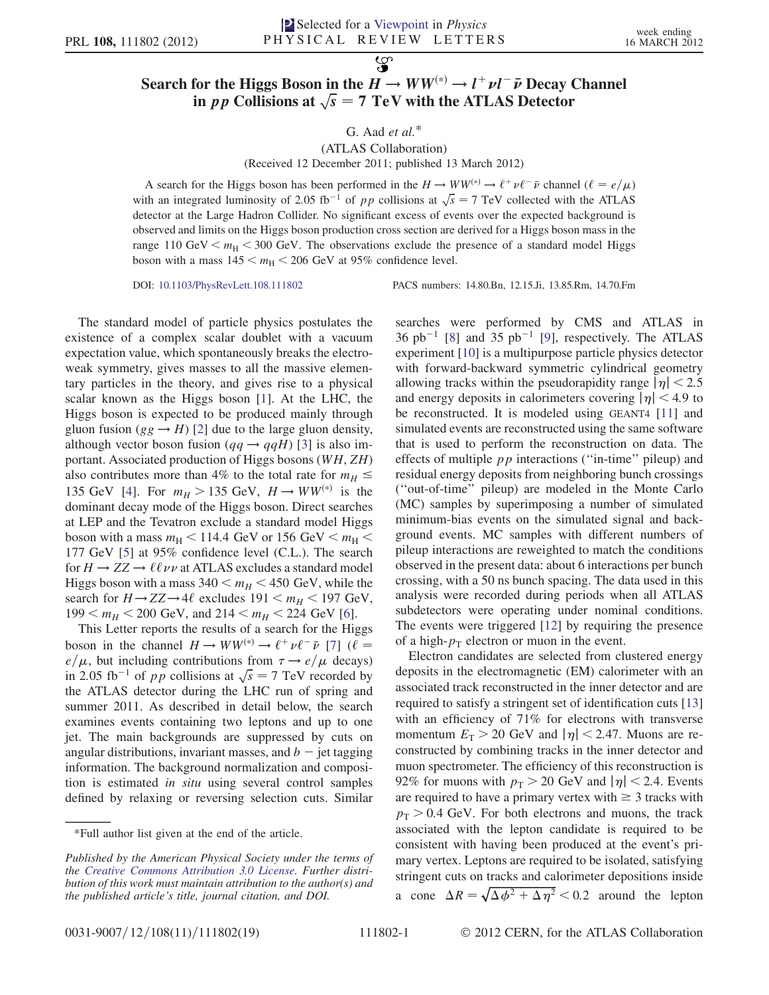## Search for the Higgs Boson in the  $H \to WW^{(*)} \to l^+ \nu l^- \bar{\nu}$  Decay Channel<br>in *nn* Collisions at  $\sqrt{s} = 7$  TeV with the ATLAS Detector in pp Collisions at  $\sqrt{s} = 7$  TeV with the ATLAS Detector

 $\mathcal{L}$ 

## G. Aad et al.\*

## (ATLAS Collaboration) (Received 12 December 2011; published 13 March 2012)

A search for the Higgs boson has been performed in the  $H \to WW^{(*)} \to \ell^+ \nu \ell^- \bar{\nu}$  channel  $(\ell = e/\mu)$ <br>th an integrated luminosity of 2.05 fb<sup>-1</sup> of an collisions at  $\sqrt{e} = 7$  TeV collected with the ATLAS with an integrated luminosity of 2.05 fb<sup>-1</sup> of pp collisions at  $\sqrt{s} = 7$  TeV collected with the ATLAS detector at the Large Hadron Collider. No significant excess of events over the expected background is observed and limits on the Higgs boson production cross section are derived for a Higgs boson mass in the range 110 GeV  $\lt m_H \lt 300$  GeV. The observations exclude the presence of a standard model Higgs boson with a mass  $145 < m_H < 206$  GeV at 95% confidence level.

DOI: [10.1103/PhysRevLett.108.111802](http://dx.doi.org/10.1103/PhysRevLett.108.111802) PACS numbers: 14.80.Bn, 12.15.Ji, 13.85.Rm, 14.70.Fm

The standard model of particle physics postulates the existence of a complex scalar doublet with a vacuum expectation value, which spontaneously breaks the electroweak symmetry, gives masses to all the massive elementary particles in the theory, and gives rise to a physical scalar known as the Higgs boson [\[1\]](#page-4-0). At the LHC, the Higgs boson is expected to be produced mainly through gluon fusion ( $gg \to H$ ) [\[2](#page-4-1)] due to the large gluon density, although vector boson fusion ( $qq \rightarrow qqH$ ) [[3](#page-4-2)] is also important. Associated production of Higgs bosons (WH, ZH) also contributes more than 4% to the total rate for  $m_H \leq$ 135 GeV [\[4](#page-4-3)]. For  $m_H > 135$  GeV,  $H \rightarrow WW^{(*)}$  is the dominant decay mode of the Higgs boson. Direct searches at LEP and the Tevatron exclude a standard model Higgs boson with a mass  $m_H < 114.4$  GeV or 156 GeV  $< m_H <$ 177 GeV [\[5](#page-4-4)] at 95% confidence level (C.L.). The search for  $H \to ZZ \to \ell \ell \nu \nu$  at ATLAS excludes a standard model Higgs boson with a mass  $340 < m_H < 450$  GeV, while the search for  $H \rightarrow ZZ \rightarrow 4\ell$  excludes  $191 \le m_H \le 197$  GeV,  $199 < m_H < 200$  GeV, and  $214 < m_H < 224$  GeV [[6\]](#page-4-5).

This Letter reports the results of a search for the Higgs boson in the channel  $H \to WW^{(*)} \to \ell^+ \nu \ell^- \bar{\nu}$  [[7](#page-4-6)] ( $\ell =$ <br>e/u but including contributions from  $\tau \to e/\mu$  decays) in 2.05 fb<sup>-1</sup> of pp collisions at  $\sqrt{s} = 7$  TeV recorded by<br>the ATI AS detector during the LHC run of spring and , but including contributions from  $\tau \rightarrow e/\mu$  decays)<br>05 fb<sup>-1</sup> of *nn* collisions at  $\sqrt{s} = 7$  TeV recorded by the ATLAS detector during the LHC run of spring and summer 2011. As described in detail below, the search examines events containing two leptons and up to one jet. The main backgrounds are suppressed by cuts on angular distributions, invariant masses, and  $b - j$ et tagging<br>information. The background normalization and composiinformation. The background normalization and composition is estimated in situ using several control samples defined by relaxing or reversing selection cuts. Similar searches were performed by CMS and ATLAS in  $36 \text{ pb}^{-1}$  [[8\]](#page-4-7) and  $35 \text{ pb}^{-1}$  [[9\]](#page-4-8), respectively. The ATLAS experiment [[10](#page-4-9)] is a multipurpose particle physics detector with forward-backward symmetric cylindrical geometry allowing tracks within the pseudorapidity range  $|\eta|$  < 2.5 and energy deposits in calorimeters covering  $|\eta|$  < 4.9 to be reconstructed. It is modeled using GEANT4 [\[11\]](#page-4-10) and simulated events are reconstructed using the same software that is used to perform the reconstruction on data. The effects of multiple  $pp$  interactions ("in-time" pileup) and residual energy deposits from neighboring bunch crossings (''out-of-time'' pileup) are modeled in the Monte Carlo (MC) samples by superimposing a number of simulated minimum-bias events on the simulated signal and background events. MC samples with different numbers of pileup interactions are reweighted to match the conditions observed in the present data: about 6 interactions per bunch crossing, with a 50 ns bunch spacing. The data used in this analysis were recorded during periods when all ATLAS subdetectors were operating under nominal conditions. The events were triggered [[12](#page-4-11)] by requiring the presence of a high- $p_T$  electron or muon in the event.

Electron candidates are selected from clustered energy deposits in the electromagnetic (EM) calorimeter with an associated track reconstructed in the inner detector and are required to satisfy a stringent set of identification cuts [\[13\]](#page-4-12) with an efficiency of 71% for electrons with transverse momentum  $E_T > 20$  GeV and  $|\eta| < 2.47$ . Muons are reconstructed by combining tracks in the inner detector and muon spectrometer. The efficiency of this reconstruction is 92% for muons with  $p_T > 20$  GeV and  $|\eta| < 2.4$ . Events are required to have a primary vertex with  $\geq 3$  tracks with  $p_T > 0.4$  GeV. For both electrons and muons, the track associated with the lepton candidate is required to be consistent with having been produced at the event's primary vertex. Leptons are required to be isolated, satisfying stringent cuts on tracks and calorimeter depositions inside a cone  $\Delta R = \sqrt{\Delta \phi^2 + \Delta \eta^2} < 0.2$  around the lepton

<sup>\*</sup>Full author list given at the end of the article.

Published by the American Physical Society under the terms of the [Creative Commons Attribution 3.0 License.](http://creativecommons.org/licenses/by/3.0/) Further distribution of this work must maintain attribution to the author(s) and the published article's title, journal citation, and DOI.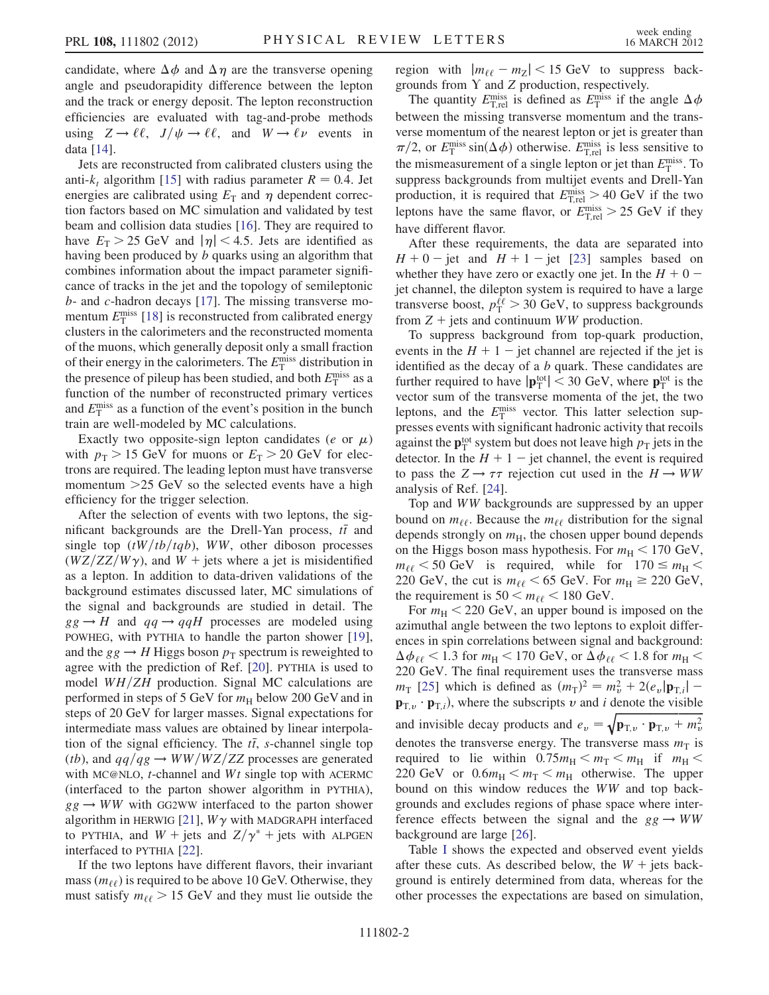candidate, where  $\Delta \phi$  and  $\Delta \eta$  are the transverse opening<br>angle and pseudorapidity difference between the lepton angle and pseudorapidity difference between the lepton and the track or energy deposit. The lepton reconstruction efficiencies are evaluated with tag-and-probe methods using  $Z \to \ell \ell$ ,  $J/\psi \to \ell \ell$ , and  $W \to \ell \nu$  events in data [[14](#page-4-13)].

Jets are reconstructed from calibrated clusters using the anti- $k_t$  algorithm [[15\]](#page-4-14) with radius parameter  $R = 0.4$ . Jet energies are calibrated using  $E_T$  and  $\eta$  dependent correction factors based on MC simulation and validated by test beam and collision data studies [\[16\]](#page-4-15). They are required to have  $E_T > 25$  GeV and  $|\eta| < 4.5$ . Jets are identified as having been produced by b quarks using an algorithm that combines information about the impact parameter significance of tracks in the jet and the topology of semileptonic b- and c-hadron decays [\[17\]](#page-4-16). The missing transverse momentum  $E_T^{\text{miss}}$  [[18](#page-4-17)] is reconstructed from calibrated energy<br>clusters in the calorimeters and the reconstructed momenta clusters in the calorimeters and the reconstructed momenta of the muons, which generally deposit only a small fraction of their energy in the calorimeters. The  $E_{\rm T}^{\rm miss}$  distribution in<br>the presence of pileup has been studied, and both  $F^{\rm miss}$  as a the presence of pileup has been studied, and both  $E_{\rm T}^{\rm miss}$  as a function of the number of reconstructed primary vertices function of the number of reconstructed primary vertices and  $E_T^{\text{miss}}$  as a function of the event's position in the bunch<br>train are well-modeled by MC calculations train are well-modeled by MC calculations.

Exactly two opposite-sign lepton candidates (*e* or  $\mu$ )<br>th  $n<sub>n</sub> > 15$  GeV for muons or  $F_n > 20$  GeV for elecwith  $p_T > 15$  GeV for muons or  $E_T > 20$  GeV for electrons are required. The leading lepton must have transverse momentum >25 GeV so the selected events have a high efficiency for the trigger selection.

After the selection of events with two leptons, the significant backgrounds are the Drell-Yan process,  $t\bar{t}$  and<br>single top  $(tW/th/tah)$  WW other diboson processes single top  $(tW/tb/tqb)$ , WW, other diboson processes  $(WZ/ZZ/W\gamma)$ , and  $W$  + jets where a jet is misidentified as a lepton. In addition to data-driven validations of the background estimates discussed later, MC simulations of the signal and backgrounds are studied in detail. The  $gg \rightarrow H$  and  $qq \rightarrow qqH$  processes are modeled using POWHEG, with PYTHIA to handle the parton shower [\[19\]](#page-4-18), and the  $gg \to H$  Higgs boson  $p<sub>T</sub>$  spectrum is reweighted to agree with the prediction of Ref. [[20](#page-4-19)]. PYTHIA is used to model  $WH/ZH$  production. Signal MC calculations are performed in steps of 5 GeV for  $m<sub>H</sub>$  below 200 GeV and in steps of 20 GeV for larger masses. Signal expectations for intermediate mass values are obtained by linear interpolation of the signal efficiency. The  $t\bar{t}$ , s-channel single top  $(th)$  and  $aa/aa \rightarrow WW/WZ/ZZ$  processes are generated (*tb*), and  $qq/qg \rightarrow WW/WZ/ZZ$  processes are generated with MC@NLO,  $t$ -channel and  $Wt$  single top with ACERMC (interfaced to the parton shower algorithm in PYTHIA),  $gg \rightarrow WW$  with GG2WW interfaced to the parton shower algorithm in HERWIG [\[21\]](#page-4-20),  $W\gamma$  with MADGRAPH interfaced to PYTHIA, and  $W + \text{jets}$  and  $Z/\gamma^* + \text{jets}$  with ALPGEN interfaced to PYTHIA [\[22\]](#page-4-21).

If the two leptons have different flavors, their invariant mass ( $m_{\ell\ell}$ ) is required to be above 10 GeV. Otherwise, they must satisfy  $m_{\ell\ell} > 15$  GeV and they must lie outside the

region with  $|m_{\ell\ell} - m_Z| < 15 \text{ GeV}$  to suppress back-<br>grounds from Y and Z production respectively grounds from  $Y$  and  $Z$  production, respectively.

The quantity  $E_{\text{T,rel}}^{\text{miss}}$  is defined as  $E_{\text{T}}^{\text{miss}}$  if the angle  $\Delta$ <br>tween the missing transverse momentum and the trans between the missing transverse momentum and the transverse momentum of the nearest lepton or jet is greater than  $\pi/2$ , or  $E_{\rm T}^{\rm miss} \sin(\Delta \phi)$  otherwise.  $E_{\rm T,rel}^{\rm miss}$  is less sensitive to the mismon proportion of a single lapton or jet than  $E_{\rm miss}^{\rm miss}$ . the mismeasurement of a single lepton or jet than  $E_T^{\text{miss}}$ . To suppress backgrounds from multijet events and  $D_T$ ell-Yan suppress backgrounds from multijet events and Drell-Yan production, it is required that  $E_{\text{T,rel}}^{\text{miss}} > 40 \text{ GeV}$  if the two<br>lontons have the same flavor,  $E_{\text{miss}}^{\text{miss}} > 25 \text{ GeV}$  if they leptons have the same flavor, or  $E_{\text{T,rel}}^{\text{miss}} > 25 \text{ GeV}$  if they have different flavor.

After these requirements, the data are separated into  $H + 0$  – jet and  $H + 1$  – jet [[23](#page-4-22)] samples based on<br>whether they have zero or exactly one jet In the  $H + 0$  – whether they have zero or exactly one jet. In the  $H + 0$  -<br>iet channel, the dilenton system is required to have a large jet channel, the dilepton system is required to have a large transverse boost,  $p_1^{\ell\ell} > 30$  GeV, to suppress backgrounds<br>from  $Z + \text{jets}$  and continuum WW production from  $Z$  + jets and continuum WW production.

To suppress background from top-quark production, events in the  $H + 1$  - jet channel are rejected if the jet is<br>identified as the decay of a *b* quark. These candidates are identified as the decay of a  $b$  quark. These candidates are further required to have  $|\mathbf{p}_{\text{T}}^{\text{tot}}| < 30$  GeV, where  $\mathbf{p}_{\text{T}}^{\text{tot}}$  is the vector sum of the transverse momenta of the jet the two vector sum of the transverse momenta of the jet, the two leptons, and the  $E_T^{\text{miss}}$  vector. This latter selection sup-<br>presses events with significant hadronic activity that recoils presses events with significant hadronic activity that recoils against the  $\mathbf{p}_T^{\text{tot}}$  system but does not leave high  $p_T$  jets in the detector. In the  $H + 1$  – jet channel, the event is required detector. In the  $H + 1$  - jet channel, the event is required<br>to pass the  $Z \rightarrow \tau \tau$  rejection cut used in the  $H \rightarrow WW$ to pass the  $Z \rightarrow \tau \tau$  rejection cut used in the  $H \rightarrow WW$ analysis of Ref. [[24](#page-4-23)].

Top and WW backgrounds are suppressed by an upper bound on  $m_{\ell\ell}$ . Because the  $m_{\ell\ell}$  distribution for the signal depends strongly on  $m_H$ , the chosen upper bound depends on the Higgs boson mass hypothesis. For  $m_H < 170$  GeV,  $m_{\ell\ell}$  < 50 GeV is required, while for  $170 \le m_{\rm H}$  < 220 GeV, the cut is  $m_{\ell\ell} < 65$  GeV. For  $m_H \ge 220$  GeV, the requirement is  $50 < m_{\ell\ell} < 180$  GeV.

For  $m_{\rm H}$  < 220 GeV, an upper bound is imposed on the azimuthal angle between the two leptons to exploit differences in spin correlations between signal and background:  $\Delta\phi_{\ell\ell}$  < 1.3 for  $m_{\rm H}$  < 170 GeV, or  $\Delta\phi_{\ell\ell}$  < 1.8 for  $m_{\rm H}$  < 220 GeV. The final requirement uses the transverse mass 220 GeV. The final requirement uses the transverse mass  $m_{\text{T}}$  [[25](#page-5-0)] which is defined as  $(m_{\text{T}})^2 = m_v^2 + 2(e_v|\mathbf{p}_{\text{T},i}| - \mathbf{p}_{\text{T},i})$  where the subscripts u and i denote the visible  $\mathbf{p}_{\text{T},v} \cdot \mathbf{p}_{\text{T},i}$ , where the subscripts v and i denote the visible and invisible decay products and  $e_v = \sqrt{\mathbf{p}_{\text{T},v} \cdot \mathbf{p}_{\text{T},v} + m_v^2}$ denotes the transverse energy. The transverse mass  $m_T$  is<br>required to lie within 0.75 $m_T < m_T < m_T$  if  $m_T <$ required to lie within  $0.75m_{\rm H} < m_{\rm T} < m_{\rm H}$  if  $m_{\rm H} <$ 220 GeV or  $0.6m_H < m_T < m_H$  otherwise. The upper bound on this window reduces the WW and top backgrounds and excludes regions of phase space where interference effects between the signal and the  $gg \rightarrow WW$ background are large [[26](#page-5-1)].

Table [I](#page-2-0) shows the expected and observed event yields after these cuts. As described below, the  $W +$  jets background is entirely determined from data, whereas for the other processes the expectations are based on simulation,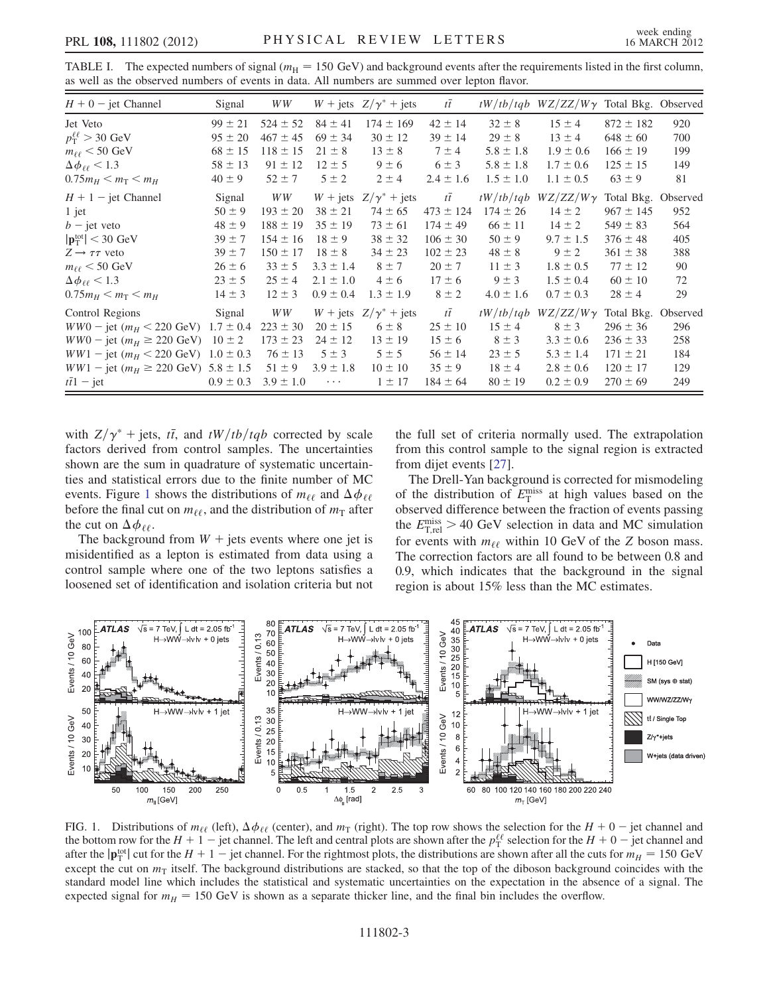| $H + 0$ – jet Channel                                        | Signal        | WW            |               | $W + \text{jets } Z/\gamma^* + \text{jets}$ | $t\bar{t}$    |               | $tW/tb/tqb$ WZ/ZZ/W $\gamma$ Total Bkg. Observed |               |          |
|--------------------------------------------------------------|---------------|---------------|---------------|---------------------------------------------|---------------|---------------|--------------------------------------------------|---------------|----------|
| Jet Veto                                                     | $99 \pm 21$   | $524 \pm 52$  | $84 \pm 41$   | $174 \pm 169$                               | $42 \pm 14$   | $32 \pm 8$    | $15 \pm 4$                                       | $872 \pm 182$ | 920      |
| $p_{\rm T}^{\ell\ell}$ > 30 GeV                              | $95 \pm 20$   | $467 \pm 45$  | $69 \pm 34$   | $30 \pm 12$                                 | $39 \pm 14$   | $29 \pm 8$    | $13 \pm 4$                                       | $648 \pm 60$  | 700      |
| $m_{\ell\ell}$ < 50 GeV                                      | $68 \pm 15$   | $118 \pm 15$  | $21 \pm 8$    | $13 \pm 8$                                  | $7 \pm 4$     | $5.8 \pm 1.8$ | $1.9 \pm 0.6$                                    | $166 \pm 19$  | 199      |
| $\Delta \phi_{\ell\ell}$ < 1.3                               | $58 \pm 13$   | $91 \pm 12$   | $12 \pm 5$    | $9 \pm 6$                                   | $6 \pm 3$     | $5.8 \pm 1.8$ | $1.7 \pm 0.6$                                    | $125 \pm 15$  | 149      |
| $0.75m_H < m_T < m_H$                                        | $40 \pm 9$    | $52 \pm 7$    | $5 \pm 2$     | $2 \pm 4$                                   | $2.4 \pm 1.6$ | $1.5 \pm 1.0$ | $1.1 \pm 0.5$                                    | $63 \pm 9$    | 81       |
| $H + 1$ – jet Channel                                        | Signal        | WW            |               | $W + \text{jets } Z/\gamma^* + \text{jets}$ | $t\bar{t}$    |               | $tW/tb/tqb$ $WZ/ZZ/W\gamma$                      | Total Bkg.    | Observed |
| $1$ jet                                                      | $50 \pm 9$    | $193 \pm 20$  | $38 \pm 21$   | $74 \pm 65$                                 | $473 \pm 124$ | $174 \pm 26$  | $14 \pm 2$                                       | $967 \pm 145$ | 952      |
| $b$ – jet veto                                               | $48 \pm 9$    | $188 \pm 19$  | $35 \pm 19$   | $73 \pm 61$                                 | $174 \pm 49$  | $66 \pm 11$   | $14 \pm 2$                                       | $549 \pm 83$  | 564      |
| $ \mathbf{p}^{\text{tot}}_{\text{T}}  < 30 \text{ GeV}$      | $39 \pm 7$    | $154 \pm 16$  | $18 \pm 9$    | $38 \pm 32$                                 | $106 \pm 30$  | $50 \pm 9$    | $9.7 \pm 1.5$                                    | $376 \pm 48$  | 405      |
| $Z \rightarrow \tau \tau$ veto                               | $39 \pm 7$    | $150 \pm 17$  | $18 \pm 8$    | $34 \pm 23$                                 | $102 \pm 23$  | $48 \pm 8$    | $9 \pm 2$                                        | $361 \pm 38$  | 388      |
| $m_{\ell\ell}$ < 50 GeV                                      | $26 \pm 6$    | $33 \pm 5$    | $3.3 \pm 1.4$ | $8 \pm 7$                                   | $20 \pm 7$    | $11 \pm 3$    | $1.8 \pm 0.5$                                    | $77 \pm 12$   | 90       |
| $\Delta \phi_{\ell\ell}$ < 1.3                               | $23 \pm 5$    | $25 \pm 4$    | $2.1 \pm 1.0$ | $4 \pm 6$                                   | $17 \pm 6$    | $9 \pm 3$     | $1.5 \pm 0.4$                                    | $60 \pm 10$   | 72       |
| $0.75m_H < m_T < m_H$                                        | $14 \pm 3$    | $12 \pm 3$    | $0.9 \pm 0.4$ | $1.3 \pm 1.9$                               | $8 \pm 2$     | $4.0 \pm 1.6$ | $0.7 \pm 0.3$                                    | $28 \pm 4$    | 29       |
| Control Regions                                              | Signal        | WW            |               | $W + \text{jets } Z/\gamma^* + \text{jets}$ | $t\bar{t}$    | tW/tb/tqb     | $WZ/ZZ/W\gamma$                                  | Total Bkg.    | Observed |
| $WW0 - \text{jet } (m_H < 220 \text{ GeV})$ 1.7 ± 0.4        |               | $223 \pm 30$  | $20 \pm 15$   | $6 \pm 8$                                   | $25 \pm 10$   | $15 \pm 4$    | $8 \pm 3$                                        | $296 \pm 36$  | 296      |
| $WW0 - \text{jet } (m_H \ge 220 \text{ GeV})$ 10 ± 2         |               | $173 \pm 23$  | $24 \pm 12$   | $13 \pm 19$                                 | $15 \pm 6$    | $8 \pm 3$     | $3.3 \pm 0.6$                                    | $236 \pm 33$  | 258      |
| $WW1 - \text{jet}$ ( $m_H < 220 \text{ GeV}$ ) $1.0 \pm 0.3$ |               | $76 \pm 13$   | $5 \pm 3$     | $5 \pm 5$                                   | $56 \pm 14$   | $23 \pm 5$    | $5.3 \pm 1.4$                                    | $171 \pm 21$  | 184      |
| $WW1 - \text{jet } (m_H \geq 220 \text{ GeV})$ 5.8 ± 1.5     |               | $51 \pm 9$    | $3.9 \pm 1.8$ | $10 \pm 10$                                 | $35 \pm 9$    | $18 \pm 4$    | $2.8 \pm 0.6$                                    | $120 \pm 17$  | 129      |
| $t\bar{t}1$ – jet                                            | $0.9 \pm 0.3$ | $3.9 \pm 1.0$ | $\ldots$ .    | $1 \pm 17$                                  | $184 \pm 64$  | $80 \pm 19$   | $0.2 \pm 0.9$                                    | $270 \pm 69$  | 249      |

<span id="page-2-0"></span>TABLE I. The expected numbers of signal ( $m<sub>H</sub> = 150$  GeV) and background events after the requirements listed in the first column, as well as the observed numbers of events in data. All numbers are summed over lepton flavor.

with  $Z/\gamma^*$  + jets, t $\bar{t}$ , and  $tW/tb/tqb$  corrected by scale factors derived from control samples. The uncertainties factors derived from control samples. The uncertainties shown are the sum in quadrature of systematic uncertainties and statistical errors due to the finite number of MC events. Figure [1](#page-2-1) shows the distributions of  $m_{\ell\ell}$  and  $\Delta \phi_{\ell\ell}$ before the final cut on  $m_{\ell\ell}$ , and the distribution of  $m_{\text{T}}$  after<br>the cut on  $\Delta \phi_{\ell\ell}$ the cut on  $\Delta \phi_{\ell\ell}$ .<br>The background

The background from  $W +$  jets events where one jet is misidentified as a lepton is estimated from data using a control sample where one of the two leptons satisfies a loosened set of identification and isolation criteria but not the full set of criteria normally used. The extrapolation from this control sample to the signal region is extracted from dijet events [\[27\]](#page-5-2).

The Drell-Yan background is corrected for mismodeling of the distribution of  $E_T^{\text{miss}}$  at high values based on the observed difference between the fraction of events passing observed difference between the fraction of events passing the  $E_{\text{T,rel}}^{\text{miss}} > 40 \text{ GeV}$  selection in data and MC simulation<br>for events with m<sub>u</sub> within 10 GeV of the 7 boson mass for events with  $m_{\ell\ell}$  within 10 GeV of the Z boson mass. The correction factors are all found to be between 0.8 and 0.9, which indicates that the background in the signal region is about 15% less than the MC estimates.

<span id="page-2-1"></span>

FIG. 1. Distributions of  $m_{\ell\ell}$  (left),  $\Delta \phi_{\ell\ell}$  (center), and  $m_{\text{T}}$  (right). The top row shows the selection for the  $H + 0$  - jet channel and the hottom row for the  $H + 1$  - iet channel The left and central plo the bottom row for the  $H + 1$  – jet channel. The left and central plots are shown after the  $p_t^{\ell\ell}$  selection for the  $H + 0$  – jet channel and after the ln<sup>tot</sup>l cut for the  $H + 1$  – iet channel. For the rightmost plot after the  $|\mathbf{p}_{\text{I}}^{\text{tot}}|$  cut for the  $H + 1 - \text{jet}$  channel. For the rightmost plots, the distributions are shown after all the cuts for  $m_H = 150 \text{ GeV}$ <br>except the cut on  $m_{\text{m}}$  itself. The background distributions except the cut on  $m<sub>T</sub>$  itself. The background distributions are stacked, so that the top of the diboson background coincides with the standard model line which includes the statistical and systematic uncertainties on the expectation in the absence of a signal. The expected signal for  $m_H = 150$  GeV is shown as a separate thicker line, and the final bin includes the overflow.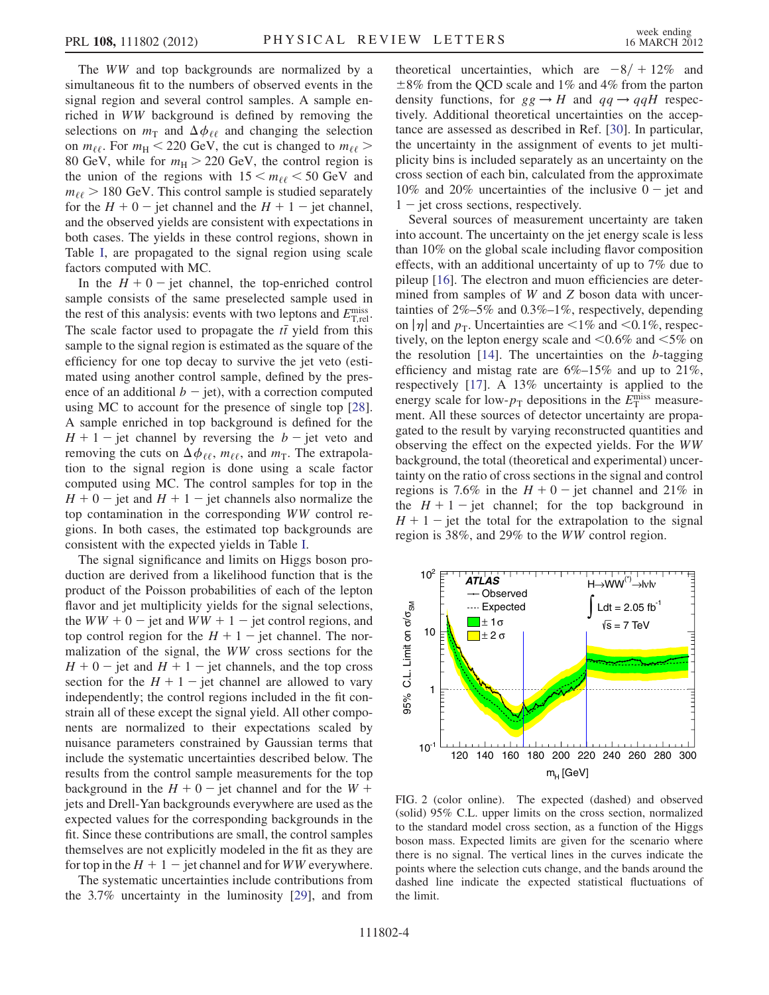The WW and top backgrounds are normalized by a simultaneous fit to the numbers of observed events in the signal region and several control samples. A sample enriched in WW background is defined by removing the selections on  $m_{\text{T}}$  and  $\Delta \phi_{\ell\ell}$  and changing the selection<br>on  $m_{\ell\ell}$ . For  $m_{\nu}$  < 220 GeV the cut is changed to  $m_{\ell\ell}$  > on  $m_{\ell\ell}$ . For  $m_H < 220$  GeV, the cut is changed to  $m_{\ell\ell} >$ 80 GeV, while for  $m_H > 220$  GeV, the control region is the union of the regions with  $15 \le m_{\ell\ell} \le 50$  GeV and  $m_{\ell\ell}$  > 180 GeV. This control sample is studied separately for the  $H + 0$  – jet channel and the  $H + 1$  – jet channel,<br>and the observed vields are consistent with expectations in and the observed yields are consistent with expectations in both cases. The yields in these control regions, shown in Table [I](#page-2-0), are propagated to the signal region using scale factors computed with MC.

In the  $H + 0$  – jet channel, the top-enriched control<br>mple consists of the same preselected sample used in sample consists of the same preselected sample used in the rest of this analysis: events with two leptons and  $E_{\text{T,rel}}^{\text{miss}}$ .<br>The scale factor used to proposate the  $t\bar{t}$  yield from this The scale factor used to propagate the  $t\bar{t}$  yield from this<br>sample to the signal region is estimated as the square of the sample to the signal region is estimated as the square of the efficiency for one top decay to survive the jet veto (estimated using another control sample, defined by the presence of an additional  $b - \text{jet}$ , with a correction computed<br>using MC to account for the presence of single top [28] using MC to account for the presence of single top [\[28\]](#page-5-3). A sample enriched in top background is defined for the  $H + 1$  – jet channel by reversing the  $b$  – jet veto and<br>removing the cuts on  $\Delta \phi_{\text{new}}$  mee and  $m_{\text{new}}$ . The extrapolaremoving the cuts on  $\Delta \phi_{\ell\ell}$ ,  $m_{\ell\ell}$ , and  $m_T$ . The extrapolation to the signal region is done using a scale factor tion to the signal region is done using a scale factor computed using MC. The control samples for top in the  $H + 0$  – jet and  $H + 1$  – jet channels also normalize the<br>top contamination in the corresponding WW control retop contamination in the corresponding WW control regions. In both cases, the estimated top backgrounds are consistent with the expected yields in Table [I.](#page-2-0)

The signal significance and limits on Higgs boson production are derived from a likelihood function that is the product of the Poisson probabilities of each of the lepton flavor and jet multiplicity yields for the signal selections, the  $WW + 0$  - jet and  $WW + 1$  - jet control regions, and<br>top control region for the  $H + 1$  - jet channel. The portop control region for the  $H + 1$  – jet channel. The nor-<br>malization of the signal, the WW cross sections for the malization of the signal, the WW cross sections for the  $H + 0$  – jet and  $H + 1$  – jet channels, and the top cross<br>section for the  $H + 1$  – jet channel are allowed to vary section for the  $H + 1$  - jet channel are allowed to vary<br>independently: the control regions included in the fit conindependently; the control regions included in the fit constrain all of these except the signal yield. All other components are normalized to their expectations scaled by nuisance parameters constrained by Gaussian terms that include the systematic uncertainties described below. The results from the control sample measurements for the top background in the  $H + 0$  – jet channel and for the  $W +$ <br>jets and Drell-Yan backgrounds everywhere are used as the jets and Drell-Yan backgrounds everywhere are used as the expected values for the corresponding backgrounds in the fit. Since these contributions are small, the control samples themselves are not explicitly modeled in the fit as they are for top in the  $H + 1$  – jet channel and for *WW* everywhere.<br>The systematic uncertainties include contributions from

The systematic uncertainties include contributions from the 3.7% uncertainty in the luminosity [\[29\]](#page-5-4), and from

theoretical uncertainties, which are  $-8/ + 12\%$  and  $+8\%$  from the parton  $\pm 8\%$  from the QCD scale and 1% and 4% from the parton density functions, for  $gg \to H$  and  $qq \to qqH$  respectively. Additional theoretical uncertainties on the acceptance are assessed as described in Ref. [[30](#page-5-5)]. In particular, the uncertainty in the assignment of events to jet multiplicity bins is included separately as an uncertainty on the cross section of each bin, calculated from the approximate 10% and 20% uncertainties of the inclusive  $0 - jet$  and 1 - jet cross sections, respectively.

Several sources of measurement uncertainty are taken into account. The uncertainty on the jet energy scale is less than 10% on the global scale including flavor composition effects, with an additional uncertainty of up to 7% due to pileup [[16](#page-4-15)]. The electron and muon efficiencies are determined from samples of W and Z boson data with uncertainties of 2%–5% and 0.3%–1%, respectively, depending on  $|\eta|$  and  $p_T$ . Uncertainties are <1% and <0.1%, respectively, on the lepton energy scale and  $\leq 0.6\%$  and  $\leq 5\%$  on the resolution  $[14]$  $[14]$  $[14]$ . The uncertainties on the b-tagging efficiency and mistag rate are  $6\%-15\%$  and up to  $21\%$ , respectively [\[17\]](#page-4-16). A 13% uncertainty is applied to the energy scale for low- $p_T$  depositions in the  $E_T^{\text{miss}}$  measure-<br>ment. All these sources of detector uncertainty are propament. All these sources of detector uncertainty are propagated to the result by varying reconstructed quantities and observing the effect on the expected yields. For the WW background, the total (theoretical and experimental) uncertainty on the ratio of cross sections in the signal and control regions is 7.6% in the  $H + 0$  – jet channel and 21% in<br>the  $H + 1$  – jet channel; for the top background in the  $H + 1$  – jet channel; for the top background in  $H + 1$  – jet the total for the extrapolation to the signal  $H + 1$  – jet the total for the extrapolation to the signal<br>region is 38% and 29% to the WW control region region is 38%, and 29% to the WW control region.

<span id="page-3-0"></span>

FIG. 2 (color online). The expected (dashed) and observed (solid) 95% C.L. upper limits on the cross section, normalized to the standard model cross section, as a function of the Higgs boson mass. Expected limits are given for the scenario where there is no signal. The vertical lines in the curves indicate the points where the selection cuts change, and the bands around the dashed line indicate the expected statistical fluctuations of the limit.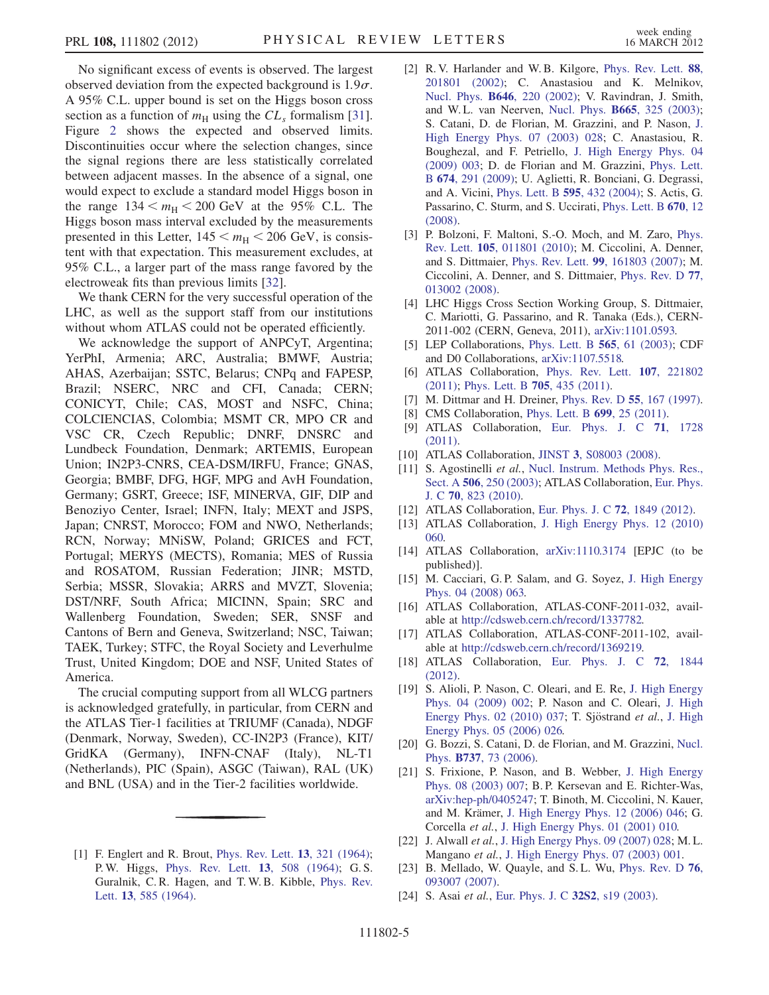No significant excess of events is observed. The largest observed deviation from the expected background is  $1.9\sigma$ . A 95% C.L. upper bound is set on the Higgs boson cross section as a function of  $m<sub>H</sub>$  using the  $CL<sub>s</sub>$  formalism [[31\]](#page-5-6). Figure [2](#page-3-0) shows the expected and observed limits. Discontinuities occur where the selection changes, since the signal regions there are less statistically correlated between adjacent masses. In the absence of a signal, one would expect to exclude a standard model Higgs boson in the range  $134 < m_H < 200$  GeV at the 95% C.L. The Higgs boson mass interval excluded by the measurements presented in this Letter,  $145 < m_H < 206$  GeV, is consistent with that expectation. This measurement excludes, at 95% C.L., a larger part of the mass range favored by the electroweak fits than previous limits [[32](#page-5-7)].

We thank CERN for the very successful operation of the LHC, as well as the support staff from our institutions without whom ATLAS could not be operated efficiently.

We acknowledge the support of ANPCyT, Argentina; YerPhI, Armenia; ARC, Australia; BMWF, Austria; AHAS, Azerbaijan; SSTC, Belarus; CNPq and FAPESP, Brazil; NSERC, NRC and CFI, Canada; CERN; CONICYT, Chile; CAS, MOST and NSFC, China; COLCIENCIAS, Colombia; MSMT CR, MPO CR and VSC CR, Czech Republic; DNRF, DNSRC and Lundbeck Foundation, Denmark; ARTEMIS, European Union; IN2P3-CNRS, CEA-DSM/IRFU, France; GNAS, Georgia; BMBF, DFG, HGF, MPG and AvH Foundation, Germany; GSRT, Greece; ISF, MINERVA, GIF, DIP and Benoziyo Center, Israel; INFN, Italy; MEXT and JSPS, Japan; CNRST, Morocco; FOM and NWO, Netherlands; RCN, Norway; MNiSW, Poland; GRICES and FCT, Portugal; MERYS (MECTS), Romania; MES of Russia and ROSATOM, Russian Federation; JINR; MSTD, Serbia; MSSR, Slovakia; ARRS and MVZT, Slovenia; DST/NRF, South Africa; MICINN, Spain; SRC and Wallenberg Foundation, Sweden; SER, SNSF and Cantons of Bern and Geneva, Switzerland; NSC, Taiwan; TAEK, Turkey; STFC, the Royal Society and Leverhulme Trust, United Kingdom; DOE and NSF, United States of America.

The crucial computing support from all WLCG partners is acknowledged gratefully, in particular, from CERN and the ATLAS Tier-1 facilities at TRIUMF (Canada), NDGF (Denmark, Norway, Sweden), CC-IN2P3 (France), KIT/ GridKA (Germany), INFN-CNAF (Italy), NL-T1 (Netherlands), PIC (Spain), ASGC (Taiwan), RAL (UK) and BNL (USA) and in the Tier-2 facilities worldwide.

<span id="page-4-0"></span>[1] F. Englert and R. Brout, [Phys. Rev. Lett.](http://dx.doi.org/10.1103/PhysRevLett.13.321) 13, 321 (1964); P. W. Higgs, [Phys. Rev. Lett.](http://dx.doi.org/10.1103/PhysRevLett.13.508) 13, 508 (1964); G. S. Guralnik, C. R. Hagen, and T. W. B. Kibble, [Phys. Rev.](http://dx.doi.org/10.1103/PhysRevLett.13.585) Lett. 13[, 585 \(1964\).](http://dx.doi.org/10.1103/PhysRevLett.13.585)

- <span id="page-4-1"></span>[2] R.V. Harlander and W.B. Kilgore, [Phys. Rev. Lett.](http://dx.doi.org/10.1103/PhysRevLett.88.201801) 88, [201801 \(2002\)](http://dx.doi.org/10.1103/PhysRevLett.88.201801); C. Anastasiou and K. Melnikov, Nucl. Phys. B646[, 220 \(2002\);](http://dx.doi.org/10.1016/S0550-3213(02)00837-4) V. Ravindran, J. Smith, and W. L. van Neerven, Nucl. Phys. B665[, 325 \(2003\)](http://dx.doi.org/10.1016/S0550-3213(03)00457-7); S. Catani, D. de Florian, M. Grazzini, and P. Nason, [J.](http://dx.doi.org/10.1088/1126-6708/2003/07/028) [High Energy Phys. 07 \(2003\) 028](http://dx.doi.org/10.1088/1126-6708/2003/07/028); C. Anastasiou, R. Boughezal, and F. Petriello, [J. High Energy Phys. 04](http://dx.doi.org/10.1088/1126-6708/2009/04/003) [\(2009\) 003](http://dx.doi.org/10.1088/1126-6708/2009/04/003); D. de Florian and M. Grazzini, [Phys. Lett.](http://dx.doi.org/10.1016/j.physletb.2009.03.033) <sup>B</sup> 674[, 291 \(2009\);](http://dx.doi.org/10.1016/j.physletb.2009.03.033) U. Aglietti, R. Bonciani, G. Degrassi, and A. Vicini, [Phys. Lett. B](http://dx.doi.org/10.1016/j.physletb.2004.06.063) 595, 432 (2004); S. Actis, G. Passarino, C. Sturm, and S. Uccirati, [Phys. Lett. B](http://dx.doi.org/10.1016/j.physletb.2008.10.018) 670, 12 [\(2008\)](http://dx.doi.org/10.1016/j.physletb.2008.10.018).
- <span id="page-4-2"></span>[3] P. Bolzoni, F. Maltoni, S.-O. Moch, and M. Zaro, [Phys.](http://dx.doi.org/10.1103/PhysRevLett.105.011801) Rev. Lett. 105[, 011801 \(2010\);](http://dx.doi.org/10.1103/PhysRevLett.105.011801) M. Ciccolini, A. Denner, and S. Dittmaier, Phys. Rev. Lett. 99[, 161803 \(2007\);](http://dx.doi.org/10.1103/PhysRevLett.99.161803) M. Ciccolini, A. Denner, and S. Dittmaier, [Phys. Rev. D](http://dx.doi.org/10.1103/PhysRevD.77.013002) 77, [013002 \(2008\).](http://dx.doi.org/10.1103/PhysRevD.77.013002)
- <span id="page-4-3"></span>[4] LHC Higgs Cross Section Working Group, S. Dittmaier, C. Mariotti, G. Passarino, and R. Tanaka (Eds.), CERN-2011-002 (CERN, Geneva, 2011), [arXiv:1101.0593.](http://arXiv.org/abs/1101.0593)
- <span id="page-4-4"></span>[5] LEP Collaborations, [Phys. Lett. B](http://dx.doi.org/10.1016/S0370-2693(03)00614-2) 565, 61 (2003); CDF and D0 Collaborations, [arXiv:1107.5518.](http://arXiv.org/abs/1107.5518)
- <span id="page-4-5"></span>[6] ATLAS Collaboration, [Phys. Rev. Lett.](http://dx.doi.org/10.1103/PhysRevLett.107.221802) 107, 221802 [\(2011\)](http://dx.doi.org/10.1103/PhysRevLett.107.221802); [Phys. Lett. B](http://dx.doi.org/10.1016/j.physletb.2011.10.034) 705, 435 (2011).
- <span id="page-4-7"></span><span id="page-4-6"></span>[7] M. Dittmar and H. Dreiner, [Phys. Rev. D](http://dx.doi.org/10.1103/PhysRevD.55.167) **55**, 167 (1997).
- [8] CMS Collaboration, [Phys. Lett. B](http://dx.doi.org/10.1016/j.physletb.2011.03.056) 699, 25 (2011).
- <span id="page-4-8"></span>[9] ATLAS Collaboration, [Eur. Phys. J. C](http://dx.doi.org/10.1140/epjc/s10052-011-1728-9) 71, 1728 [\(2011\)](http://dx.doi.org/10.1140/epjc/s10052-011-1728-9).
- <span id="page-4-9"></span>[10] ATLAS Collaboration, JINST 3[, S08003 \(2008\).](http://dx.doi.org/10.1088/1748-0221/3/08/S08003)
- <span id="page-4-10"></span>[11] S. Agostinelli et al., [Nucl. Instrum. Methods Phys. Res.,](http://dx.doi.org/10.1016/S0168-9002(03)01368-8) Sect. A 506[, 250 \(2003\);](http://dx.doi.org/10.1016/S0168-9002(03)01368-8) ATLAS Collaboration, [Eur. Phys.](http://dx.doi.org/10.1140/epjc/s10052-010-1429-9) J. C 70[, 823 \(2010\).](http://dx.doi.org/10.1140/epjc/s10052-010-1429-9)
- <span id="page-4-11"></span>[12] ATLAS Collaboration, [Eur. Phys. J. C](http://dx.doi.org/10.1140/epjc/s10052-011-1849-1) 72, 1849 (2012).
- <span id="page-4-12"></span>[13] ATLAS Collaboration, [J. High Energy Phys. 12 \(2010\)](http://dx.doi.org/10.1007/JHEP12(2010)060) [060.](http://dx.doi.org/10.1007/JHEP12(2010)060)
- <span id="page-4-13"></span>[14] ATLAS Collaboration, [arXiv:1110.3174](http://arXiv.org/abs/1110.3174) [EPJC (to be published)].
- <span id="page-4-14"></span>[15] M. Cacciari, G.P. Salam, and G. Soyez, [J. High Energy](http://dx.doi.org/10.1088/1126-6708/2008/04/063) [Phys. 04 \(2008\) 063.](http://dx.doi.org/10.1088/1126-6708/2008/04/063)
- <span id="page-4-15"></span>[16] ATLAS Collaboration, ATLAS-CONF-2011-032, available at [http://cdsweb.cern.ch/record/1337782.](http://cdsweb.cern.ch/record/1337782)
- <span id="page-4-16"></span>[17] ATLAS Collaboration, ATLAS-CONF-2011-102, available at [http://cdsweb.cern.ch/record/1369219.](http://cdsweb.cern.ch/record/1369219)
- <span id="page-4-17"></span>[18] ATLAS Collaboration, [Eur. Phys. J. C](http://dx.doi.org/10.1140/epjc/s10052-011-1844-6) 72, 1844 [\(2012\)](http://dx.doi.org/10.1140/epjc/s10052-011-1844-6).
- <span id="page-4-18"></span>[19] S. Alioli, P. Nason, C. Oleari, and E. Re, [J. High Energy](http://dx.doi.org/10.1088/1126-6708/2009/04/002) [Phys. 04 \(2009\) 002;](http://dx.doi.org/10.1088/1126-6708/2009/04/002) P. Nason and C. Oleari, [J. High](http://dx.doi.org/10.1007/JHEP02(2010)037) [Energy Phys. 02 \(2010\) 037;](http://dx.doi.org/10.1007/JHEP02(2010)037) T. Sjöstrand et al., [J. High](http://dx.doi.org/10.1088/1126-6708/2006/05/026) [Energy Phys. 05 \(2006\) 026.](http://dx.doi.org/10.1088/1126-6708/2006/05/026)
- <span id="page-4-19"></span>[20] G. Bozzi, S. Catani, D. de Florian, and M. Grazzini, [Nucl.](http://dx.doi.org/10.1016/j.nuclphysb.2005.12.022) Phys. B737[, 73 \(2006\)](http://dx.doi.org/10.1016/j.nuclphysb.2005.12.022).
- <span id="page-4-20"></span>[21] S. Frixione, P. Nason, and B. Webber, [J. High Energy](http://dx.doi.org/10.1088/1126-6708/2003/08/007) [Phys. 08 \(2003\) 007;](http://dx.doi.org/10.1088/1126-6708/2003/08/007) B. P. Kersevan and E. Richter-Was, [arXiv:hep-ph/0405247](http://arXiv.org/abs/hep-ph/0405247); T. Binoth, M. Ciccolini, N. Kauer, and M. Krämer, [J. High Energy Phys. 12 \(2006\) 046;](http://dx.doi.org/10.1088/1126-6708/2006/12/046) G. Corcella et al., [J. High Energy Phys. 01 \(2001\) 010.](http://dx.doi.org/10.1088/1126-6708/2001/01/010)
- <span id="page-4-21"></span>[22] J. Alwall et al., [J. High Energy Phys. 09 \(2007\) 028;](http://dx.doi.org/10.1088/1126-6708/2007/09/028) M. L. Mangano et al., [J. High Energy Phys. 07 \(2003\) 001.](http://dx.doi.org/10.1088/1126-6708/2003/07/001)
- <span id="page-4-22"></span>[23] B. Mellado, W. Quayle, and S.L. Wu, [Phys. Rev. D](http://dx.doi.org/10.1103/PhysRevD.76.093007) 76, [093007 \(2007\).](http://dx.doi.org/10.1103/PhysRevD.76.093007)
- <span id="page-4-23"></span>[24] S. Asai et al., [Eur. Phys. J. C](http://dx.doi.org/10.1140/epjcd/s2003-01-010-8) 32S2, s19 (2003).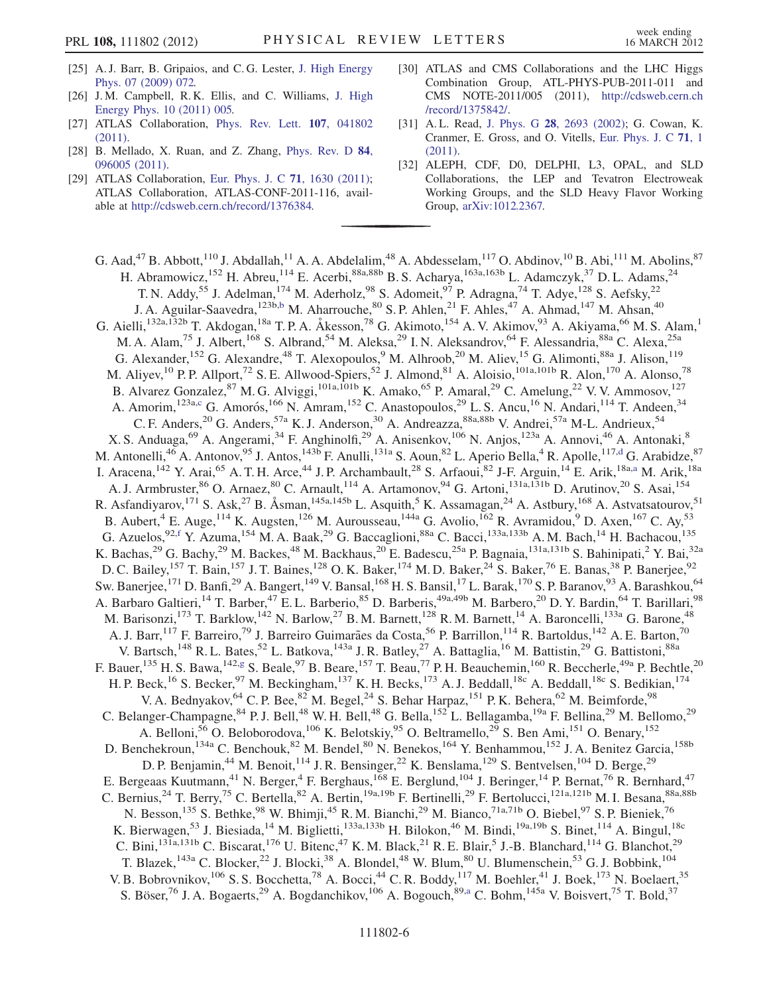- <span id="page-5-0"></span>[25] A. J. Barr, B. Gripaios, and C. G. Lester, [J. High Energy](http://dx.doi.org/10.1088/1126-6708/2009/07/072) [Phys. 07 \(2009\) 072.](http://dx.doi.org/10.1088/1126-6708/2009/07/072)
- <span id="page-5-1"></span>[26] J.M. Campbell, R.K. Ellis, and C. Williams, [J. High](http://dx.doi.org/10.1007/JHEP10(2011)005) [Energy Phys. 10 \(2011\) 005.](http://dx.doi.org/10.1007/JHEP10(2011)005)
- <span id="page-5-2"></span>[27] ATLAS Collaboration, [Phys. Rev. Lett.](http://dx.doi.org/10.1103/PhysRevLett.107.041802) 107, 041802 [\(2011\)](http://dx.doi.org/10.1103/PhysRevLett.107.041802).
- <span id="page-5-3"></span>[28] B. Mellado, X. Ruan, and Z. Zhang, [Phys. Rev. D](http://dx.doi.org/10.1103/PhysRevD.84.096005) 84, [096005 \(2011\)](http://dx.doi.org/10.1103/PhysRevD.84.096005).
- <span id="page-5-4"></span>[29] ATLAS Collaboration, [Eur. Phys. J. C](http://dx.doi.org/10.1140/epjc/s10052-011-1630-5) 71, 1630 (2011); ATLAS Collaboration, ATLAS-CONF-2011-116, available at [http://cdsweb.cern.ch/record/1376384.](http://cdsweb.cern.ch/record/1376384)
- <span id="page-5-5"></span>[30] ATLAS and CMS Collaborations and the LHC Higgs Combination Group, ATL-PHYS-PUB-2011-011 and CMS NOTE-2011/005 (2011), [http://cdsweb.cern.ch](http://cdsweb.cern.ch/record/1375842/) [/record/1375842/](http://cdsweb.cern.ch/record/1375842/).
- <span id="page-5-6"></span>[31] A. L. Read, J. Phys. G 28[, 2693 \(2002\);](http://dx.doi.org/10.1088/0954-3899/28/10/313) G. Cowan, K. Cranmer, E. Gross, and O. Vitells, [Eur. Phys. J. C](http://dx.doi.org/10.1140/epjc/s10052-011-1554-0) 71, 1 [\(2011\)](http://dx.doi.org/10.1140/epjc/s10052-011-1554-0).
- <span id="page-5-7"></span>[32] ALEPH, CDF, D0, DELPHI, L3, OPAL, and SLD Collaborations, the LEP and Tevatron Electroweak Working Groups, and the SLD Heavy Flavor Working Group, [arXiv:1012.2367.](http://arXiv.org/abs/1012.2367)

<span id="page-5-13"></span><span id="page-5-12"></span><span id="page-5-11"></span><span id="page-5-10"></span><span id="page-5-9"></span><span id="page-5-8"></span>G. Aad,<sup>47</sup> B. Abbott,<sup>110</sup> J. Abdallah,<sup>11</sup> A. A. Abdelalim,<sup>48</sup> A. Abdesselam,<sup>117</sup> O. Abdinov,<sup>10</sup> B. Abi,<sup>111</sup> M. Abolins,<sup>87</sup> H. Abramowicz,<sup>152</sup> H. Abreu,<sup>114</sup> E. Acerbi,<sup>88a,88b</sup> B. S. Acharya,<sup>163a,163b</sup> L. Adamczyk,<sup>37</sup> D. L. Adams,<sup>24</sup> T. N. Addy,<sup>55</sup> J. Adelman,<sup>174</sup> M. Aderholz,<sup>98</sup> S. Adomeit,<sup>97</sup> P. Adragna,<sup>74</sup> T. Adye,<sup>128</sup> S. Aefsky,<sup>22</sup> J. A. Aguilar-Saavedra, <sup>123[b](#page-17-0),b</sup> M. Aharrouche, <sup>80</sup> S. P. Ahlen, <sup>21</sup> F. Ahles, <sup>47</sup> A. Ahmad, <sup>147</sup> M. Ahsan, <sup>40</sup> G. Aielli,<sup>132a,132b</sup> T. Akdogan,<sup>18a</sup> T. P. A. Åkesson,<sup>78</sup> G. Akimoto,<sup>154</sup> A. V. Akimov,<sup>93</sup> A. Akiyama,<sup>66</sup> M. S. Alam,<sup>1</sup> M. A. Alam,<sup>75</sup> J. Albert,<sup>168</sup> S. Albrand,<sup>54</sup> M. Aleksa,<sup>29</sup> I. N. Aleksandrov,<sup>64</sup> F. Alessandria,<sup>88a</sup> C. Alexa,<sup>25a</sup> G. Alexander,<sup>152</sup> G. Alexandre,<sup>48</sup> T. Alexopoulos,<sup>9</sup> M. Alhroob,<sup>20</sup> M. Aliev,<sup>15</sup> G. Alimonti,<sup>88a</sup> J. Alison,<sup>119</sup> M. Aliyev,<sup>10</sup> P. P. Allport,<sup>72</sup> S. E. Allwood-Spiers,<sup>52</sup> J. Almond,<sup>81</sup> A. Aloisio,<sup>101a,101b</sup> R. Alon,<sup>170</sup> A. Alonso,<sup>78</sup> B. Alvarez Gonzalez, <sup>87</sup> M. G. Alviggi, <sup>101a,101b</sup> K. Amako, <sup>65</sup> P. Amaral, <sup>29</sup> C. Amelung, <sup>22</sup> V. V. Ammosov, <sup>127</sup> A. Amorim, <sup>123a,[c](#page-17-1)</sup> G. Amorós, <sup>166</sup> N. Amram, <sup>152</sup> C. Anastopoulos, <sup>29</sup> L. S. Ancu, <sup>16</sup> N. Andari, <sup>114</sup> T. Andeen, <sup>34</sup> C. F. Anders,<sup>20</sup> G. Anders,<sup>57a</sup> K. J. Anderson,<sup>30</sup> A. Andreazza,<sup>88a,88b</sup> V. Andrei,<sup>57a</sup> M-L. Andrieux,<sup>54</sup> X. S. Anduaga, <sup>69</sup> A. Angerami, <sup>34</sup> F. Anghinolfi, <sup>29</sup> A. Anisenkov, <sup>106</sup> N. Anjos, <sup>123a</sup> A. Annovi, <sup>46</sup> A. Antonaki, <sup>8</sup> M. Antonelli,<sup>46</sup> A. Antonov,<sup>95</sup> J. Antos,<sup>143b</sup> F. Anulli,<sup>131a</sup> S. Aoun,<sup>82</sup> L. Aperio Bella,<sup>4</sup> R. Apolle,<sup>117[,d](#page-17-2)</sup> G. Arabidze,<sup>87</sup> I. Aracena,<sup>142</sup> Y. Arai,<sup>65</sup> A. T. H. Arce,<sup>44</sup> J. P. Archambault,<sup>28</sup> S. Arfaoui,<sup>82</sup> J-F. Arguin,<sup>14</sup> E. Arik,<sup>18a[,a](#page-17-3)</sup> M. Arik,<sup>18a</sup> A. J. Armbruster,<sup>86</sup> O. Arnaez,<sup>80</sup> C. Arnault,<sup>114</sup> A. Artamonov,<sup>94</sup> G. Artoni,<sup>131a,131b</sup> D. Arutinov,<sup>20</sup> S. Asai,<sup>154</sup> R. Asfandiyarov,<sup>171</sup> S. Ask,<sup>27</sup> B. Åsman,<sup>145a,145b</sup> L. Asquith,<sup>5</sup> K. Assamagan,<sup>24</sup> A. Astbury,<sup>168</sup> A. Astvatsatourov,<sup>51</sup> B. Aubert,<sup>4</sup> E. Auge,<sup>114</sup> K. Augsten,<sup>126</sup> M. Aurousseau,<sup>144a</sup> G. Avolio,<sup>162</sup> R. Avramidou,<sup>9</sup> D. Axen,<sup>167</sup> C. Ay,<sup>53</sup> G. Azuelos, <sup>92[,f](#page-17-4)</sup> Y. Azuma, <sup>154</sup> M. A. Baak, <sup>29</sup> G. Baccaglioni, <sup>88a</sup> C. Bacci, <sup>133a, 133b</sup> A. M. Bach, <sup>14</sup> H. Bachacou, <sup>135</sup> K. Bachas,<sup>29</sup> G. Bachy,<sup>29</sup> M. Backes,<sup>48</sup> M. Backhaus,<sup>20</sup> E. Badescu,<sup>25a</sup> P. Bagnaia,<sup>131a,131b</sup> S. Bahinipati,<sup>2</sup> Y. Bai,<sup>32a</sup> D. C. Bailey,<sup>157</sup> T. Bain,<sup>157</sup> J. T. Baines,<sup>128</sup> O. K. Baker,<sup>174</sup> M. D. Baker,<sup>24</sup> S. Baker,<sup>76</sup> E. Banas,<sup>38</sup> P. Banerjee,<sup>92</sup> Sw. Banerjee,  $^{171}$  D. Banfi, $^{29}$  A. Bangert,  $^{149}$  V. Bansal,  $^{168}$  H. S. Bansil,  $^{17}$  L. Barak,  $^{170}$  S. P. Baranov,  $^{93}$  A. Barashkou,  $^{64}$ A. Barbaro Galtieri,<sup>14</sup> T. Barber,<sup>47</sup> E.L. Barberio,<sup>85</sup> D. Barberis,<sup>49a,49b</sup> M. Barbero,<sup>20</sup> D.Y. Bardin,<sup>64</sup> T. Barillari,<sup>98</sup> M. Barisonzi,<sup>173</sup> T. Barklow,<sup>142</sup> N. Barlow,<sup>27</sup> B. M. Barnett,<sup>128</sup> R. M. Barnett,<sup>14</sup> A. Baroncelli,<sup>133a</sup> G. Barone,<sup>48</sup> A. J. Barr,<sup>117</sup> F. Barreiro,<sup>79</sup> J. Barreiro Guimarães da Costa,<sup>56</sup> P. Barrillon,<sup>114</sup> R. Bartoldus,<sup>142</sup> A. E. Barton,<sup>70</sup> V. Bartsch,<sup>148</sup> R. L. Bates,<sup>52</sup> L. Batkova,<sup>143a</sup> J. R. Batley,<sup>27</sup> A. Battaglia,<sup>16</sup> M. Battistin,<sup>29</sup> G. Battistoni,<sup>88a</sup> F. Bauer,  $^{135}$  H. S. Bawa,  $^{142,g}$  $^{142,g}$  $^{142,g}$  S. Beale,  $^{97}$  B. Beare,  $^{157}$  T. Beau,  $^{77}$  P. H. Beauchemin,  $^{160}$  R. Beccherle,  $^{49a}$  P. Bechtle,  $^{20}$ H. P. Beck,<sup>16</sup> S. Becker,<sup>97</sup> M. Beckingham,<sup>137</sup> K. H. Becks,<sup>173</sup> A. J. Beddall,<sup>18c</sup> A. Beddall,<sup>18c</sup> S. Bedikian,<sup>174</sup> V. A. Bednyakov, <sup>64</sup> C. P. Bee, <sup>82</sup> M. Begel, <sup>24</sup> S. Behar Harpaz, <sup>151</sup> P. K. Behera, <sup>62</sup> M. Beimforde, <sup>98</sup> C. Belanger-Champagne, <sup>84</sup> P. J. Bell, <sup>48</sup> W. H. Bell, <sup>48</sup> G. Bella, <sup>152</sup> L. Bellagamba, <sup>19a</sup> F. Bellina, <sup>29</sup> M. Bellomo, <sup>29</sup> A. Belloni,<sup>56</sup> O. Beloborodova, <sup>106</sup> K. Belotskiy,<sup>95</sup> O. Beltramello,<sup>29</sup> S. Ben Ami, <sup>151</sup> O. Benary, <sup>152</sup> D. Benchekroun, <sup>134a</sup> C. Benchouk, <sup>82</sup> M. Bendel, <sup>80</sup> N. Benekos, <sup>164</sup> Y. Benhammou, <sup>152</sup> J. A. Benitez Garcia, <sup>158b</sup> D. P. Benjamin,<sup>44</sup> M. Benoit,<sup>114</sup> J. R. Bensinger,<sup>22</sup> K. Benslama,<sup>129</sup> S. Bentvelsen,<sup>104</sup> D. Berge,<sup>29</sup> E. Bergeaas Kuutmann,<sup>41</sup> N. Berger,<sup>4</sup> F. Berghaus,<sup>168</sup> E. Berglund,<sup>104</sup> J. Beringer,<sup>14</sup> P. Bernat,<sup>76</sup> R. Bernhard,<sup>47</sup> C. Bernius,  $^{24}$  T. Berry,  $^{75}$  C. Bertella,  $^{82}$  A. Bertin,  $^{19a,19b}$  F. Bertinelli,  $^{29}$  F. Bertolucci,  $^{121a,121b}$  M. I. Besana,  $^{88a,88b}$ N. Besson,<sup>135</sup> S. Bethke,<sup>98</sup> W. Bhimji,<sup>45</sup> R. M. Bianchi,<sup>29</sup> M. Bianco,<sup>71a,71b</sup> O. Biebel,<sup>97</sup> S. P. Bieniek,<sup>76</sup> K. Bierwagen,<sup>53</sup> J. Biesiada,<sup>14</sup> M. Biglietti,<sup>133a,133b</sup> H. Bilokon,<sup>46</sup> M. Bindi,<sup>19a,19b</sup> S. Binet,<sup>114</sup> A. Bingul,<sup>18c</sup> C. Bini,<sup>131a,131b</sup> C. Biscarat,<sup>176</sup> U. Bitenc,<sup>47</sup> K. M. Black,<sup>21</sup> R. E. Blair,<sup>5</sup> J.-B. Blanchard,<sup>114</sup> G. Blanchot,<sup>29</sup> T. Blazek,<sup>143a</sup> C. Blocker,<sup>22</sup> J. Blocki,<sup>38</sup> A. Blondel,<sup>48</sup> W. Blum,<sup>80</sup> U. Blumenschein,<sup>53</sup> G. J. Bobbink,<sup>104</sup> V. B. Bobrovnikov,<sup>106</sup> S. S. Bocchetta,<sup>78</sup> A. Bocci,<sup>44</sup> C. R. Boddy,<sup>117</sup> M. Boehler,<sup>41</sup> J. Boek,<sup>173</sup> N. Boelaert,<sup>35</sup> S. Böser,<sup>76</sup> J. A. Bogaerts,<sup>29</sup> A. Bogdanchikov,<sup>106</sup> A. Bogouch,<sup>89[,a](#page-17-3)</sup> C. Bohm,<sup>145a</sup> V. Boisvert,<sup>75</sup> T. Bold,<sup>37</sup>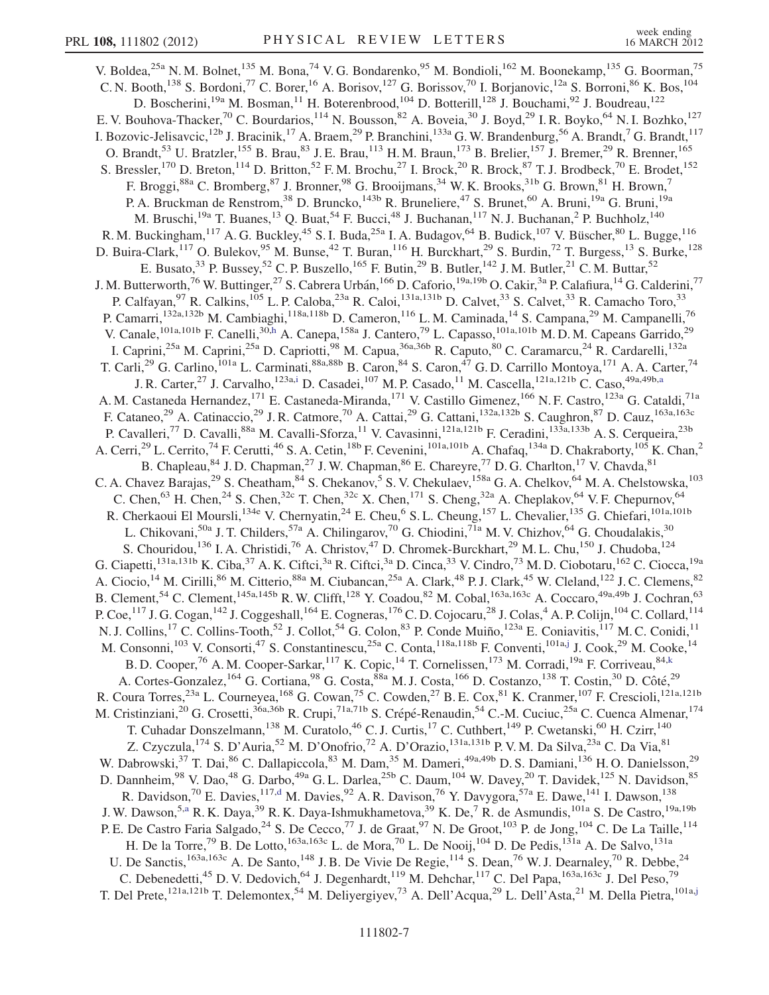<span id="page-6-3"></span><span id="page-6-2"></span><span id="page-6-1"></span><span id="page-6-0"></span>V. Boldea,<sup>25a</sup> N. M. Bolnet,<sup>135</sup> M. Bona,<sup>74</sup> V. G. Bondarenko,<sup>95</sup> M. Bondioli,<sup>162</sup> M. Boonekamp,<sup>135</sup> G. Boorman,<sup>75</sup> C. N. Booth,<sup>138</sup> S. Bordoni,<sup>77</sup> C. Borer,<sup>16</sup> A. Borisov,<sup>127</sup> G. Borissov,<sup>70</sup> I. Borjanovic,<sup>12a</sup> S. Borroni,<sup>86</sup> K. Bos,<sup>104</sup> D. Boscherini,<sup>19a</sup> M. Bosman,<sup>11</sup> H. Boterenbrood,<sup>104</sup> D. Botterill,<sup>128</sup> J. Bouchami,<sup>92</sup> J. Boudreau,<sup>122</sup> E. V. Bouhova-Thacker,<sup>70</sup> C. Bourdarios,<sup>114</sup> N. Bousson,<sup>82</sup> A. Boveia,<sup>30</sup> J. Boyd,<sup>29</sup> I. R. Boyko,<sup>64</sup> N. I. Bozhko,<sup>127</sup> I. Bozovic-Jelisavcic,<sup>12b</sup> J. Bracinik,<sup>17</sup> A. Braem,<sup>29</sup> P. Branchini,<sup>133a</sup> G. W. Brandenburg,<sup>56</sup> A. Brandt,<sup>7</sup> G. Brandt,<sup>117</sup> O. Brandt,<sup>53</sup> U. Bratzler,<sup>155</sup> B. Brau,<sup>83</sup> J. E. Brau,<sup>113</sup> H. M. Braun,<sup>173</sup> B. Brelier,<sup>157</sup> J. Bremer,<sup>29</sup> R. Brenner,<sup>165</sup> S. Bressler,<sup>170</sup> D. Breton,<sup>114</sup> D. Britton,<sup>52</sup> F.M. Brochu,<sup>27</sup> I. Brock,<sup>20</sup> R. Brock,<sup>87</sup> T.J. Brodbeck,<sup>70</sup> E. Brodet,<sup>152</sup> F. Broggi, <sup>88a</sup> C. Bromberg, <sup>87</sup> J. Bronner, <sup>98</sup> G. Brooijmans, <sup>34</sup> W. K. Brooks, <sup>31b</sup> G. Brown, <sup>81</sup> H. Brown, <sup>7</sup> P. A. Bruckman de Renstrom,<sup>38</sup> D. Bruncko,<sup>143b</sup> R. Bruneliere,<sup>47</sup> S. Brunet,<sup>60</sup> A. Bruni,<sup>19a</sup> G. Bruni,<sup>19a</sup> M. Bruschi,<sup>19a</sup> T. Buanes,<sup>13</sup> Q. Buat,<sup>54</sup> F. Bucci,<sup>48</sup> J. Buchanan,<sup>117</sup> N. J. Buchanan,<sup>2</sup> P. Buchholz,<sup>140</sup> R. M. Buckingham,<sup>117</sup> A. G. Buckley,<sup>45</sup> S. I. Buda,<sup>25a</sup> I. A. Budagov,<sup>64</sup> B. Budick,<sup>107</sup> V. Büscher,<sup>80</sup> L. Bugge,<sup>116</sup> D. Buira-Clark,<sup>117</sup> O. Bulekov,<sup>95</sup> M. Bunse,<sup>42</sup> T. Buran,<sup>116</sup> H. Burckhart,<sup>29</sup> S. Burdin,<sup>72</sup> T. Burgess,<sup>13</sup> S. Burke,<sup>128</sup> E. Busato,<sup>33</sup> P. Bussey,<sup>52</sup> C. P. Buszello,<sup>165</sup> F. Butin,<sup>29</sup> B. Butler,<sup>142</sup> J. M. Butler,<sup>21</sup> C. M. Buttar,<sup>52</sup> J. M. Butterworth,<sup>76</sup> W. Buttinger,<sup>27</sup> S. Cabrera Urbán,<sup>166</sup> D. Caforio,<sup>19a,19b</sup> O. Cakir,<sup>3a</sup> P. Calafiura,<sup>14</sup> G. Calderini,<sup>77</sup> P. Calfayan,<sup>97</sup> R. Calkins,<sup>105</sup> L. P. Caloba,<sup>23a</sup> R. Caloi,<sup>131a,131b</sup> D. Calvet,<sup>33</sup> S. Calvet,<sup>33</sup> R. Camacho Toro,<sup>33</sup> P. Camarri,<sup>132a,132b</sup> M. Cambiaghi,<sup>118a,118b</sup> D. Cameron,<sup>116</sup> L. M. Caminada,<sup>14</sup> S. Campana,<sup>29</sup> M. Campanelli,<sup>76</sup> V. Canale,<sup>101a,101b</sup> F. Canelli,<sup>30[,h](#page-17-6)</sup> A. Canepa,<sup>158a</sup> J. Cantero,<sup>79</sup> L. Capasso,<sup>101a,101b</sup> M.D.M. Capeans Garrido,<sup>29</sup> I. Caprini,<sup>25a</sup> M. Caprini,<sup>25a</sup> D. Capriotti,<sup>98</sup> M. Capua,<sup>36a,36b</sup> R. Caputo,<sup>80</sup> C. Caramarcu,<sup>24</sup> R. Cardarelli,<sup>132a</sup> T. Carli,<sup>29</sup> G. Carlino,<sup>101a</sup> L. Carminati,<sup>88a,88b</sup> B. Caron,<sup>84</sup> S. Caron,<sup>47</sup> G.D. Carrillo Montoya,<sup>171</sup> A. A. Carter,<sup>74</sup> J. R. Carter,<sup>27</sup> J. Carvalho,<sup>123a,[i](#page-17-7)</sup> D. C[a](#page-17-3)sadei,<sup>107</sup> M. P. Casado,<sup>11</sup> M. Cascella,<sup>121a,121b</sup> C. Caso,<sup>49a,49b,a</sup> A. M. Castaneda Hernandez, <sup>171</sup> E. Castaneda-Miranda, <sup>171</sup> V. Castillo Gimenez, <sup>166</sup> N. F. Castro, <sup>123a</sup> G. Cataldi, <sup>71a</sup> F. Cataneo,<sup>29</sup> A. Catinaccio,<sup>29</sup> J. R. Catmore,<sup>70</sup> A. Cattai,<sup>29</sup> G. Cattani,<sup>132a,132b</sup> S. Caughron,<sup>87</sup> D. Cauz,<sup>163a,163c</sup> P. Cavalleri,<sup>77</sup> D. Cavalli,<sup>88a</sup> M. Cavalli-Sforza,<sup>11</sup> V. Cavasinni,<sup>121a,121b</sup> F. Ceradini,<sup>133a,133b</sup> A. S. Cerqueira,<sup>23b</sup> A. Cerri,<sup>29</sup> L. Cerrito,<sup>74</sup> F. Cerutti,<sup>46</sup> S. A. Cetin,<sup>18b</sup> F. Cevenini,<sup>101a,101b</sup> A. Chafaq,<sup>134a</sup> D. Chakraborty,<sup>105</sup> K. Chan,<sup>2</sup> B. Chapleau, <sup>84</sup> J.D. Chapman, <sup>27</sup> J.W. Chapman, <sup>86</sup> E. Chareyre, <sup>77</sup> D.G. Charlton, <sup>17</sup> V. Chavda, <sup>81</sup> C. A. Chavez Barajas,<sup>29</sup> S. Cheatham,<sup>84</sup> S. Chekanov,<sup>5</sup> S. V. Chekulaev,<sup>158a</sup> G. A. Chelkov,<sup>64</sup> M. A. Chelstowska,<sup>103</sup> C. Chen,<sup>63</sup> H. Chen,<sup>24</sup> S. Chen,<sup>32c</sup> T. Chen,<sup>32c</sup> X. Chen,<sup>171</sup> S. Cheng,<sup>32a</sup> A. Cheplakov,<sup>64</sup> V. F. Chepurnov,<sup>64</sup> R. Cherkaoui El Moursli,<sup>134e</sup> V. Chernyatin,<sup>24</sup> E. Cheu,<sup>6</sup> S. L. Cheung,<sup>157</sup> L. Chevalier,<sup>135</sup> G. Chiefari,<sup>101a,101b</sup> L. Chikovani,<sup>50a</sup> J. T. Childers,<sup>57a</sup> A. Chilingarov,<sup>70</sup> G. Chiodini,<sup>71a</sup> M. V. Chizhov,<sup>64</sup> G. Choudalakis,<sup>30</sup> S. Chouridou,<sup>136</sup> I. A. Christidi,<sup>76</sup> A. Christov,<sup>47</sup> D. Chromek-Burckhart,<sup>29</sup> M. L. Chu,<sup>150</sup> J. Chudoba,<sup>124</sup> G. Ciapetti,<sup>131a,131b</sup> K. Ciba,<sup>37</sup> A. K. Ciftci,<sup>3a</sup> R. Ciftci,<sup>3a</sup> D. Cinca,<sup>33</sup> V. Cindro,<sup>73</sup> M. D. Ciobotaru,<sup>162</sup> C. Ciocca,<sup>19a</sup> A. Ciocio,<sup>14</sup> M. Cirilli,<sup>86</sup> M. Citterio,<sup>88a</sup> M. Ciubancan,<sup>25a</sup> A. Clark,<sup>48</sup> P. J. Clark,<sup>45</sup> W. Cleland,<sup>122</sup> J. C. Clemens,<sup>82</sup> B. Clement,<sup>54</sup> C. Clement,<sup>145a,145b</sup> R. W. Clifft,<sup>128</sup> Y. Coadou,<sup>82</sup> M. Cobal,<sup>163a,163c</sup> A. Coccaro,<sup>49a,49b</sup> J. Cochran,<sup>63</sup> P. Coe,  $^{117}$  J. G. Cogan,  $^{142}$  J. Coggeshall,  $^{164}$  E. Cogneras,  $^{176}$  C. D. Cojocaru,  $^{28}$  J. Colas,  $^4$  A. P. Colijn,  $^{104}$  C. Collard,  $^{114}$ N. J. Collins,<sup>17</sup> C. Collins-Tooth,<sup>52</sup> J. Collot,<sup>54</sup> G. Colon,<sup>83</sup> P. Conde Muiño,<sup>123a</sup> E. Coniavitis,<sup>117</sup> M. C. Conidi,<sup>11</sup> M. Consonni,<sup>103</sup> V. Consorti,<sup>47</sup> S. Constantinescu,<sup>25a</sup> C. Conta,<sup>118a,118b</sup> F. Conventi,<sup>101a,[j](#page-17-8)</sup> J. Cook,<sup>29</sup> M. Cooke,<sup>14</sup> B. D. Cooper,<sup>76</sup> A. M. Cooper-Sarkar, 117 K. Copic, <sup>14</sup> T. Cornelissen, <sup>173</sup> M. Corradi, <sup>19a</sup> F. Corriveau, <sup>84[,k](#page-17-9)</sup> A. Cortes-Gonzalez, <sup>164</sup> G. Cortiana, <sup>98</sup> G. Costa, <sup>88a</sup> M. J. Costa, <sup>166</sup> D. Costanzo, <sup>138</sup> T. Costin, <sup>30</sup> D. Côté, <sup>29</sup> R. Coura Torres,<sup>23a</sup> L. Courneyea,<sup>168</sup> G. Cowan,<sup>75</sup> C. Cowden,<sup>27</sup> B. E. Cox,<sup>81</sup> K. Cranmer,<sup>107</sup> F. Crescioli,<sup>121a,121b</sup> M. Cristinziani,<sup>20</sup> G. Crosetti,<sup>36a,36b</sup> R. Crupi,<sup>71a,71b</sup> S. Crépé-Renaudin,<sup>54</sup> C.-M. Cuciuc,<sup>25a</sup> C. Cuenca Almenar,<sup>174</sup> T. Cuhadar Donszelmann,<sup>138</sup> M. Curatolo,<sup>46</sup> C. J. Curtis,<sup>17</sup> C. Cuthbert,<sup>149</sup> P. Cwetanski,<sup>60</sup> H. Czirr,<sup>140</sup> Z. Czyczula,<sup>174</sup> S. D'Auria,<sup>52</sup> M. D'Onofrio,<sup>72</sup> A. D'Orazio,<sup>131a,131b</sup> P. V. M. Da Silva,<sup>23a</sup> C. Da Via,<sup>81</sup> W. Dabrowski,<sup>37</sup> T. Dai,<sup>86</sup> C. Dallapiccola,<sup>83</sup> M. Dam,<sup>35</sup> M. Dameri,<sup>49a,49b</sup> D. S. Damiani,<sup>136</sup> H. O. Danielsson,<sup>29</sup> D. Dannheim,<sup>98</sup> V. Dao,<sup>48</sup> G. Darbo,<sup>49a</sup> G. L. Darlea,<sup>25b</sup> C. Daum,<sup>104</sup> W. Davey,<sup>20</sup> T. Davidek,<sup>125</sup> N. Davidson,<sup>85</sup> R. Davidson,<sup>70</sup> E. Davies,<sup>117[,d](#page-17-2)</sup> M. Davies,<sup>92</sup> A. R. Davison,<sup>76</sup> Y. Davygora,<sup>57a</sup> E. Dawe,<sup>141</sup> I. Dawson,<sup>138</sup> J. W. Dawson,<sup>5[,a](#page-17-3)</sup> R. K. Daya,<sup>39</sup> R. K. Daya-Ishmukhametova,<sup>39</sup> K. De,<sup>7</sup> R. de Asmundis,<sup>101a</sup> S. De Castro,<sup>19a,19b</sup> P. E. De Castro Faria Salgado,<sup>24</sup> S. De Cecco,<sup>77</sup> J. de Graat,<sup>97</sup> N. De Groot,<sup>103</sup> P. de Jong,<sup>104</sup> C. De La Taille,<sup>114</sup> H. De la Torre,<sup>79</sup> B. De Lotto,<sup>163a,163c</sup> L. de Mora,<sup>70</sup> L. De Nooij,<sup>104</sup> D. De Pedis,<sup>131a</sup> A. De Salvo,<sup>131a</sup> U. De Sanctis,  $^{163a,163c}$  A. De Santo,  $^{148}$  J. B. De Vivie De Regie,  $^{114}$  S. Dean,  $^{76}$  W. J. Dearnaley,  $^{70}$  R. Debbe,  $^{24}$ C. Debenedetti,<sup>45</sup> D. V. Dedovich,<sup>64</sup> J. Degenhardt,<sup>119</sup> M. Dehchar,<sup>117</sup> C. Del Papa,<sup>163a,163c</sup> J. Del Peso,<sup>79</sup> T. Del Prete,<sup>121a,121b</sup> T. Delemontex,<sup>54</sup> M. Deliyergiyev,<sup>73</sup> A. Dell'Acqua,<sup>29</sup> L. Dell'Asta,<sup>21</sup> M. Della Pietra,<sup>101a[,j](#page-17-8)</sup>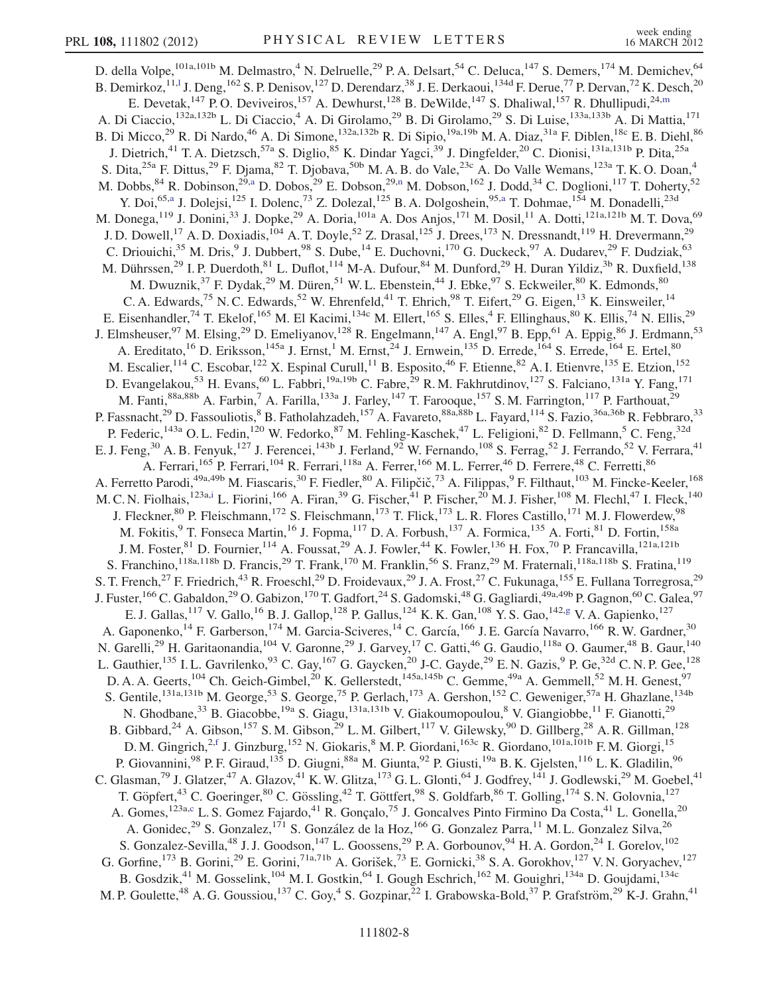<span id="page-7-2"></span><span id="page-7-1"></span><span id="page-7-0"></span>D. della Volpe,<sup>101a,101b</sup> M. Delmastro,<sup>4</sup> N. Delruelle,<sup>29</sup> P. A. Delsart,<sup>54</sup> C. Deluca,<sup>147</sup> S. Demers,<sup>174</sup> M. Demichev,<sup>64</sup> B. Demirkoz, <sup>11,1</sup> J. Deng, <sup>162</sup> S. P. Denisov, <sup>127</sup> D. Derendarz, <sup>38</sup> J. E. Derkaoui, <sup>134d</sup> F. Derue, <sup>77</sup> P. Dervan, <sup>72</sup> K. Desch, <sup>20</sup> E. Devetak,  $147$  P.O. Deviveiros,  $157$  A. Dewhurst,  $128$  B. DeWilde,  $147$  S. Dhaliwal,  $157$  R. Dhullipudi,  $24,\text{m}$  $24,\text{m}$  $24,\text{m}$ A. Di Ciaccio,<sup>132a,132b</sup> L. Di Ciaccio,<sup>4</sup> A. Di Girolamo,<sup>29</sup> B. Di Girolamo,<sup>29</sup> S. Di Luise,<sup>133a,133b</sup> A. Di Mattia,<sup>171</sup> B. Di Micco,<sup>29</sup> R. Di Nardo,<sup>46</sup> A. Di Simone,<sup>132a,132b</sup> R. Di Sipio,<sup>19a,19b</sup> M. A. Diaz,<sup>31a</sup> F. Diblen,<sup>18c</sup> E. B. Diehl,<sup>86</sup> J. Dietrich,<sup>41</sup> T. A. Dietzsch,<sup>57a</sup> S. Diglio,<sup>85</sup> K. Dindar Yagci,<sup>39</sup> J. Dingfelder,<sup>20</sup> C. Dionisi,<sup>131a,131b</sup> P. Dita,<sup>25a</sup> S. Dita,<sup>25a</sup> F. Dittus,<sup>29</sup> F. Djama,<sup>82</sup> T. Djobava,<sup>50b</sup> M. A. B. do Vale,<sup>23c</sup> A. Do Valle Wemans,<sup>123a</sup> T. K. O. Doan,<sup>4</sup> M. Dobbs,  $84$  R. Dobi[n](#page-17-12)son,  $29, a$  $29, a$  D. Dobos,  $29$  E. Dobson,  $29, n$  M. Dobson,  $162$  J. Dodd,  $34$  C. Doglioni,  $117$  T. Doherty,  $52$ Y. Doi,<sup>65[,a](#page-17-3)</sup> J. Dolejsi,<sup>125</sup> I. Dolenc,<sup>73</sup> Z. Dolezal,<sup>125</sup> B. A. Dolgoshein,<sup>95,a</sup> T. Dohmae,<sup>154</sup> M. Donadelli,<sup>23d</sup> M. Donega,<sup>119</sup> J. Donini,<sup>33</sup> J. Dopke,<sup>29</sup> A. Doria,<sup>101a</sup> A. Dos Anjos,<sup>171</sup> M. Dosil,<sup>11</sup> A. Dotti,<sup>121a,121b</sup> M. T. Dova,<sup>69</sup> J. D. Dowell,<sup>17</sup> A. D. Doxiadis,<sup>104</sup> A. T. Doyle,<sup>52</sup> Z. Drasal,<sup>125</sup> J. Drees,<sup>173</sup> N. Dressnandt,<sup>119</sup> H. Drevermann,<sup>29</sup> C. Driouichi,<sup>35</sup> M. Dris,<sup>9</sup> J. Dubbert,<sup>98</sup> S. Dube,<sup>14</sup> E. Duchovni,<sup>170</sup> G. Duckeck,<sup>97</sup> A. Dudarev,<sup>29</sup> F. Dudziak,<sup>63</sup> M. Dührssen,<sup>29</sup> I. P. Duerdoth,<sup>81</sup> L. Duflot,<sup>114</sup> M-A. Dufour,<sup>84</sup> M. Dunford,<sup>29</sup> H. Duran Yildiz,<sup>3b</sup> R. Duxfield,<sup>138</sup> M. Dwuznik,<sup>37</sup> F. Dydak,<sup>29</sup> M. Düren,<sup>51</sup> W. L. Ebenstein,<sup>44</sup> J. Ebke,<sup>97</sup> S. Eckweiler,<sup>80</sup> K. Edmonds,<sup>80</sup> C. A. Edwards,<sup>75</sup> N. C. Edwards,<sup>52</sup> W. Ehrenfeld,<sup>41</sup> T. Ehrich,<sup>98</sup> T. Eifert,<sup>29</sup> G. Eigen,<sup>13</sup> K. Einsweiler,<sup>14</sup> E. Eisenhandler,<sup>74</sup> T. Ekelof,<sup>165</sup> M. El Kacimi,<sup>134c</sup> M. Ellert,<sup>165</sup> S. Elles,<sup>4</sup> F. Ellinghaus,<sup>80</sup> K. Ellis,<sup>74</sup> N. Ellis,<sup>29</sup> J. Elmsheuser,<sup>97</sup> M. Elsing,<sup>29</sup> D. Emeliyanov,<sup>128</sup> R. Engelmann,<sup>147</sup> A. Engl,<sup>97</sup> B. Epp,<sup>61</sup> A. Eppig,<sup>86</sup> J. Erdmann,<sup>53</sup> A. Ereditato,<sup>16</sup> D. Eriksson,<sup>145a</sup> J. Ernst,<sup>1</sup> M. Ernst,<sup>24</sup> J. Ernwein,<sup>135</sup> D. Errede,<sup>164</sup> S. Errede,<sup>164</sup> E. Ertel,<sup>80</sup> M. Escalier,<sup>114</sup> C. Escobar,<sup>122</sup> X. Espinal Curull,<sup>11</sup> B. Esposito,<sup>46</sup> F. Etienne,<sup>82</sup> A. I. Etienvre,<sup>135</sup> E. Etzion,<sup>152</sup> D. Evangelakou,<sup>53</sup> H. Evans,<sup>60</sup> L. Fabbri,<sup>19a,19b</sup> C. Fabre,<sup>29</sup> R.M. Fakhrutdinov,<sup>127</sup> S. Falciano,<sup>131a</sup> Y. Fang,<sup>171</sup> M. Fanti,<sup>88a,88b</sup> A. Farbin,<sup>7</sup> A. Farilla,<sup>133a</sup> J. Farley,<sup>147</sup> T. Farooque,<sup>157</sup> S.M. Farrington,<sup>117</sup> P. Farthouat,<sup>29</sup> P. Fassnacht,<sup>29</sup> D. Fassouliotis,<sup>8</sup> B. Fatholahzadeh,<sup>157</sup> A. Favareto,<sup>88a,88b</sup> L. Fayard,<sup>114</sup> S. Fazio,<sup>36a,36b</sup> R. Febbraro,<sup>33</sup> P. Federic,<sup>143a</sup> O. L. Fedin,<sup>120</sup> W. Fedorko,<sup>87</sup> M. Fehling-Kaschek,<sup>47</sup> L. Feligioni,<sup>82</sup> D. Fellmann,<sup>5</sup> C. Feng,<sup>32d</sup> E. J. Feng,<sup>30</sup> A. B. Fenyuk,<sup>127</sup> J. Ferencei,<sup>143b</sup> J. Ferland,<sup>92</sup> W. Fernando,<sup>108</sup> S. Ferrag,<sup>52</sup> J. Ferrando,<sup>52</sup> V. Ferrara,<sup>41</sup> A. Ferrari, <sup>165</sup> P. Ferrari, <sup>104</sup> R. Ferrari, <sup>118a</sup> A. Ferrer, <sup>166</sup> M. L. Ferrer, <sup>46</sup> D. Ferrere, <sup>48</sup> C. Ferretti, <sup>86</sup> A. Ferretto Parodi,<sup>49a,49b</sup> M. Fiascaris,<sup>30</sup> F. Fiedler,<sup>80</sup> A. Filipčič,<sup>73</sup> A. Filippas,<sup>9</sup> F. Filthaut,<sup>103</sup> M. Fincke-Keeler,<sup>168</sup> M. C. N. Fiolhais, <sup>123a[,i](#page-17-7)</sup> L. Fiorini, <sup>166</sup> A. Firan,<sup>39</sup> G. Fischer, <sup>41</sup> P. Fischer, <sup>20</sup> M. J. Fisher, <sup>108</sup> M. Flech1, <sup>47</sup> I. Fleck, <sup>140</sup> J. Fleckner, <sup>80</sup> P. Fleischmann, <sup>172</sup> S. Fleischmann, <sup>173</sup> T. Flick, <sup>173</sup> L. R. Flores Castillo, <sup>171</sup> M. J. Flowerdew, <sup>98</sup> M. Fokitis,<sup>9</sup> T. Fonseca Martin,<sup>16</sup> J. Fopma,<sup>117</sup> D. A. Forbush,<sup>137</sup> A. Formica,<sup>135</sup> A. Forti,<sup>81</sup> D. Fortin,<sup>158a</sup> J. M. Foster,  $81$  D. Fournier,  $114$  A. Foussat,  $29$  A. J. Fowler,  $44$  K. Fowler,  $136$  H. Fox,  $70$  P. Francavilla,  $121a,121b$ S. Franchino,<sup>118a,118b</sup> D. Francis,<sup>29</sup> T. Frank,<sup>170</sup> M. Franklin,<sup>56</sup> S. Franz,<sup>29</sup> M. Fraternali,<sup>118a,118b</sup> S. Fratina,<sup>119</sup> S. T. French,<sup>27</sup> F. Friedrich,<sup>43</sup> R. Froeschl,<sup>29</sup> D. Froidevaux,<sup>29</sup> J. A. Frost,<sup>27</sup> C. Fukunaga,<sup>155</sup> E. Fullana Torregrosa,<sup>29</sup> J. Fuster,<sup>166</sup> C. Gabaldon,<sup>29</sup> O. Gabizon,<sup>170</sup> T. Gadfort,<sup>24</sup> S. Gadomski,<sup>48</sup> G. Gagliardi,<sup>49a,49b</sup> P. Gagnon,<sup>60</sup> C. Galea,<sup>97</sup> E. J. Gallas,<sup>117</sup> V. Gallo,<sup>16</sup> B. J. Gallop,<sup>128</sup> P. Gallus,<sup>124</sup> K. K. Gan,<sup>108</sup> Y. S. Gao,<sup>142[,g](#page-17-5)</sup> V. A. Gapienko,<sup>127</sup> A. Gaponenko,<sup>14</sup> F. Garberson,<sup>174</sup> M. Garcia-Sciveres,<sup>14</sup> C. García,<sup>166</sup> J. E. García Navarro,<sup>166</sup> R. W. Gardner,<sup>30</sup> N. Garelli,<sup>29</sup> H. Garitaonandia,<sup>104</sup> V. Garonne,<sup>29</sup> J. Garvey,<sup>17</sup> C. Gatti,<sup>46</sup> G. Gaudio,<sup>118a</sup> O. Gaumer,<sup>48</sup> B. Gaur,<sup>140</sup> L. Gauthier,  $^{135}$  I. L. Gavrilenko,  $^{93}$  C. Gay,  $^{167}$  G. Gaycken,  $^{20}$  J-C. Gayde,  $^{29}$  E. N. Gazis,  $^{9}$  P. Ge,  $^{32d}$  C. N. P. Gee,  $^{128}$ D. A. A. Geerts,<sup>104</sup> Ch. Geich-Gimbel,<sup>20</sup> K. Gellerstedt,<sup>145a,145b</sup> C. Gemme,<sup>49a</sup> A. Gemmell,<sup>52</sup> M. H. Genest,<sup>97</sup> S. Gentile,<sup>131a,131b</sup> M. George,<sup>53</sup> S. George,<sup>75</sup> P. Gerlach,<sup>173</sup> A. Gershon,<sup>152</sup> C. Geweniger,<sup>57a</sup> H. Ghazlane,<sup>134b</sup> N. Ghodbane,<sup>33</sup> B. Giacobbe,<sup>19a</sup> S. Giagu,<sup>131a,131b</sup> V. Giakoumopoulou,<sup>8</sup> V. Giangiobbe,<sup>11</sup> F. Gianotti,<sup>29</sup> B. Gibbard,  $^{24}$  A. Gibson,  $^{157}$  S. M. Gibson,  $^{29}$  L. M. Gilbert,  $^{117}$  V. Gilewsky,  $^{90}$  D. Gillberg,  $^{28}$  A. R. Gillman,  $^{128}$ D. M. Gingrich,<sup>2[,f](#page-17-4)</sup> J. Ginzburg,<sup>152</sup> N. Giokaris,<sup>8</sup> M. P. Giordani,<sup>163c</sup> R. Giordano,<sup>101a,101b</sup> F. M. Giorgi,<sup>15</sup> P. Giovannini,<sup>98</sup> P. F. Giraud,<sup>135</sup> D. Giugni,<sup>88a</sup> M. Giunta,<sup>92</sup> P. Giusti,<sup>19a</sup> B. K. Gjelsten,<sup>116</sup> L. K. Gladilin,<sup>96</sup> C. Glasman,<sup>79</sup> J. Glatzer,<sup>47</sup> A. Glazov,<sup>41</sup> K. W. Glitza,<sup>173</sup> G. L. Glonti,<sup>64</sup> J. Godfrey,<sup>141</sup> J. Godlewski,<sup>29</sup> M. Goebel,<sup>41</sup> T. Göpfert,<sup>43</sup> C. Goeringer,<sup>80</sup> C. Gössling,<sup>42</sup> T. Göttfert,<sup>98</sup> S. Goldfarb,<sup>86</sup> T. Golling,<sup>174</sup> S. N. Golovnia,<sup>127</sup> A. Gomes,<sup>123a[,c](#page-17-1)</sup> L. S. Gomez Fajardo,<sup>41</sup> R. Gonçalo,<sup>75</sup> J. Goncalves Pinto Firmino Da Costa,<sup>41</sup> L. Gonella,<sup>20</sup> A. Gonidec,<sup>29</sup> S. Gonzalez,<sup>171</sup> S. González de la Hoz,<sup>166</sup> G. Gonzalez Parra,<sup>11</sup> M. L. Gonzalez Silva,<sup>26</sup> S. Gonzalez-Sevilla,<sup>48</sup> J. J. Goodson,<sup>147</sup> L. Goossens,<sup>29</sup> P. A. Gorbounov,<sup>94</sup> H. A. Gordon,<sup>24</sup> I. Gorelov,<sup>102</sup> G. Gorfine,<sup>173</sup> B. Gorini,<sup>29</sup> E. Gorini,<sup>71a,71b</sup> A. Gorišek,<sup>73</sup> E. Gornicki,<sup>38</sup> S. A. Gorokhov,<sup>127</sup> V. N. Goryachev,<sup>127</sup> B. Gosdzik,<sup>41</sup> M. Gosselink,<sup>104</sup> M. I. Gostkin,<sup>64</sup> I. Gough Eschrich,<sup>162</sup> M. Gouighri,<sup>134a</sup> D. Goujdami,<sup>134c</sup> M. P. Goulette,<sup>48</sup> A. G. Goussiou,<sup>137</sup> C. Goy,<sup>4</sup> S. Gozpinar,<sup>22</sup> I. Grabowska-Bold,<sup>37</sup> P. Grafström,<sup>29</sup> K-J. Grahn,<sup>41</sup>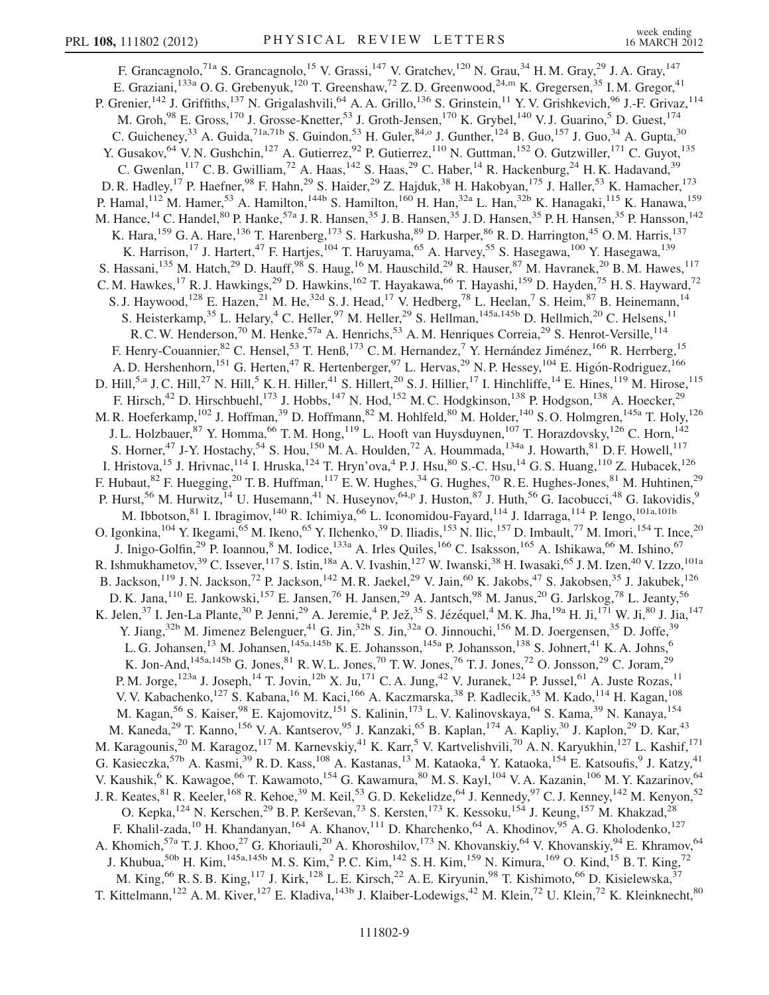<span id="page-8-1"></span><span id="page-8-0"></span>F. Grancagnolo,<sup>71a</sup> S. Grancagnolo,<sup>15</sup> V. Grassi,<sup>147</sup> V. Gratchev,<sup>120</sup> N. Grau,<sup>34</sup> H. M. Gray,<sup>29</sup> J. A. Gray,<sup>147</sup> E. Graziani,<sup>133a</sup> O. G. Grebenyuk,<sup>120</sup> T. Greenshaw,<sup>72</sup> Z. D. Greenwood,<sup>24,[m](#page-17-11)</sup> K. Gregersen,<sup>35</sup> I. M. Gregor,<sup>41</sup> P. Grenier,<sup>142</sup> J. Griffiths,<sup>137</sup> N. Grigalashvili,<sup>64</sup> A. A. Grillo,<sup>136</sup> S. Grinstein,<sup>11</sup> Y. V. Grishkevich,<sup>96</sup> J.-F. Grivaz,<sup>114</sup> M. Groh,<sup>98</sup> E. Gross,<sup>170</sup> J. Grosse-Knetter,<sup>53</sup> J. Groth-Jensen,<sup>170</sup> K. Grybel,<sup>140</sup> V. J. Guarino,<sup>5</sup> D. Guest,<sup>174</sup> C. Guicheney,  $33$  A. Guida,  $71a,71b$  S. Guindon,  $53$  H. Guler,  $84,0$  J. Gunther,  $124$  B. Guo,  $157$  J. Guo,  $34$  A. Gupta,  $30$ Y. Gusakov, <sup>64</sup> V. N. Gushchin, <sup>127</sup> A. Gutierrez, <sup>92</sup> P. Gutierrez, <sup>110</sup> N. Guttman, <sup>152</sup> O. Gutzwiller, <sup>171</sup> C. Guyot, <sup>135</sup> C. Gwenlan,<sup>117</sup> C. B. Gwilliam,<sup>72</sup> A. Haas,<sup>142</sup> S. Haas,<sup>29</sup> C. Haber,<sup>14</sup> R. Hackenburg,<sup>24</sup> H. K. Hadavand,<sup>39</sup> D. R. Hadley,<sup>17</sup> P. Haefner,<sup>98</sup> F. Hahn,<sup>29</sup> S. Haider,<sup>29</sup> Z. Hajduk,<sup>38</sup> H. Hakobyan,<sup>175</sup> J. Haller,<sup>53</sup> K. Hamacher,<sup>173</sup> P. Hamal,<sup>112</sup> M. Hamer,<sup>53</sup> A. Hamilton,<sup>144b</sup> S. Hamilton,<sup>160</sup> H. Han,<sup>32a</sup> L. Han,<sup>32b</sup> K. Hanagaki,<sup>115</sup> K. Hanawa,<sup>159</sup> M. Hance,<sup>14</sup> C. Handel,<sup>80</sup> P. Hanke,<sup>57a</sup> J. R. Hansen,<sup>35</sup> J. B. Hansen,<sup>35</sup> J. D. Hansen,<sup>35</sup> P. H. Hansen,<sup>35</sup> P. Hansson,<sup>142</sup> K. Hara,<sup>159</sup> G. A. Hare,<sup>136</sup> T. Harenberg,<sup>173</sup> S. Harkusha,<sup>89</sup> D. Harper,<sup>86</sup> R. D. Harrington,<sup>45</sup> O. M. Harris,<sup>137</sup> K. Harrison,<sup>17</sup> J. Hartert,<sup>47</sup> F. Hartjes,<sup>104</sup> T. Haruyama,<sup>65</sup> A. Harvey,<sup>55</sup> S. Hasegawa,<sup>100</sup> Y. Hasegawa,<sup>139</sup> S. Hassani,<sup>135</sup> M. Hatch,<sup>29</sup> D. Hauff,<sup>98</sup> S. Haug,<sup>16</sup> M. Hauschild,<sup>29</sup> R. Hauser,<sup>87</sup> M. Havranek,<sup>20</sup> B. M. Hawes,<sup>117</sup> C. M. Hawkes, <sup>17</sup> R. J. Hawkings, <sup>29</sup> D. Hawkins, <sup>162</sup> T. Hayakawa, <sup>66</sup> T. Hayashi, <sup>159</sup> D. Hayden, <sup>75</sup> H. S. Hayward, <sup>72</sup> S. J. Haywood,<sup>128</sup> E. Hazen,<sup>21</sup> M. He,<sup>32d</sup> S. J. Head,<sup>17</sup> V. Hedberg,<sup>78</sup> L. Heelan,<sup>7</sup> S. Heim,<sup>87</sup> B. Heinemann,<sup>14</sup> S. Heisterkamp,<sup>35</sup> L. Helary,<sup>4</sup> C. Heller,<sup>97</sup> M. Heller,<sup>29</sup> S. Hellman,<sup>145a,145b</sup> D. Hellmich,<sup>20</sup> C. Helsens,<sup>11</sup> R. C. W. Henderson,<sup>70</sup> M. Henke,<sup>57a</sup> A. Henrichs,<sup>53</sup> A. M. Henriques Correia,<sup>29</sup> S. Henrot-Versille,<sup>114</sup> F. Henry-Couannier, <sup>82</sup> C. Hensel, <sup>53</sup> T. Henß, <sup>173</sup> C. M. Hernandez, <sup>7</sup> Y. Hernández Jiménez, <sup>166</sup> R. Herrberg, <sup>15</sup> A. D. Hershenhorn, <sup>151</sup> G. Herten, <sup>47</sup> R. Hertenberger, <sup>97</sup> L. Hervas, <sup>29</sup> N. P. Hessey, <sup>104</sup> E. Higón-Rodriguez, <sup>166</sup> D. Hill,<sup>5,[a](#page-17-3)</sup> J. C. Hill,<sup>27</sup> N. Hill,<sup>5</sup> K. H. Hiller,<sup>41</sup> S. Hillert,<sup>20</sup> S. J. Hillier,<sup>17</sup> I. Hinchliffe,<sup>14</sup> E. Hines,<sup>119</sup> M. Hirose,<sup>115</sup> F. Hirsch,<sup>42</sup> D. Hirschbuehl,<sup>173</sup> J. Hobbs,<sup>147</sup> N. Hod,<sup>152</sup> M. C. Hodgkinson,<sup>138</sup> P. Hodgson,<sup>138</sup> A. Hoecker,<sup>29</sup> M. R. Hoeferkamp,<sup>102</sup> J. Hoffman,<sup>39</sup> D. Hoffmann,<sup>82</sup> M. Hohlfeld,<sup>80</sup> M. Holder,<sup>140</sup> S. O. Holmgren,<sup>145a</sup> T. Holy,<sup>126</sup> J. L. Holzbauer, <sup>87</sup> Y. Homma, <sup>66</sup> T. M. Hong, <sup>119</sup> L. Hooft van Huysduynen, <sup>107</sup> T. Horazdovsky, <sup>126</sup> C. Horn, <sup>142</sup> S. Horner,<sup>47</sup> J-Y. Hostachy,<sup>54</sup> S. Hou,<sup>150</sup> M. A. Houlden,<sup>72</sup> A. Hoummada,<sup>134a</sup> J. Howarth,<sup>81</sup> D. F. Howell,<sup>117</sup> I. Hristova,<sup>15</sup> J. Hrivnac,<sup>114</sup> I. Hruska,<sup>124</sup> T. Hryn'ova,<sup>4</sup> P.J. Hsu,<sup>80</sup> S.-C. Hsu,<sup>14</sup> G.S. Huang,<sup>110</sup> Z. Hubacek,<sup>126</sup> F. Hubaut,  $82$  F. Huegging,  $20$  T. B. Huffman,  $117$  E. W. Hughes,  $34$  G. Hughes,  $70$  R. E. Hughes-Jones,  $81$  M. Huhtinen,  $29$ P. Hurst,<su[p](#page-17-14)>56</sup> M. Hurwitz,<sup>14</sup> U. Husemann,<sup>41</sup> N. Huseynov,<sup>64,p</sup> J. Huston,<sup>87</sup> J. Huth,<sup>56</sup> G. Iacobucci,<sup>48</sup> G. Iakovidis,<sup>9</sup> M. Ibbotson, <sup>81</sup> I. Ibragimov, <sup>140</sup> R. Ichimiya, <sup>66</sup> L. Iconomidou-Fayard, <sup>114</sup> J. Idarraga, <sup>114</sup> P. Iengo, <sup>101a,101b</sup> O. Igonkina,  $^{104}$  Y. Ikegami,  $^{65}$  M. Ikeno,  $^{65}$  Y. Ilchenko,  $^{39}$  D. Iliadis,  $^{153}$  N. Ilic,  $^{157}$  D. Imbault,  $^{77}$  M. Imori,  $^{154}$  T. Ince,  $^{20}$ J. Inigo-Golfin,<sup>29</sup> P. Ioannou,<sup>8</sup> M. Iodice,<sup>133a</sup> A. Irles Quiles,<sup>166</sup> C. Isaksson,<sup>165</sup> A. Ishikawa,<sup>66</sup> M. Ishino,<sup>67</sup> R. Ishmukhametov,<sup>39</sup> C. Issever,<sup>117</sup> S. Istin,<sup>18a</sup> A. V. Ivashin,<sup>127</sup> W. Iwanski,<sup>38</sup> H. Iwasaki,<sup>65</sup> J. M. Izen,<sup>40</sup> V. Izzo,<sup>101a</sup> B. Jackson,<sup>119</sup> J. N. Jackson,<sup>72</sup> P. Jackson,<sup>142</sup> M. R. Jaekel,<sup>29</sup> V. Jain,<sup>60</sup> K. Jakobs,<sup>47</sup> S. Jakobsen,<sup>35</sup> J. Jakubek,<sup>126</sup> D. K. Jana,  $^{110}$  E. Jankowski,  $^{157}$  E. Jansen,  $^{76}$  H. Jansen,  $^{29}$  A. Jantsch,  $^{98}$  M. Janus,  $^{20}$  G. Jarlskog,  $^{78}$  L. Jeanty,  $^{56}$ K. Jelen,  $^{37}$  I. Jen-La Plante,  $^{30}$  P. Jenni,  $^{29}$  A. Jeremie,  $^{4}$  P. Jež,  $^{35}$  S. Jézéquel,  $^{4}$  M. K. Jha,  $^{19a}$  H. Ji,  $^{171}$  W. Ji,  $^{80}$  J. Jia,  $^{147}$ Y. Jiang,<sup>32b</sup> M. Jimenez Belenguer,<sup>41</sup> G. Jin,<sup>32b</sup> S. Jin,<sup>32a</sup> O. Jinnouchi,<sup>156</sup> M. D. Joergensen,<sup>35</sup> D. Joffe,<sup>39</sup> L. G. Johansen,<sup>13</sup> M. Johansen,<sup>145a,145b</sup> K. E. Johansson,<sup>145a</sup> P. Johansson,<sup>138</sup> S. Johnert,<sup>41</sup> K. A. Johns,<sup>6</sup> K. Jon-And,  $145a,145b$  G. Jones,  $81$  R. W. L. Jones,  $70$  T. W. Jones,  $76$  T. J. Jones,  $72$  O. Jonsson,  $29$  C. Joram,  $29$ P. M. Jorge,<sup>123a</sup> J. Joseph,<sup>14</sup> T. Jovin,<sup>12b</sup> X. Ju,<sup>171</sup> C. A. Jung,<sup>42</sup> V. Juranek,<sup>124</sup> P. Jussel,<sup>61</sup> A. Juste Rozas,<sup>11</sup> V. V. Kabachenko, <sup>127</sup> S. Kabana, <sup>16</sup> M. Kaci, <sup>166</sup> A. Kaczmarska, <sup>38</sup> P. Kadlecik, <sup>35</sup> M. Kado, <sup>114</sup> H. Kagan, <sup>108</sup> M. Kagan,<sup>56</sup> S. Kaiser,<sup>98</sup> E. Kajomovitz,<sup>151</sup> S. Kalinin,<sup>173</sup> L. V. Kalinovskaya,<sup>64</sup> S. Kama,<sup>39</sup> N. Kanaya,<sup>154</sup> M. Kaneda,<sup>29</sup> T. Kanno,<sup>156</sup> V. A. Kantserov,<sup>95</sup> J. Kanzaki,<sup>65</sup> B. Kaplan,<sup>174</sup> A. Kapliy,<sup>30</sup> J. Kaplon,<sup>29</sup> D. Kar,<sup>43</sup> M. Karagounis,<sup>20</sup> M. Karagoz,<sup>117</sup> M. Karnevskiy,<sup>41</sup> K. Karr,<sup>5</sup> V. Kartvelishvili,<sup>70</sup> A.N. Karyukhin,<sup>127</sup> L. Kashif,<sup>171</sup> G. Kasieczka,<sup>57b</sup> A. Kasmi,<sup>39</sup> R.D. Kass,<sup>108</sup> A. Kastanas,<sup>13</sup> M. Kataoka,<sup>4</sup> Y. Kataoka,<sup>154</sup> E. Katsoufis,<sup>9</sup> J. Katzy,<sup>41</sup> V. Kaushik,<sup>6</sup> K. Kawagoe,<sup>66</sup> T. Kawamoto,<sup>154</sup> G. Kawamura,<sup>80</sup> M. S. Kayl,<sup>104</sup> V. A. Kazanin,<sup>106</sup> M. Y. Kazarinov,<sup>64</sup> J. R. Keates, <sup>81</sup> R. Keeler,<sup>168</sup> R. Kehoe,<sup>39</sup> M. Keil,<sup>53</sup> G. D. Kekelidze, <sup>64</sup> J. Kennedy, <sup>97</sup> C. J. Kenney, <sup>142</sup> M. Kenyon,<sup>52</sup> O. Kepka,<sup>124</sup> N. Kerschen,<sup>29</sup> B. P. Kerševan,<sup>73</sup> S. Kersten,<sup>173</sup> K. Kessoku,<sup>154</sup> J. Keung,<sup>157</sup> M. Khakzad,<sup>28</sup> F. Khalil-zada,<sup>10</sup> H. Khandanyan,<sup>164</sup> A. Khanov,<sup>111</sup> D. Kharchenko,<sup>64</sup> A. Khodinov,<sup>95</sup> A. G. Kholodenko,<sup>127</sup> A. Khomich,<sup>57a</sup> T. J. Khoo,<sup>27</sup> G. Khoriauli,<sup>20</sup> A. Khoroshilov,<sup>173</sup> N. Khovanskiy,<sup>64</sup> V. Khovanskiy,<sup>94</sup> E. Khramov,<sup>64</sup> J. Khubua,<sup>50b</sup> H. Kim,<sup>145a,145b</sup> M. S. Kim,<sup>2</sup> P. C. Kim,<sup>142</sup> S. H. Kim,<sup>159</sup> N. Kimura,<sup>169</sup> O. Kind,<sup>15</sup> B. T. King,<sup>72</sup> M. King, <sup>66</sup> R. S. B. King, <sup>117</sup> J. Kirk, <sup>128</sup> L. E. Kirsch, <sup>22</sup> A. E. Kiryunin, <sup>98</sup> T. Kishimoto, <sup>66</sup> D. Kisielewska, <sup>37</sup> T. Kittelmann,<sup>122</sup> A. M. Kiver,<sup>127</sup> E. Kladiva,<sup>143b</sup> J. Klaiber-Lodewigs,<sup>42</sup> M. Klein,<sup>72</sup> U. Klein,<sup>72</sup> K. Kleinknecht,<sup>80</sup>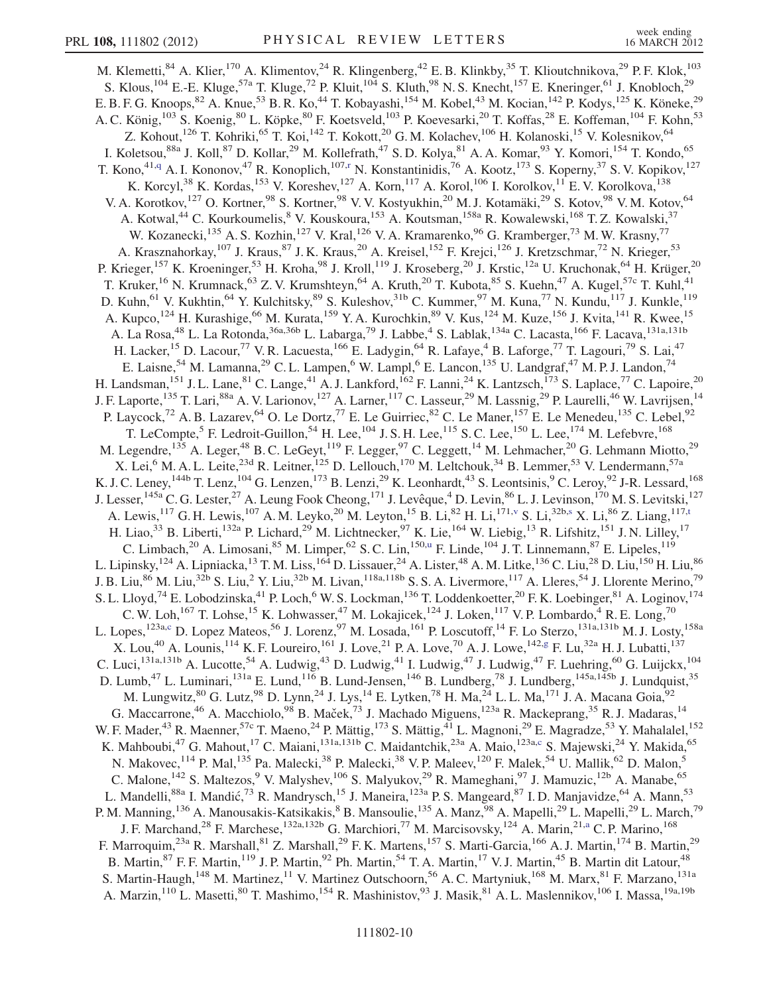<span id="page-9-2"></span><span id="page-9-1"></span><span id="page-9-0"></span>M. Klemetti,<sup>84</sup> A. Klier,<sup>170</sup> A. Klimentov,<sup>24</sup> R. Klingenberg,<sup>42</sup> E. B. Klinkby,<sup>35</sup> T. Klioutchnikova,<sup>29</sup> P. F. Klok,<sup>103</sup> S. Klous,<sup>104</sup> E.-E. Kluge,<sup>57a</sup> T. Kluge,<sup>72</sup> P. Kluit,<sup>104</sup> S. Kluth,<sup>98</sup> N. S. Knecht,<sup>157</sup> E. Kneringer,<sup>61</sup> J. Knobloch,<sup>29</sup> E. B. F. G. Knoops,  $82$  A. Knue,  $53$  B. R. Ko,  $44$  T. Kobayashi,  $154$  M. Kobel,  $43$  M. Kocian,  $142$  P. Kodys,  $125$  K. Köneke,  $29$ A. C. König,<sup>103</sup> S. Koenig,<sup>80</sup> L. Köpke,<sup>80</sup> F. Koetsveld,<sup>103</sup> P. Koevesarki,<sup>20</sup> T. Koffas,<sup>28</sup> E. Koffeman,<sup>104</sup> F. Kohn,<sup>53</sup> Z. Kohout,<sup>126</sup> T. Kohriki,<sup>65</sup> T. Koi,<sup>142</sup> T. Kokott,<sup>20</sup> G. M. Kolachev,<sup>106</sup> H. Kolanoski,<sup>15</sup> V. Kolesnikov,<sup>64</sup> I. Koletsou,<sup>88a</sup> J. Koll,<sup>87</sup> D. Kollar,<sup>29</sup> M. Kollefrath,<sup>47</sup> S. D. Kolya,<sup>81</sup> A. A. Komar,<sup>93</sup> Y. Komori,<sup>154</sup> T. Kondo,<sup>65</sup> T. Kono,<sup>41,[q](#page-17-15)</sup> A. I. Kononov,<sup>47</sup> R. Konoplich,<sup>107,[r](#page-17-16)</sup> N. Konstantinidis,<sup>76</sup> A. Kootz,<sup>173</sup> S. Koperny,<sup>37</sup> S. V. Kopikov,<sup>127</sup> K. Korcyl,<sup>38</sup> K. Kordas,<sup>153</sup> V. Koreshev,<sup>127</sup> A. Korn,<sup>117</sup> A. Korol,<sup>106</sup> I. Korolkov,<sup>11</sup> E. V. Korolkova,<sup>138</sup> V. A. Korotkov,<sup>127</sup> O. Kortner,<sup>98</sup> S. Kortner,<sup>98</sup> V. V. Kostyukhin,<sup>20</sup> M. J. Kotamäki,<sup>29</sup> S. Kotov,<sup>98</sup> V. M. Kotov,<sup>64</sup> A. Kotwal,<sup>44</sup> C. Kourkoumelis, <sup>8</sup> V. Kouskoura, <sup>153</sup> A. Koutsman, <sup>158a</sup> R. Kowalewski, <sup>168</sup> T. Z. Kowalski, <sup>37</sup> W. Kozanecki, <sup>135</sup> A. S. Kozhin, <sup>127</sup> V. Kral, <sup>126</sup> V. A. Kramarenko, <sup>96</sup> G. Kramberger, <sup>73</sup> M. W. Krasny, <sup>77</sup> A. Krasznahorkay,<sup>107</sup> J. Kraus,<sup>87</sup> J. K. Kraus,<sup>20</sup> A. Kreisel,<sup>152</sup> F. Krejci,<sup>126</sup> J. Kretzschmar,<sup>72</sup> N. Krieger,<sup>53</sup> P. Krieger,<sup>157</sup> K. Kroeninger,<sup>53</sup> H. Kroha,<sup>98</sup> J. Kroll,<sup>119</sup> J. Kroseberg,<sup>20</sup> J. Krstic,<sup>12a</sup> U. Kruchonak,<sup>64</sup> H. Krüger,<sup>20</sup> T. Kruker,<sup>16</sup> N. Krumnack,<sup>63</sup> Z. V. Krumshteyn,<sup>64</sup> A. Kruth,<sup>20</sup> T. Kubota,<sup>85</sup> S. Kuehn,<sup>47</sup> A. Kugel,<sup>57c</sup> T. Kuhl,<sup>41</sup> D. Kuhn, <sup>61</sup> V. Kukhtin, <sup>64</sup> Y. Kulchitsky, <sup>89</sup> S. Kuleshov, <sup>31b</sup> C. Kummer, <sup>97</sup> M. Kuna, <sup>77</sup> N. Kundu, <sup>117</sup> J. Kunkle, <sup>119</sup> A. Kupco,<sup>124</sup> H. Kurashige,<sup>66</sup> M. Kurata,<sup>159</sup> Y. A. Kurochkin,<sup>89</sup> V. Kus,<sup>124</sup> M. Kuze,<sup>156</sup> J. Kvita,<sup>141</sup> R. Kwee,<sup>15</sup> A. La Rosa,<sup>48</sup> L. La Rotonda,<sup>36a,36b</sup> L. Labarga,<sup>79</sup> J. Labbe,<sup>4</sup> S. Lablak,<sup>134a</sup> C. Lacasta,<sup>166</sup> F. Lacava,<sup>131a,131b</sup> H. Lacker,<sup>15</sup> D. Lacour,<sup>77</sup> V. R. Lacuesta,<sup>166</sup> E. Ladygin,<sup>64</sup> R. Lafaye,<sup>4</sup> B. Laforge,<sup>77</sup> T. Lagouri,<sup>79</sup> S. Lai,<sup>47</sup> E. Laisne,<sup>54</sup> M. Lamanna,<sup>29</sup> C. L. Lampen,<sup>6</sup> W. Lampl,<sup>6</sup> E. Lancon,<sup>135</sup> U. Landgraf,<sup>47</sup> M. P. J. Landon,<sup>74</sup> H. Landsman,<sup>151</sup> J. L. Lane,<sup>81</sup> C. Lange,<sup>41</sup> A. J. Lankford,<sup>162</sup> F. Lanni,<sup>24</sup> K. Lantzsch,<sup>173</sup> S. Laplace,<sup>77</sup> C. Lapoire,<sup>20</sup> J. F. Laporte,<sup>135</sup> T. Lari,<sup>88a</sup> A. V. Larionov,<sup>127</sup> A. Larner,<sup>117</sup> C. Lasseur,<sup>29</sup> M. Lassnig,<sup>29</sup> P. Laurelli,<sup>46</sup> W. Lavrijsen,<sup>14</sup> P. Laycock,<sup>72</sup> A. B. Lazarev,<sup>64</sup> O. Le Dortz,<sup>77</sup> E. Le Guirriec,<sup>82</sup> C. Le Maner,<sup>157</sup> E. Le Menedeu,<sup>135</sup> C. Lebel,<sup>92</sup> T. LeCompte,<sup>5</sup> F. Ledroit-Guillon,<sup>54</sup> H. Lee,<sup>104</sup> J. S. H. Lee,<sup>115</sup> S. C. Lee,<sup>150</sup> L. Lee,<sup>174</sup> M. Lefebvre,<sup>168</sup> M. Legendre,<sup>135</sup> A. Leger,<sup>48</sup> B. C. LeGeyt,<sup>119</sup> F. Legger,<sup>97</sup> C. Leggett,<sup>14</sup> M. Lehmacher,<sup>20</sup> G. Lehmann Miotto,<sup>29</sup> X. Lei,<sup>6</sup> M. A. L. Leite,<sup>23d</sup> R. Leitner,<sup>125</sup> D. Lellouch,<sup>170</sup> M. Leltchouk,<sup>34</sup> B. Lemmer,<sup>53</sup> V. Lendermann,<sup>57a</sup> K. J. C. Leney,  $^{144b}$  T. Lenz,  $^{104}$  G. Lenzen,  $^{173}$  B. Lenzi,  $^{29}$  K. Leonhardt,  $^{43}$  S. Leontsinis,  $^{9}$  C. Leroy,  $^{92}$  J-R. Lessard,  $^{168}$ J. Lesser,<sup>145a</sup> C. G. Lester,<sup>27</sup> A. Leung Fook Cheong,<sup>171</sup> J. Levêque,<sup>4</sup> D. Levin,<sup>86</sup> L. J. Levinson,<sup>170</sup> M. S. Levitski,<sup>127</sup> A. Lewi[s](#page-17-18),  $^{117}$  G. H. Lewis,  $^{107}$  A. M. Leyko,  $^{20}$  M. Ley[t](#page-17-19)on,  $^{15}$  B. Li,  $^{82}$  H. Li,  $^{171,\nu}$  S. Li,  $^{32b, s}$  X. Li,  $^{86}$  Z. Liang,  $^{117,t}$ H. Liao,<sup>33</sup> B. Liberti,<sup>132a</sup> P. Lichard,<sup>29</sup> M. Lichtnecker,<sup>97</sup> K. Lie,<sup>164</sup> W. Liebig,<sup>13</sup> R. Lifshitz,<sup>151</sup> J. N. Lilley,<sup>17</sup> C. Limbach,<sup>20</sup> A. Limosani,<sup>85</sup> M. Limper,<sup>62</sup> S. C. Lin,<sup>150[,u](#page-17-20)</sup> F. Linde,<sup>104</sup> J. T. Linnemann,<sup>87</sup> E. Lipeles,<sup>119</sup> L. Lipinsky, <sup>124</sup> A. Lipniacka, <sup>13</sup> T. M. Liss, <sup>164</sup> D. Lissauer, <sup>24</sup> A. Lister, <sup>48</sup> A. M. Litke, <sup>136</sup> C. Liu, <sup>28</sup> D. Liu, <sup>150</sup> H. Liu, <sup>86</sup> J. B. Liu,<sup>86</sup> M. Liu,<sup>32b</sup> S. Liu,<sup>2</sup> Y. Liu,<sup>32b</sup> M. Livan,<sup>118a,118b</sup> S. S. A. Livermore,<sup>117</sup> A. Lleres,<sup>54</sup> J. Llorente Merino,<sup>79</sup> S. L. Lloyd,<sup>74</sup> E. Lobodzinska,<sup>41</sup> P. Loch,<sup>6</sup> W. S. Lockman,<sup>136</sup> T. Loddenkoetter,<sup>20</sup> F. K. Loebinger,<sup>81</sup> A. Loginov,<sup>174</sup> C. W. Loh,<sup>167</sup> T. Lohse,<sup>15</sup> K. Lohwasser,<sup>47</sup> M. Lokajicek,<sup>124</sup> J. Loken,<sup>117</sup> V. P. Lombardo,<sup>4</sup> R. E. Long,<sup>70</sup> L. Lopes,<sup>123a[,c](#page-17-1)</sup> D. Lopez Mateos,<sup>56</sup> J. Lorenz,<sup>97</sup> M. Losada,<sup>161</sup> P. Loscutoff,<sup>14</sup> F. Lo Sterzo,<sup>131a,131b</sup> M. J. Losty,<sup>158a</sup> X. Lou,<sup>40</sup> A. Lounis, <sup>114</sup> K. F. Loureiro, <sup>161</sup> J. Love, <sup>21</sup> P. A. Love, <sup>70</sup> A. J. Lowe, <sup>142[,g](#page-17-5)</sup> F. Lu, <sup>32a</sup> H. J. Lubatti, <sup>137</sup> C. Luci,<sup>131a,131b</sup> A. Lucotte,<sup>54</sup> A. Ludwig,<sup>43</sup> D. Ludwig,<sup>41</sup> I. Ludwig,<sup>47</sup> J. Ludwig,<sup>47</sup> F. Luehring,<sup>60</sup> G. Luijckx,<sup>104</sup> D. Lumb,<sup>47</sup> L. Luminari,<sup>131a</sup> E. Lund,<sup>116</sup> B. Lund-Jensen,<sup>146</sup> B. Lundberg,<sup>78</sup> J. Lundberg,<sup>145a,145b</sup> J. Lundquist,<sup>35</sup> M. Lungwitz, $^{80}$  G. Lutz, $^{98}$  D. Lynn, $^{24}$  J. Lys, $^{14}$  E. Lytken, $^{78}$  H. Ma, $^{24}$  L. L. Ma, $^{171}$  J. A. Macana Goia, $^{92}$ G. Maccarrone,<sup>46</sup> A. Macchiolo,<sup>98</sup> B. Maček,<sup>73</sup> J. Machado Miguens,<sup>123a</sup> R. Mackeprang,<sup>35</sup> R. J. Madaras,<sup>14</sup> W. F. Mader,<sup>43</sup> R. Maenner,<sup>57c</sup> T. Maeno,<sup>24</sup> P. Mättig,<sup>173</sup> S. Mättig,<sup>41</sup> L. Magnoni,<sup>29</sup> E. Magradze,<sup>53</sup> Y. Mahalalel,<sup>152</sup> K. Mahboubi,<sup>47</sup> G. Mahout,<sup>17</sup> C. Maiani,<sup>131a,131b</sup> C. Maidantchik,<sup>23a</sup> A. Maio,<sup>123a[,c](#page-17-1)</sup> S. Majewski,<sup>24</sup> Y. Makida,<sup>65</sup> N. Makovec,<sup>114</sup> P. Mal,<sup>135</sup> Pa. Malecki,<sup>38</sup> P. Malecki,<sup>38</sup> V. P. Maleev,<sup>120</sup> F. Malek,<sup>54</sup> U. Mallik,<sup>62</sup> D. Malon,<sup>5</sup> C. Malone,<sup>142</sup> S. Maltezos,<sup>9</sup> V. Malyshev,<sup>106</sup> S. Malyukov,<sup>29</sup> R. Mameghani,<sup>97</sup> J. Mamuzic,<sup>12b</sup> A. Manabe,<sup>65</sup> L. Mandelli,<sup>88a</sup> I. Mandić,<sup>73</sup> R. Mandrysch,<sup>15</sup> J. Maneira,<sup>123a</sup> P. S. Mangeard,<sup>87</sup> I.D. Manjavidze,<sup>64</sup> A. Mann,<sup>53</sup> P. M. Manning,<sup>136</sup> A. Manousakis-Katsikakis,<sup>8</sup> B. Mansoulie,<sup>135</sup> A. Manz,<sup>98</sup> A. Mapelli,<sup>29</sup> L. Mapelli,<sup>29</sup> L. March,<sup>79</sup> J. F. Marchand,<sup>28</sup> F. Marchese,<sup>132a,132b</sup> G. Marchiori,<sup>77</sup> M. Marcisovsky,<sup>124</sup> A. Marin,<sup>21[,a](#page-17-3)</sup> C. P. Marino,<sup>168</sup> F. Marroquim,<sup>23a</sup> R. Marshall,<sup>81</sup> Z. Marshall,<sup>29</sup> F. K. Martens,<sup>157</sup> S. Marti-Garcia,<sup>166</sup> A. J. Martin,<sup>174</sup> B. Martin,<sup>29</sup> B. Martin, <sup>87</sup> F. F. Martin, <sup>119</sup> J. P. Martin, <sup>92</sup> Ph. Martin, <sup>54</sup> T. A. Martin, <sup>17</sup> V. J. Martin, <sup>45</sup> B. Martin dit Latour, <sup>48</sup> S. Martin-Haugh,<sup>148</sup> M. Martinez,<sup>11</sup> V. Martinez Outschoorn,<sup>56</sup> A. C. Martyniuk,<sup>168</sup> M. Marx,<sup>81</sup> F. Marzano,<sup>131a</sup> A. Marzin,<sup>110</sup> L. Masetti,<sup>80</sup> T. Mashimo,<sup>154</sup> R. Mashinistov,<sup>93</sup> J. Masik,<sup>81</sup> A. L. Maslennikov,<sup>106</sup> I. Massa,<sup>19a,19b</sup>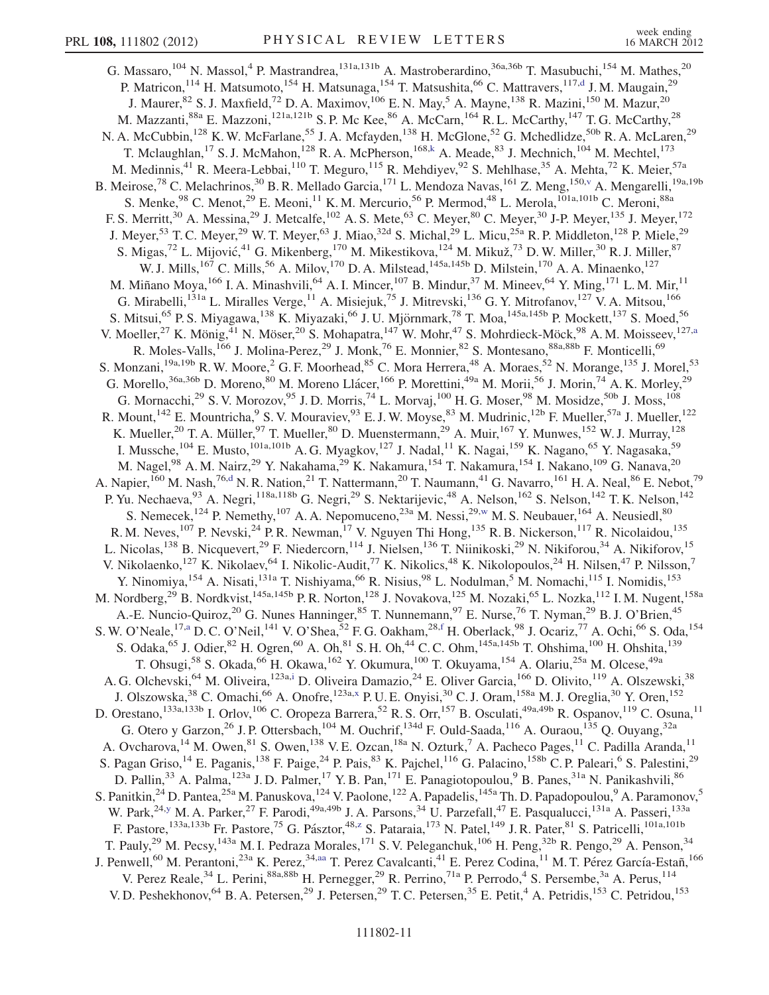<span id="page-10-4"></span><span id="page-10-3"></span><span id="page-10-2"></span><span id="page-10-1"></span><span id="page-10-0"></span>G. Massaro,  $^{104}$  N. Massol, <sup>4</sup> P. Mastrandrea,  $^{131a,131b}$  A. Mastroberardino,  $^{36a,36b}$  T. Masubuchi,  $^{154}$  M. Mathes,  $^{20}$ P. Matricon,<sup>114</sup> H. Matsumoto,<sup>154</sup> H. Matsunaga,<sup>154</sup> T. Matsushita,<sup>66</sup> C. Mattravers,<sup>117,[d](#page-17-2)</sup> J. M. Maugain,<sup>29</sup> J. Maurer,  $82$  S. J. Maxfield,  $72$  D. A. Maximov,  $^{106}$  E. N. May,  $^5$  A. Mayne,  $^{138}$  R. Mazini,  $^{150}$  M. Mazur,  $^{20}$ M. Mazzanti,<sup>88a</sup> E. Mazzoni,<sup>121a,121b</sup> S. P. Mc Kee,<sup>86</sup> A. McCarn,<sup>164</sup> R. L. McCarthy,<sup>147</sup> T. G. McCarthy,<sup>28</sup> N. A. McCubbin,<sup>128</sup> K. W. McFarlane,<sup>55</sup> J. A. Mcfayden,<sup>138</sup> H. McGlone,<sup>52</sup> G. Mchedlidze,<sup>50b</sup> R. A. McLaren,<sup>29</sup> T. Mclaughlan,<sup>17</sup> S. J. McMahon,<sup>128</sup> R. A. McPherson,<sup>168,[k](#page-17-9)</sup> A. Meade,<sup>83</sup> J. Mechnich,<sup>104</sup> M. Mechtel,<sup>173</sup> M. Medinnis,<sup>41</sup> R. Meera-Lebbai,<sup>110</sup> T. Meguro,<sup>115</sup> R. Mehdiyev,<sup>92</sup> S. Mehlhase,<sup>35</sup> A. Mehta,<sup>72</sup> K. Meier,<sup>57a</sup> B. Meirose,<sup>78</sup> C. Melachrinos,<sup>30</sup> B. R. Mellado Garcia,<sup>171</sup> L. Mendoza Navas,<sup>161</sup> Z. Meng,<sup>150[,v](#page-17-17)</sup> A. Mengarelli,<sup>19a,19b</sup> S. Menke,  $98$  C. Menot,  $29$  E. Meoni,  $11$  K. M. Mercurio,  $56$  P. Mermod,  $48$  L. Merola,  $101a,101b$  C. Meroni,  $88a$ F. S. Merritt,<sup>30</sup> A. Messina,<sup>29</sup> J. Metcalfe,<sup>102</sup> A. S. Mete,<sup>63</sup> C. Meyer,<sup>80</sup> C. Meyer,<sup>30</sup> J-P. Meyer,<sup>135</sup> J. Meyer,<sup>172</sup> J. Meyer,<sup>53</sup> T. C. Meyer,<sup>29</sup> W. T. Meyer,<sup>63</sup> J. Miao,<sup>32d</sup> S. Michal,<sup>29</sup> L. Micu,<sup>25a</sup> R. P. Middleton,<sup>128</sup> P. Miele,<sup>29</sup> S. Migas,<sup>72</sup> L. Mijović,<sup>41</sup> G. Mikenberg,<sup>170</sup> M. Mikestikova,<sup>124</sup> M. Mikuž,<sup>73</sup> D. W. Miller,<sup>30</sup> R. J. Miller,<sup>87</sup> W. J. Mills,<sup>167</sup> C. Mills,<sup>56</sup> A. Milov,<sup>170</sup> D. A. Milstead,<sup>145a,145b</sup> D. Milstein,<sup>170</sup> A. A. Minaenko,<sup>127</sup> M. Miñano Moya, <sup>166</sup> I. A. Minashvili, <sup>64</sup> A. I. Mincer, <sup>107</sup> B. Mindur, <sup>37</sup> M. Mineev, <sup>64</sup> Y. Ming, <sup>171</sup> L. M. Mir, <sup>11</sup> G. Mirabelli,<sup>131a</sup> L. Miralles Verge,<sup>11</sup> A. Misiejuk,<sup>75</sup> J. Mitrevski,<sup>136</sup> G. Y. Mitrofanov,<sup>127</sup> V. A. Mitsou,<sup>166</sup> S. Mitsui,<sup>65</sup> P. S. Miyagawa,<sup>138</sup> K. Miyazaki,<sup>66</sup> J. U. Mjörnmark,<sup>78</sup> T. Moa,<sup>145a,145b</sup> P. Mockett,<sup>137</sup> S. Moed,<sup>56</sup> V. Moeller,<sup>27</sup> K. Mönig,<sup>41</sup> N. Möser,<sup>20</sup> S. Mohapatra,<sup>147</sup> W. Mohr,<sup>47</sup> S. Mohrdieck-Möck,<sup>98</sup> A. M. Moisseev,<sup>127[,a](#page-17-3)</sup> R. Moles-Valls,<sup>166</sup> J. Molina-Perez,<sup>29</sup> J. Monk,<sup>76</sup> E. Monnier,<sup>82</sup> S. Montesano,<sup>88a,88b</sup> F. Monticelli,<sup>69</sup> S. Monzani,<sup>19a,19b</sup> R. W. Moore,<sup>2</sup> G. F. Moorhead,<sup>85</sup> C. Mora Herrera,<sup>48</sup> A. Moraes,<sup>52</sup> N. Morange,<sup>135</sup> J. Morel,<sup>53</sup> G. Morello,<sup>36a,36b</sup> D. Moreno,<sup>80</sup> M. Moreno Llácer,<sup>166</sup> P. Morettini,<sup>49a</sup> M. Morii,<sup>56</sup> J. Morin,<sup>74</sup> A. K. Morley,<sup>29</sup> G. Mornacchi,<sup>29</sup> S. V. Morozov,<sup>95</sup> J. D. Morris,<sup>74</sup> L. Morvaj,<sup>100</sup> H. G. Moser,<sup>98</sup> M. Mosidze,<sup>50b</sup> J. Moss,<sup>108</sup> R. Mount,<sup>142</sup> E. Mountricha, <sup>9</sup> S. V. Mouraviev, <sup>93</sup> E. J. W. Moyse, <sup>83</sup> M. Mudrinic, <sup>12b</sup> F. Mueller, <sup>57a</sup> J. Mueller, <sup>122</sup> K. Mueller, <sup>20</sup> T. A. Müller, <sup>97</sup> T. Mueller, <sup>80</sup> D. Muenstermann, <sup>29</sup> A. Muir, <sup>167</sup> Y. Munwes, <sup>152</sup> W. J. Murray, <sup>128</sup> I. Mussche,  $^{104}$  E. Musto,  $^{101a,101b}$  A. G. Myagkov,  $^{127}$  J. Nadal,  $^{11}$  K. Nagai,  $^{159}$  K. Nagano,  $^{65}$  Y. Nagasaka,  $^{59}$ M. Nagel,<sup>98</sup> A. M. Nairz,<sup>29</sup> Y. Nakahama,<sup>29</sup> K. Nakamura,<sup>154</sup> T. Nakamura,<sup>154</sup> I. Nakano,<sup>109</sup> G. Nanava,<sup>20</sup> A. Napier,<sup>160</sup> M. Nash,<sup>76,[d](#page-17-2)</sup> N. R. Nation,<sup>21</sup> T. Nattermann,<sup>20</sup> T. Naumann,<sup>41</sup> G. Navarro,<sup>161</sup> H. A. Neal,<sup>86</sup> E. Nebot,<sup>79</sup> P. Yu. Nechaeva,  $93$  A. Negri,  $118a,118b$  G. Negri,  $29$  S. Nektarijevic,  $48$  A. Nelson,  $162$  S. Nelson,  $142$  T. K. Nelson,  $142$ S. Nemecek,<sup>124</sup> P. Nemethy,<sup>107</sup> A. A. Nepomuceno,<sup>23a</sup> M. Nessi,<sup>29,[w](#page-17-21)</sup> M. S. Neubauer,<sup>164</sup> A. Neusiedl,<sup>80</sup> R. M. Neves,<sup>107</sup> P. Nevski,<sup>24</sup> P. R. Newman,<sup>17</sup> V. Nguyen Thi Hong,<sup>135</sup> R. B. Nickerson,<sup>117</sup> R. Nicolaidou,<sup>135</sup> L. Nicolas,<sup>138</sup> B. Nicquevert,<sup>29</sup> F. Niedercorn,<sup>114</sup> J. Nielsen,<sup>136</sup> T. Niinikoski,<sup>29</sup> N. Nikiforou,<sup>34</sup> A. Nikiforov,<sup>15</sup> V. Nikolaenko,<sup>127</sup> K. Nikolaev,<sup>64</sup> I. Nikolic-Audit,<sup>77</sup> K. Nikolics,<sup>48</sup> K. Nikolopoulos,<sup>24</sup> H. Nilsen,<sup>47</sup> P. Nilsson,<sup>7</sup> Y. Ninomiya, <sup>154</sup> A. Nisati, <sup>131a</sup> T. Nishiyama, <sup>66</sup> R. Nisius, <sup>98</sup> L. Nodulman, <sup>5</sup> M. Nomachi, <sup>115</sup> I. Nomidis, <sup>153</sup> M. Nordberg,<sup>29</sup> B. Nordkvist,<sup>145a,145b</sup> P. R. Norton,<sup>128</sup> J. Novakova,<sup>125</sup> M. Nozaki,<sup>65</sup> L. Nozka,<sup>112</sup> I. M. Nugent,<sup>158a</sup> A.-E. Nuncio-Quiroz,<sup>20</sup> G. Nunes Hanninger,<sup>85</sup> T. Nunnemann,<sup>97</sup> E. Nurse,<sup>76</sup> T. Nyman,<sup>29</sup> B. J. O'Brien,<sup>45</sup> S. W. O'Neale, <sup>17[,a](#page-17-3)</sup> D. C. O'Neil, <sup>141</sup> V. O'Shea, <sup>52</sup> F. G. Oakham,  $^{28, f}$  $^{28, f}$  $^{28, f}$  H. Oberlack,  $^{98}$  J. Ocariz,  $^{77}$  A. Ochi,  $^{66}$  S. Oda,  $^{154}$ S. Odaka,  $^{65}$  J. Odier,  $^{82}$  H. Ogren,  $^{60}$  A. Oh,  $^{81}$  S. H. Oh,  $^{44}$  C. C. Ohm,  $^{145a,145b}$  T. Ohshima,  $^{100}$  H. Ohshita,  $^{139}$ T. Ohsugi,<sup>58</sup> S. Okada,<sup>66</sup> H. Okawa,<sup>162</sup> Y. Okumura,<sup>100</sup> T. Okuyama,<sup>154</sup> A. Olariu,<sup>25a</sup> M. Olcese,<sup>49a</sup> A. G. Olchevski, <sup>64</sup> M. Oliveira, <sup>123a[,i](#page-17-7)</sup> D. Oliveira Damazio, <sup>24</sup> E. Oliver Garcia, <sup>166</sup> D. Olivito, <sup>119</sup> A. Olszewski, <sup>38</sup> J. Olszowska,<sup>38</sup> C. Omachi,<sup>66</sup> A. Onofre,<sup>123a[,x](#page-17-22)</sup> P. U. E. Onyisi,<sup>30</sup> C. J. Oram,<sup>158a</sup> M. J. Oreglia,<sup>30</sup> Y. Oren,<sup>152</sup> D. Orestano,<sup>133a,133b</sup> I. Orlov,<sup>106</sup> C. Oropeza Barrera,<sup>52</sup> R. S. Orr,<sup>157</sup> B. Osculati,<sup>49a,49b</sup> R. Ospanov,<sup>119</sup> C. Osuna,<sup>11</sup> G. Otero y Garzon,<sup>26</sup> J. P. Ottersbach,<sup>104</sup> M. Ouchrif,<sup>134d</sup> F. Ould-Saada,<sup>116</sup> A. Ouraou,<sup>135</sup> Q. Ouyang,<sup>32a</sup> A. Ovcharova,<sup>14</sup> M. Owen,<sup>81</sup> S. Owen,<sup>138</sup> V. E. Ozcan,<sup>18a</sup> N. Ozturk,<sup>7</sup> A. Pacheco Pages,<sup>11</sup> C. Padilla Aranda,<sup>11</sup> S. Pagan Griso,<sup>14</sup> E. Paganis,<sup>138</sup> F. Paige,<sup>24</sup> P. Pais,<sup>83</sup> K. Pajchel,<sup>116</sup> G. Palacino,<sup>158b</sup> C. P. Paleari,<sup>6</sup> S. Palestini,<sup>29</sup> D. Pallin,<sup>33</sup> A. Palma,<sup>123a</sup> J.D. Palmer,<sup>17</sup> Y.B. Pan,<sup>171</sup> E. Panagiotopoulou,<sup>9</sup> B. Panes,<sup>31a</sup> N. Panikashvili,<sup>86</sup> S. Panitkin,<sup>24</sup> D. Pantea,<sup>25a</sup> M. Panuskova,<sup>124</sup> V. Paolone,<sup>122</sup> A. Papadelis,<sup>145a</sup> Th. D. Papadopoulou,<sup>9</sup> A. Paramonov,<sup>5</sup> W. Park,<sup>24[,y](#page-17-23)</sup> M. A. Parker,<sup>27</sup> F. Parodi,<sup>49a,49b</sup> J. A. Parsons,<sup>34</sup> U. Parzefall,<sup>47</sup> E. Pasqualucci,<sup>131a</sup> A. Passeri,<sup>133a</sup> F. Pastore,<sup>133a,133b</sup> Fr. Pastore,<sup>75</sup> G. Pás[z](#page-17-24)tor,<sup>48,z</sup> S. Pataraia,<sup>173</sup> N. Patel,<sup>149</sup> J. R. Pater,<sup>81</sup> S. Patricelli,<sup>101a,101b</sup> T. Pauly,<sup>29</sup> M. Pecsy,<sup>143a</sup> M. I. Pedraza Morales,<sup>171</sup> S. V. Peleganchuk,<sup>106</sup> H. Peng,<sup>32b</sup> R. Pengo,<sup>29</sup> A. Penson,<sup>34</sup> J. Penwell, $^{60}$  M. Perantoni, $^{23a}$  K. Perez, $^{34,aa}$  $^{34,aa}$  $^{34,aa}$  T. Perez Cavalcanti, $^{41}$  E. Perez Codina, $^{11}$  M. T. Pérez García-Estañ, $^{166}$ V. Perez Reale,<sup>34</sup> L. Perini,<sup>88a,88b</sup> H. Pernegger,<sup>29</sup> R. Perrino,<sup>71a</sup> P. Perrodo,<sup>4</sup> S. Persembe,<sup>3a</sup> A. Perus,<sup>114</sup> V. D. Peshekhonov, <sup>64</sup> B. A. Petersen, <sup>29</sup> J. Petersen, <sup>29</sup> T. C. Petersen, <sup>35</sup> E. Petit, <sup>4</sup> A. Petridis, <sup>153</sup> C. Petridou, <sup>153</sup>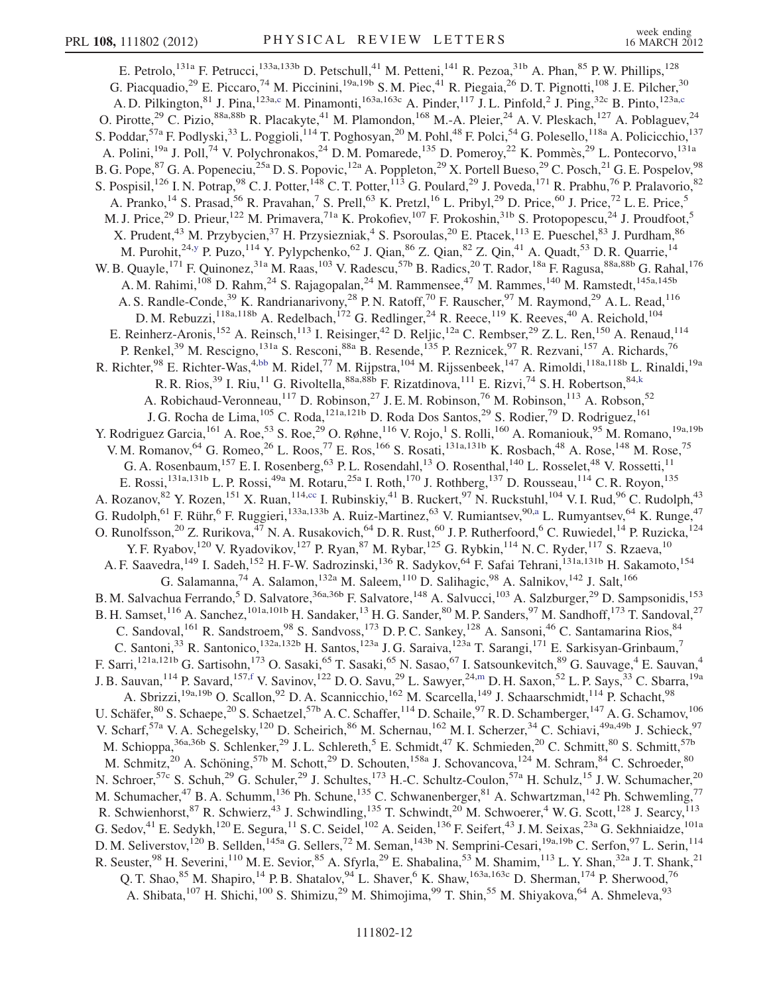<span id="page-11-1"></span><span id="page-11-0"></span>E. Petrolo,<sup>131a</sup> F. Petrucci,<sup>133a,133b</sup> D. Petschull,<sup>41</sup> M. Petteni,<sup>141</sup> R. Pezoa,<sup>31b</sup> A. Phan,<sup>85</sup> P. W. Phillips,<sup>128</sup> G. Piacquadio,<sup>29</sup> E. Piccaro,<sup>74</sup> M. Piccinini,<sup>19a,19b</sup> S. M. Piec,<sup>41</sup> R. Piegaia,<sup>26</sup> D. T. Pignotti,<sup>108</sup> J. E. Pilcher,<sup>30</sup> A. D. Pilkington,<sup>81</sup> J. Pina,<sup>123a,[c](#page-17-1)</sup> M. Pinamonti,<sup>163a,163c</sup> A. Pinder,<sup>117</sup> J. L. Pinfold,<sup>2</sup> J. Ping,<sup>32c</sup> B. Pinto,<sup>123a[,c](#page-17-1)</sup> O. Pirotte,<sup>29</sup> C. Pizio,<sup>88a,88b</sup> R. Placakyte,<sup>41</sup> M. Plamondon,<sup>168</sup> M.-A. Pleier,<sup>24</sup> A. V. Pleskach,<sup>127</sup> A. Poblaguev,<sup>24</sup> S. Poddar,<sup>57a</sup> F. Podlyski,<sup>33</sup> L. Poggioli,<sup>114</sup> T. Poghosyan,<sup>20</sup> M. Pohl,<sup>48</sup> F. Polci,<sup>54</sup> G. Polesello,<sup>118a</sup> A. Policicchio,<sup>137</sup> A. Polini,<sup>19a</sup> J. Poll,<sup>74</sup> V. Polychronakos,<sup>24</sup> D. M. Pomarede,<sup>135</sup> D. Pomeroy,<sup>22</sup> K. Pommès,<sup>29</sup> L. Pontecorvo,<sup>131a</sup> B. G. Pope, <sup>87</sup> G. A. Popeneciu,<sup>25a</sup> D. S. Popovic,<sup>12a</sup> A. Poppleton,<sup>29</sup> X. Portell Bueso,<sup>29</sup> C. Posch,<sup>21</sup> G. E. Pospelov,<sup>98</sup> S. Pospisil,<sup>126</sup> I. N. Potrap,<sup>98</sup> C. J. Potter,<sup>148</sup> C. T. Potter,<sup>113</sup> G. Poulard,<sup>29</sup> J. Poveda,<sup>171</sup> R. Prabhu,<sup>76</sup> P. Pralavorio,<sup>82</sup> A. Pranko,<sup>14</sup> S. Prasad,<sup>56</sup> R. Pravahan,<sup>7</sup> S. Prell,<sup>63</sup> K. Pretzl,<sup>16</sup> L. Pribyl,<sup>29</sup> D. Price,<sup>60</sup> J. Price,<sup>72</sup> L. E. Price,<sup>5</sup> M. J. Price,<sup>29</sup> D. Prieur,<sup>122</sup> M. Primavera,<sup>71a</sup> K. Prokofiev,<sup>107</sup> F. Prokoshin,<sup>31b</sup> S. Protopopescu,<sup>24</sup> J. Proudfoot,<sup>5</sup> X. Prudent,<sup>43</sup> M. Przybycien,<sup>37</sup> H. Przysiezniak,<sup>4</sup> S. Psoroulas,<sup>20</sup> E. Ptacek,<sup>113</sup> E. Pueschel,<sup>83</sup> J. Purdham,<sup>86</sup> M. Purohit, <sup>24[,y](#page-17-23)</sup> P. Puzo, <sup>114</sup> Y. Pylypchenko, <sup>62</sup> J. Qian, <sup>86</sup> Z. Qian, <sup>82</sup> Z. Qin, <sup>41</sup> A. Quadt, <sup>53</sup> D. R. Quarrie, <sup>14</sup> W. B. Quayle,<sup>171</sup> F. Quinonez,<sup>31a</sup> M. Raas,<sup>103</sup> V. Radescu,<sup>57b</sup> B. Radics,<sup>20</sup> T. Rador,<sup>18a</sup> F. Ragusa,<sup>88a,88b</sup> G. Rahal,<sup>176</sup> A. M. Rahimi, <sup>108</sup> D. Rahm, <sup>24</sup> S. Rajagopalan, <sup>24</sup> M. Rammensee, <sup>47</sup> M. Rammes, <sup>140</sup> M. Ramstedt, <sup>145a, 145b</sup> A. S. Randle-Conde,<sup>39</sup> K. Randrianarivony,<sup>28</sup> P. N. Ratoff,<sup>70</sup> F. Rauscher,<sup>97</sup> M. Raymond,<sup>29</sup> A. L. Read,<sup>116</sup> D. M. Rebuzzi,  $^{118a,118b}$  A. Redelbach,  $^{172}$  G. Redlinger,  $^{24}$  R. Reece,  $^{119}$  K. Reeves,  $^{40}$  A. Reichold,  $^{104}$ E. Reinherz-Aronis,<sup>152</sup> A. Reinsch,<sup>113</sup> I. Reisinger,<sup>42</sup> D. Reljic,<sup>12a</sup> C. Rembser,<sup>29</sup> Z. L. Ren,<sup>150</sup> A. Renaud,<sup>114</sup> P. Renkel,<sup>39</sup> M. Rescigno,<sup>131a</sup> S. Resconi,<sup>88a</sup> B. Resende,<sup>135</sup> P. Reznicek,<sup>97</sup> R. Rezvani,<sup>157</sup> A. Richards,<sup>76</sup> R. Richter,<sup>98</sup> E. Richter-Was,<sup>4,[bb](#page-17-26)</sup> M. Ridel,<sup>77</sup> M. Rijpstra,<sup>104</sup> M. Rijssenbeek,<sup>147</sup> A. Rimoldi,<sup>118a,118b</sup> L. Rinaldi,<sup>19a</sup> R. R. Rios,<sup>39</sup> I. Riu,<sup>11</sup> G. Rivoltella, <sup>88a, 88b</sup> F. Rizatdinova, <sup>111</sup> E. Rizvi, <sup>74</sup> S. H. Robertson, <sup>84, k</sup> A. Robichaud-Veronneau,<sup>117</sup> D. Robinson,<sup>27</sup> J. E. M. Robinson,<sup>76</sup> M. Robinson,<sup>113</sup> A. Robson,<sup>52</sup> J. G. Rocha de Lima, <sup>105</sup> C. Roda, <sup>121a,121b</sup> D. Roda Dos Santos, <sup>29</sup> S. Rodier, <sup>79</sup> D. Rodriguez, <sup>161</sup> Y. Rodriguez Garcia, <sup>161</sup> A. Roe, <sup>53</sup> S. Roe, <sup>29</sup> O. Røhne, <sup>116</sup> V. Rojo, <sup>1</sup> S. Rolli, <sup>160</sup> A. Romaniouk, <sup>95</sup> M. Romano, <sup>19a, 19b</sup> V. M. Romanov, <sup>64</sup> G. Romeo, <sup>26</sup> L. Roos, <sup>77</sup> E. Ros, <sup>166</sup> S. Rosati, <sup>131a, 131b</sup> K. Rosbach, <sup>48</sup> A. Rose, <sup>148</sup> M. Rose, <sup>75</sup> G. A. Rosenbaum, <sup>157</sup> E. I. Rosenberg, <sup>63</sup> P. L. Rosendahl, <sup>13</sup> O. Rosenthal, <sup>140</sup> L. Rosselet, <sup>48</sup> V. Rossetti, <sup>11</sup> E. Rossi,<sup>131a,131b</sup> L. P. Rossi,<sup>49a</sup> M. Rotaru,<sup>25a</sup> I. Roth,<sup>170</sup> J. Rothberg,<sup>137</sup> D. Rousseau,<sup>114</sup> C. R. Royon,<sup>135</sup> A. Rozanov, <sup>82</sup> Y. Rozen, <sup>151</sup> X. Ruan, <sup>114[,cc](#page-17-27)</sup> I. Rubinskiy, <sup>41</sup> B. Ruckert, <sup>97</sup> N. Ruckstuhl, <sup>104</sup> V. I. Rud, <sup>96</sup> C. Rudolph, <sup>43</sup> G. Rudolph,<sup>61</sup> F. Rühr,<sup>6</sup> F. Ruggieri,<sup>133[a](#page-17-3),133b</sup> A. Ruiz-Martinez,<sup>63</sup> V. Rumiantsev,<sup>90,a</sup> L. Rumyantsev,<sup>64</sup> K. Runge,<sup>47</sup> O. Runolfsson,<sup>20</sup> Z. Rurikova,<sup>47</sup> N. A. Rusakovich,<sup>64</sup> D. R. Rust,<sup>60</sup> J. P. Rutherfoord,<sup>6</sup> C. Ruwiedel,<sup>14</sup> P. Ruzicka,<sup>124</sup> Y. F. Ryabov,<sup>120</sup> V. Ryadovikov,<sup>127</sup> P. Ryan,<sup>87</sup> M. Rybar,<sup>125</sup> G. Rybkin,<sup>114</sup> N. C. Ryder,<sup>117</sup> S. Rzaeva,<sup>10</sup> A. F. Saavedra, <sup>149</sup> I. Sadeh, <sup>152</sup> H. F-W. Sadrozinski, <sup>136</sup> R. Sadykov, <sup>64</sup> F. Safai Tehrani, <sup>131a, 131b</sup> H. Sakamoto, <sup>154</sup> G. Salamanna,  $^{74}$  A. Salamon,  $^{132a}$  M. Saleem,  $^{110}$  D. Salihagic,  $^{98}$  A. Salnikov,  $^{142}$  J. Salt,  $^{166}$ B. M. Salvachua Ferrando,<sup>5</sup> D. Salvatore,<sup>36a,36b</sup> F. Salvatore,<sup>148</sup> A. Salvucci,<sup>103</sup> A. Salzburger,<sup>29</sup> D. Sampsonidis,<sup>153</sup> B. H. Samset, 116 A. Sanchez, <sup>101a,101b</sup> H. Sandaker, <sup>13</sup> H. G. Sander, <sup>80</sup> M. P. Sanders, <sup>97</sup> M. Sandhoff, <sup>173</sup> T. Sandoval, <sup>27</sup> C. Sandoval, <sup>161</sup> R. Sandstroem, <sup>98</sup> S. Sandvoss, <sup>173</sup> D. P. C. Sankey, <sup>128</sup> A. Sansoni, <sup>46</sup> C. Santamarina Rios, <sup>84</sup> C. Santoni,<sup>33</sup> R. Santonico,<sup>132a,132b</sup> H. Santos,<sup>123a</sup> J. G. Saraiva,<sup>123a</sup> T. Sarangi,<sup>171</sup> E. Sarkisyan-Grinbaum,<sup>7</sup> F. Sarri,<sup>121a,121b</sup> G. Sartisohn,<sup>173</sup> O. Sasaki,<sup>65</sup> T. Sasaki,<sup>65</sup> N. Sasao,<sup>67</sup> I. Satsounkevitch,<sup>89</sup> G. Sauvage,<sup>4</sup> E. Sauvan,<sup>4</sup> J. B. Sauvan,<sup>114</sup> P. Savard,<sup>157[,f](#page-17-4)</sup> V. Savinov,<sup>122</sup> D. O. Savu,<sup>29</sup> L. Sawyer,<sup>24[,m](#page-17-11)</sup> D. H. Saxon,<sup>52</sup> L. P. Says,<sup>33</sup> C. Sbarra,<sup>19a</sup> A. Sbrizzi,<sup>19a,19b</sup> O. Scallon,<sup>92</sup> D. A. Scannicchio,<sup>162</sup> M. Scarcella,<sup>149</sup> J. Schaarschmidt,<sup>114</sup> P. Schacht,<sup>98</sup> U. Schäfer, ${}^{80}$  S. Schaepe, ${}^{20}$  S. Schaetzel, ${}^{57b}$  A. C. Schaffer, ${}^{114}$  D. Schaile, ${}^{97}$  R. D. Schamberger, ${}^{147}$  A. G. Schamov, ${}^{106}$ V. Scharf,<sup>57a</sup> V. A. Schegelsky,<sup>120</sup> D. Scheirich,<sup>86</sup> M. Schernau,<sup>162</sup> M. I. Scherzer,<sup>34</sup> C. Schiavi,<sup>49a,49b</sup> J. Schieck,<sup>97</sup> M. Schioppa,<sup>36a,36b</sup> S. Schlenker,<sup>29</sup> J. L. Schlereth,<sup>5</sup> E. Schmidt,<sup>47</sup> K. Schmieden,<sup>20</sup> C. Schmitt,<sup>80</sup> S. Schmitt,<sup>57b</sup> M. Schmitz,<sup>20</sup> A. Schöning,<sup>57b</sup> M. Schott,<sup>29</sup> D. Schouten,<sup>158a</sup> J. Schovancova,<sup>124</sup> M. Schram,<sup>84</sup> C. Schroeder,<sup>80</sup> N. Schroer,<sup>57c</sup> S. Schuh,<sup>29</sup> G. Schuler,<sup>29</sup> J. Schultes,<sup>173</sup> H.-C. Schultz-Coulon,<sup>57a</sup> H. Schulz,<sup>15</sup> J. W. Schumacher,<sup>20</sup> M. Schumacher,<sup>47</sup> B. A. Schumm,<sup>136</sup> Ph. Schune,<sup>135</sup> C. Schwanenberger,<sup>81</sup> A. Schwartzman,<sup>142</sup> Ph. Schwemling,<sup>77</sup> R. Schwienhorst,  $^{87}$  R. Schwierz,  $^{43}$  J. Schwindling,  $^{135}$  T. Schwindt,  $^{20}$  M. Schwoerer,  $^4$  W. G. Scott,  $^{128}$  J. Searcy,  $^{113}$ G. Sedov,  $^{41}$  E. Sedykh,  $^{120}$  E. Segura,  $^{11}$  S. C. Seidel,  $^{102}$  A. Seiden,  $^{136}$  F. Seifert,  $^{43}$  J. M. Seixas,  $^{23a}$  G. Sekhniaidze,  $^{101a}$ D. M. Seliverstov,<sup>120</sup> B. Sellden,<sup>145a</sup> G. Sellers,<sup>72</sup> M. Seman,<sup>143b</sup> N. Semprini-Cesari,<sup>19a,19b</sup> C. Serfon,<sup>97</sup> L. Serin,<sup>114</sup> R. Seuster, <sup>98</sup> H. Severini, <sup>110</sup> M. E. Sevior, <sup>85</sup> A. Sfyrla, <sup>29</sup> E. Shabalina, <sup>53</sup> M. Shamim, <sup>113</sup> L. Y. Shan, <sup>32a</sup> J. T. Shank, <sup>21</sup> Q. T. Shao,<sup>85</sup> M. Shapiro,<sup>14</sup> P. B. Shatalov,<sup>94</sup> L. Shaver,<sup>6</sup> K. Shaw,<sup>163a,163c</sup> D. Sherman,<sup>174</sup> P. Sherwood,<sup>76</sup> A. Shibata,<sup>107</sup> H. Shichi,<sup>100</sup> S. Shimizu,<sup>29</sup> M. Shimojima,<sup>99</sup> T. Shin,<sup>55</sup> M. Shiyakova,<sup>64</sup> A. Shmeleva,<sup>93</sup>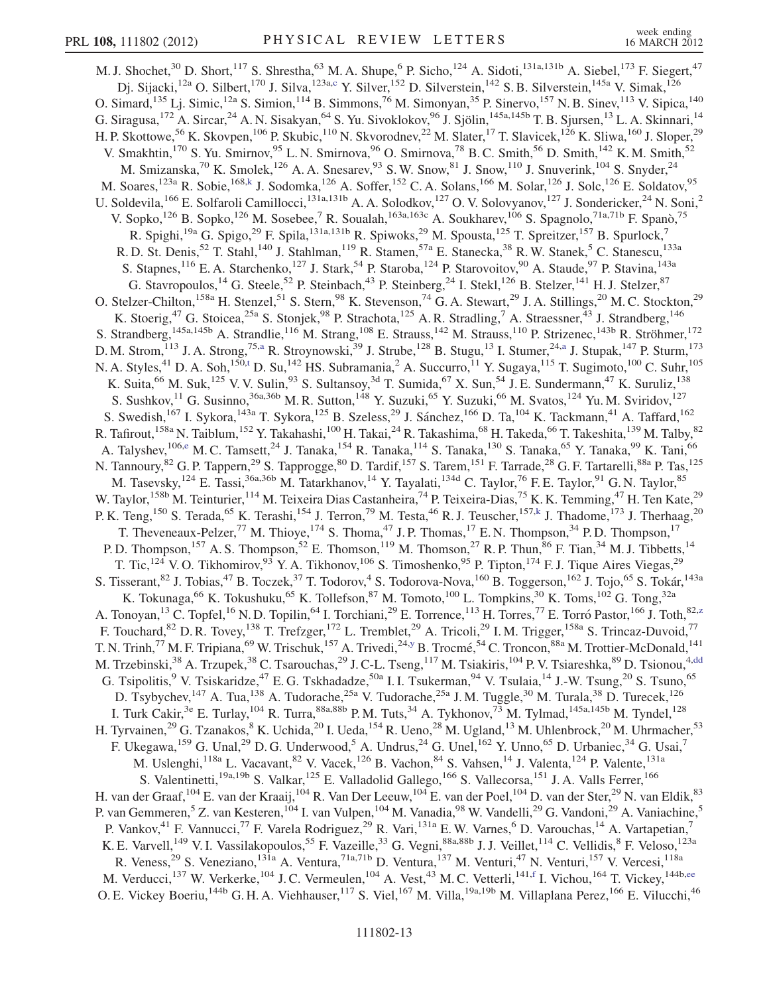<span id="page-12-2"></span><span id="page-12-1"></span><span id="page-12-0"></span>M. J. Shochet,<sup>30</sup> D. Short,<sup>117</sup> S. Shrestha,<sup>63</sup> M. A. Shupe,<sup>6</sup> P. Sicho,<sup>124</sup> A. Sidoti,<sup>131a,131b</sup> A. Siebel,<sup>173</sup> F. Siegert,<sup>47</sup> Dj. Sijacki,<sup>12a</sup> O. Silbert,<sup>170</sup> J. Silva,<sup>123a[,c](#page-17-1)</sup> Y. Silver,<sup>152</sup> D. Silverstein,<sup>142</sup> S. B. Silverstein,<sup>145a</sup> V. Simak,<sup>126</sup> O. Simard,<sup>135</sup> Lj. Simic,<sup>12a</sup> S. Simion,<sup>114</sup> B. Simmons,<sup>76</sup> M. Simonyan,<sup>35</sup> P. Sinervo,<sup>157</sup> N. B. Sinev,<sup>113</sup> V. Sipica,<sup>140</sup> G. Siragusa,<sup>172</sup> A. Sircar,<sup>24</sup> A. N. Sisakyan,<sup>64</sup> S. Yu. Sivoklokov,<sup>96</sup> J. Sjölin,<sup>145a,145b</sup> T. B. Sjursen,<sup>13</sup> L. A. Skinnari,<sup>14</sup> H. P. Skottowe,<sup>56</sup> K. Skovpen,<sup>106</sup> P. Skubic,<sup>110</sup> N. Skvorodnev,<sup>22</sup> M. Slater,<sup>17</sup> T. Slavicek,<sup>126</sup> K. Sliwa,<sup>160</sup> J. Sloper,<sup>29</sup> V. Smakhtin,<sup>170</sup> S. Yu. Smirnov,<sup>95</sup> L. N. Smirnova,<sup>96</sup> O. Smirnova,<sup>78</sup> B. C. Smith,<sup>56</sup> D. Smith,<sup>142</sup> K. M. Smith,<sup>52</sup> M. Smizanska,<sup>70</sup> K. Smolek,<sup>126</sup> A. A. Snesarev,<sup>93</sup> S. W. Snow,<sup>81</sup> J. Snow,<sup>110</sup> J. Snuverink,<sup>104</sup> S. Snyder,<sup>24</sup> M. Soares,<sup>123a</sup> R. Sobie,<sup>168[,k](#page-17-9)</sup> J. Sodomka,<sup>126</sup> A. Soffer,<sup>152</sup> C. A. Solans,<sup>166</sup> M. Solar,<sup>126</sup> J. Solc,<sup>126</sup> E. Soldatov,<sup>95</sup> U. Soldevila,<sup>166</sup> E. Solfaroli Camillocci,<sup>131a,131b</sup> A. A. Solodkov,<sup>127</sup> O. V. Solovyanov,<sup>127</sup> J. Sondericker,<sup>24</sup> N. Soni,<sup>2</sup> V. Sopko,<sup>126</sup> B. Sopko,<sup>126</sup> M. Sosebee,<sup>7</sup> R. Soualah,<sup>163a,163c</sup> A. Soukharev,<sup>106</sup> S. Spagnolo,<sup>71a,71b</sup> F. Spanò,<sup>75</sup> R. Spighi,<sup>19a</sup> G. Spigo,<sup>29</sup> F. Spila,<sup>131a,131b</sup> R. Spiwoks,<sup>29</sup> M. Spousta,<sup>125</sup> T. Spreitzer,<sup>157</sup> B. Spurlock,<sup>7</sup> R. D. St. Denis,<sup>52</sup> T. Stahl,<sup>140</sup> J. Stahlman,<sup>119</sup> R. Stamen,<sup>57a</sup> E. Stanecka,<sup>38</sup> R. W. Stanek,<sup>5</sup> C. Stanescu,<sup>133a</sup> S. Stapnes,<sup>116</sup> E. A. Starchenko,<sup>127</sup> J. Stark,<sup>54</sup> P. Staroba,<sup>124</sup> P. Starovoitov,<sup>90</sup> A. Staude,<sup>97</sup> P. Stavina,<sup>143a</sup> G. Stavropoulos,<sup>14</sup> G. Steele,<sup>52</sup> P. Steinbach,<sup>43</sup> P. Steinberg,<sup>24</sup> I. Stekl,<sup>126</sup> B. Stelzer,<sup>141</sup> H.J. Stelzer,<sup>87</sup> O. Stelzer-Chilton,<sup>158a</sup> H. Stenzel,<sup>51</sup> S. Stern,<sup>98</sup> K. Stevenson,<sup>74</sup> G. A. Stewart,<sup>29</sup> J. A. Stillings,<sup>20</sup> M. C. Stockton,<sup>29</sup> K. Stoerig,<sup>47</sup> G. Stoicea,<sup>25a</sup> S. Stonjek,<sup>98</sup> P. Strachota,<sup>125</sup> A. R. Stradling,<sup>7</sup> A. Straessner,<sup>43</sup> J. Strandberg,<sup>146</sup> S. Strandberg,<sup>145a,145b</sup> A. Strandlie,<sup>116</sup> M. Strang,<sup>108</sup> E. Strauss,<sup>142</sup> M. Strauss,<sup>110</sup> P. Strizenec,<sup>143b</sup> R. Ströhmer,<sup>172</sup> D. M. Strom,<sup>113</sup> J. A. Strong,<sup>75[,a](#page-17-3)</sup> R. Stroynowski,<sup>39</sup> J. Strube,<sup>128</sup> B. Stugu,<sup>13</sup> I. Stumer,<sup>24,[a](#page-17-3)</sup> J. Stupak,<sup>147</sup> P. Sturm,<sup>173</sup> N. A. S[t](#page-17-19)yles,<sup>41</sup> D. A. Soh,<sup>150,t</sup> D. Su,<sup>142</sup> HS. Subramania,<sup>2</sup> A. Succurro,<sup>11</sup> Y. Sugaya,<sup>115</sup> T. Sugimoto,<sup>100</sup> C. Suhr,<sup>105</sup> K. Suita, <sup>66</sup> M. Suk, <sup>125</sup> V. V. Sulin, <sup>93</sup> S. Sultansoy, <sup>3d</sup> T. Sumida, <sup>67</sup> X. Sun, <sup>54</sup> J. E. Sundermann, <sup>47</sup> K. Suruliz, <sup>138</sup> S. Sushkov,  $11$  G. Susinno,  $36a,36b$  M. R. Sutton,  $148$  Y. Suzuki,  $65$  Y. Suzuki,  $66$  M. Svatos,  $124$  Yu. M. Sviridov,  $127$ S. Swedish,<sup>167</sup> I. Sykora,<sup>143a</sup> T. Sykora,<sup>125</sup> B. Szeless,<sup>29</sup> J. Sánchez,<sup>166</sup> D. Ta,<sup>104</sup> K. Tackmann,<sup>41</sup> A. Taffard,<sup>162</sup> R. Tafirout,<sup>158a</sup> N. Taiblum,<sup>152</sup> Y. Takahashi,<sup>100</sup> H. Takai,<sup>24</sup> R. Takashima,<sup>68</sup> H. Takeda,<sup>66</sup> T. Takeshita,<sup>139</sup> M. Talby,<sup>82</sup> A. Talysh[e](#page-17-28)v, <sup>106,e</sup> M. C. Tamsett, <sup>24</sup> J. Tanaka, <sup>154</sup> R. Tanaka, <sup>114</sup> S. Tanaka, <sup>130</sup> S. Tanaka, <sup>65</sup> Y. Tanaka, <sup>99</sup> K. Tani, <sup>66</sup> N. Tannoury,<sup>82</sup> G. P. Tappern,<sup>29</sup> S. Tapprogge,<sup>80</sup> D. Tardif,<sup>157</sup> S. Tarem,<sup>151</sup> F. Tarrade,<sup>28</sup> G. F. Tartarelli,<sup>88a</sup> P. Tas,<sup>125</sup> M. Tasevsky,<sup>124</sup> E. Tassi,<sup>36a,36b</sup> M. Tatarkhanov,<sup>14</sup> Y. Tayalati,<sup>134d</sup> C. Taylor,<sup>76</sup> F. E. Taylor,<sup>91</sup> G. N. Taylor,<sup>85</sup> W. Taylor,<sup>158b</sup> M. Teinturier,<sup>114</sup> M. Teixeira Dias Castanheira,<sup>74</sup> P. Teixeira-Dias,<sup>75</sup> K. K. Temming,<sup>47</sup> H. Ten Kate,<sup>29</sup> P. K. Teng,<sup>150</sup> S. Terada,<sup>65</sup> K. Terashi,<sup>154</sup> J. Terron,<sup>79</sup> M. Testa,<sup>46</sup> R. J. Teuscher,<sup>157,[k](#page-17-9)</sup> J. Thadome,<sup>173</sup> J. Therhaag,<sup>20</sup> T. Theveneaux-Pelzer,<sup>77</sup> M. Thioye,<sup>174</sup> S. Thoma,<sup>47</sup> J.P. Thomas,<sup>17</sup> E.N. Thompson,<sup>34</sup> P.D. Thompson,<sup>17</sup> P. D. Thompson,<sup>157</sup> A. S. Thompson,<sup>52</sup> E. Thomson,<sup>119</sup> M. Thomson,<sup>27</sup> R. P. Thun,<sup>86</sup> F. Tian,<sup>34</sup> M. J. Tibbetts,<sup>14</sup> T. Tic,<sup>124</sup> V. O. Tikhomirov,<sup>93</sup> Y. A. Tikhonov,<sup>106</sup> S. Timoshenko,<sup>95</sup> P. Tipton,<sup>174</sup> F. J. Tique Aires Viegas,<sup>29</sup> S. Tisserant, <sup>82</sup> J. Tobias, <sup>47</sup> B. Toczek, <sup>37</sup> T. Todorov, <sup>4</sup> S. Todorova-Nova, <sup>160</sup> B. Toggerson, <sup>162</sup> J. Tojo, <sup>65</sup> S. Tokár, <sup>143a</sup> K. Tokunaga, $^{66}$  K. Tokushuku, $^{65}$  K. Tollefson, $^{87}$  M. Tomoto, $^{100}$  L. Tompkins, $^{30}$  K. Toms,  $^{102}$  G. Tong, $^{32a}$ A. Tonoyan,<sup>13</sup> C. Topfel,<sup>16</sup> N. D. Topilin,<sup>64</sup> I. Torchiani,<sup>29</sup> E. Torrence,<sup>113</sup> H. Torres,<sup>77</sup> E. Torró Pastor,<sup>166</sup> J. Toth,<sup>82,[z](#page-17-24)</sup> F. Touchard,<sup>82</sup> D. R. Tovey,<sup>138</sup> T. Trefzger,<sup>172</sup> L. Tremblet,<sup>29</sup> A. Tricoli,<sup>29</sup> I. M. Trigger,<sup>158a</sup> S. Trincaz-Duvoid,<sup>77</sup> T. N. Trinh,<sup>77</sup> M. F. Tripiana,<sup>69</sup> W. Trischuk,<sup>157</sup> A. Trivedi,<sup>24,[y](#page-17-23)</sup> B. Trocmé,<sup>54</sup> C. Troncon,<sup>88a</sup> M. Trottier-McDonald,<sup>141</sup> M. Trzebinski,<sup>38</sup> A. Trzupek,<sup>38</sup> C. Tsarouchas,<sup>29</sup> J. C-L. Tseng,<sup>117</sup> M. Tsiakiris,<sup>104</sup> P. V. Tsiareshka,<sup>89</sup> D. Tsionou,<sup>4[,dd](#page-17-29)</sup> G. Tsipolitis,<sup>9</sup> V. Tsiskaridze,<sup>47</sup> E. G. Tskhadadze,<sup>50a</sup> I. I. Tsukerman,<sup>94</sup> V. Tsulaia,<sup>14</sup> J.-W. Tsung,<sup>20</sup> S. Tsuno,<sup>65</sup> D. Tsybychev, <sup>147</sup> A. Tua, <sup>138</sup> A. Tudorache, <sup>25a</sup> V. Tudorache, <sup>25a</sup> J. M. Tuggle, <sup>30</sup> M. Turala, <sup>38</sup> D. Turecek, <sup>126</sup> I. Turk Cakir,<sup>3e</sup> E. Turlay,<sup>104</sup> R. Turra,<sup>88a,88b</sup> P.M. Tuts,<sup>34</sup> A. Tykhonov,<sup>73</sup> M. Tylmad,<sup>145a,145b</sup> M. Tyndel,<sup>128</sup> H. Tyrvainen,<sup>29</sup> G. Tzanakos,<sup>8</sup> K. Uchida,<sup>20</sup> I. Ueda,<sup>154</sup> R. Ueno,<sup>28</sup> M. Ugland,<sup>13</sup> M. Uhlenbrock,<sup>20</sup> M. Uhrmacher,<sup>53</sup> F. Ukegawa,  $^{159}$  G. Unal,  $^{29}$  D. G. Underwood,  $^5$  A. Undrus,  $^{24}$  G. Unel,  $^{162}$  Y. Unno,  $^{65}$  D. Urbaniec,  $^{34}$  G. Usai,  $^7$ M. Uslenghi,<sup>118a</sup> L. Vacavant,<sup>82</sup> V. Vacek,<sup>126</sup> B. Vachon,<sup>84</sup> S. Vahsen,<sup>14</sup> J. Valenta,<sup>124</sup> P. Valente,<sup>131a</sup> S. Valentinetti,<sup>19a,19b</sup> S. Valkar,<sup>125</sup> E. Valladolid Gallego,<sup>166</sup> S. Vallecorsa,<sup>151</sup> J. A. Valls Ferrer,<sup>166</sup> H. van der Graaf, <sup>104</sup> E. van der Kraaij, <sup>104</sup> R. Van Der Leeuw, <sup>104</sup> E. van der Poel, <sup>104</sup> D. van der Ster, <sup>29</sup> N. van Eldik, <sup>83</sup> P. van Gemmeren,<sup>5</sup> Z. van Kesteren,<sup>104</sup> I. van Vulpen,<sup>104</sup> M. Vanadia,<sup>98</sup> W. Vandelli,<sup>29</sup> G. Vandoni,<sup>29</sup> A. Vaniachine,<sup>5</sup> P. Vankov,<sup>41</sup> F. Vannucci,<sup>77</sup> F. Varela Rodriguez,<sup>29</sup> R. Vari,<sup>131a</sup> E. W. Varnes,<sup>6</sup> D. Varouchas,<sup>14</sup> A. Vartapetian,<sup>7</sup> K. E. Varvell,<sup>149</sup> V. I. Vassilakopoulos,<sup>55</sup> F. Vazeille,<sup>33</sup> G. Vegni,<sup>88a,88b</sup> J. J. Veillet,<sup>114</sup> C. Vellidis,<sup>8</sup> F. Veloso,<sup>123a</sup> R. Veness,<sup>29</sup> S. Veneziano,<sup>131a</sup> A. Ventura,<sup>71a,71b</sup> D. Ventura,<sup>137</sup> M. Venturi,<sup>47</sup> N. Venturi,<sup>157</sup> V. Vercesi,<sup>118a</sup> M. Verducci,<sup>137</sup> W. Verkerke,<sup>104</sup> J.C. Vermeulen,<sup>104</sup> A. Vest,<sup>43</sup> M.C. Vetterli,<sup>141,[f](#page-17-4)</sup> I. Vichou,<sup>164</sup> T. Vickey,<sup>144b,[ee](#page-17-30)</sup> O. E. Vickey Boeriu,<sup>144b</sup> G. H. A. Viehhauser,<sup>117</sup> S. Viel,<sup>167</sup> M. Villa,<sup>19a,19b</sup> M. Villaplana Perez,<sup>166</sup> E. Vilucchi,<sup>46</sup>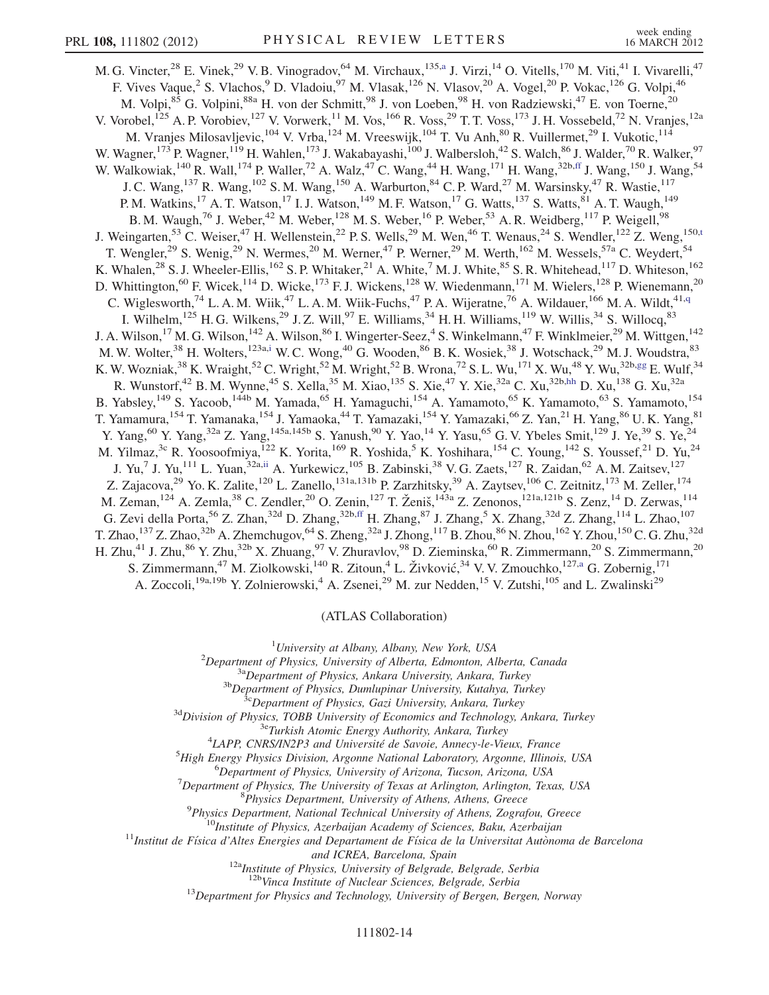<span id="page-13-1"></span>M. G. Vincter,<sup>28</sup> E. Vinek,<sup>29</sup> V. B. Vinogr[a](#page-17-3)dov,<sup>64</sup> M. Virchaux,<sup>135,a</sup> J. Virzi,<sup>14</sup> O. Vitells,<sup>170</sup> M. Viti,<sup>41</sup> I. Vivarelli,<sup>47</sup> F. Vives Vaque,<sup>2</sup> S. Vlachos,<sup>9</sup> D. Vladoiu,<sup>97</sup> M. Vlasak,<sup>126</sup> N. Vlasov,<sup>20</sup> A. Vogel,<sup>20</sup> P. Vokac,<sup>126</sup> G. Volpi,<sup>46</sup> M. Volpi, <sup>85</sup> G. Volpini, <sup>88a</sup> H. von der Schmitt, <sup>98</sup> J. von Loeben, <sup>98</sup> H. von Radziewski, <sup>47</sup> E. von Toerne, <sup>20</sup> V. Vorobel,<sup>125</sup> A. P. Vorobiev,<sup>127</sup> V. Vorwerk,<sup>11</sup> M. Vos,<sup>166</sup> R. Voss,<sup>29</sup> T. T. Voss,<sup>173</sup> J. H. Vossebeld,<sup>72</sup> N. Vranjes,<sup>12a</sup> M. Vranjes Milosavljevic,<sup>104</sup> V. Vrba,<sup>124</sup> M. Vreeswijk,<sup>104</sup> T. Vu Anh,<sup>80</sup> R. Vuillermet,<sup>29</sup> I. Vukotic,<sup>114</sup> W. Wagner,<sup>173</sup> P. Wagner,<sup>119</sup> H. Wahlen,<sup>173</sup> J. Wakabayashi,<sup>100</sup> J. Walbersloh,<sup>42</sup> S. Walch,<sup>86</sup> J. Walder,<sup>70</sup> R. Walker,<sup>97</sup> W. Walkowiak,<sup>140</sup> R. Wall,<sup>174</sup> P. Waller,<sup>72</sup> A. Walz,<sup>47</sup> C. Wang,<sup>44</sup> H. Wang,<sup>171</sup> H. Wang,<sup>32b,[ff](#page-17-31)</sup> J. Wang,<sup>150</sup> J. Wang,<sup>54</sup> J. C. Wang,<sup>137</sup> R. Wang,<sup>102</sup> S. M. Wang,<sup>150</sup> A. Warburton,<sup>84</sup> C. P. Ward,<sup>27</sup> M. Warsinsky,<sup>47</sup> R. Wastie,<sup>117</sup> P. M. Watkins,<sup>17</sup> A. T. Watson,<sup>17</sup> I. J. Watson,<sup>149</sup> M. F. Watson,<sup>17</sup> G. Watts,<sup>137</sup> S. Watts,<sup>81</sup> A. T. Waugh,<sup>149</sup> B. M. Waugh,<sup>76</sup> J. Weber,<sup>42</sup> M. Weber,<sup>128</sup> M. S. Weber,<sup>16</sup> P. Weber,<sup>53</sup> A. R. Weidberg,<sup>117</sup> P. Weigell,<sup>98</sup> J. Weingar[t](#page-17-19)en,<sup>53</sup> C. Weiser,<sup>47</sup> H. Wellenstein,<sup>22</sup> P. S. Wells,<sup>29</sup> M. Wen,<sup>46</sup> T. Wenaus,<sup>24</sup> S. Wendler,<sup>122</sup> Z. Weng,<sup>150,t</sup> T. Wengler,<sup>29</sup> S. Wenig,<sup>29</sup> N. Wermes,<sup>20</sup> M. Werner,<sup>47</sup> P. Werner,<sup>29</sup> M. Werth,<sup>162</sup> M. Wessels,<sup>57a</sup> C. Weydert,<sup>54</sup> K. Whalen,<sup>28</sup> S. J. Wheeler-Ellis,<sup>162</sup> S. P. Whitaker,<sup>21</sup> A. White,<sup>7</sup> M. J. White,<sup>85</sup> S. R. Whitehead,<sup>117</sup> D. Whiteson,<sup>162</sup> D. Whittington,<sup>60</sup> F. Wicek,<sup>114</sup> D. Wicke,<sup>173</sup> F. J. Wickens,<sup>128</sup> W. Wiedenmann,<sup>171</sup> M. Wielers,<sup>128</sup> P. Wienemann,<sup>20</sup> C. Wiglesworth,<sup>74</sup> L. A. M. Wiik,<sup>47</sup> L. A. M. Wiik-Fuchs,<sup>47</sup> P. A. Wijeratne,<sup>76</sup> A. Wildauer,<sup>166</sup> M. A. Wildt,<sup>41[,q](#page-17-15)</sup> I. Wilhelm,<sup>125</sup> H. G. Wilkens,<sup>29</sup> J. Z. Will,<sup>97</sup> E. Williams,<sup>34</sup> H. H. Williams,<sup>119</sup> W. Willis,<sup>34</sup> S. Willocq,<sup>83</sup> J. A. Wilson,<sup>17</sup> M. G. Wilson,<sup>142</sup> A. Wilson,<sup>86</sup> I. Wingerter-Seez,<sup>4</sup> S. Winkelmann,<sup>47</sup> F. Winklmeier,<sup>29</sup> M. Wittgen,<sup>142</sup> M. W. Wolter,<sup>38</sup> H. Wolters,<sup>123a[,i](#page-17-7)</sup> W. C. Wong,<sup>40</sup> G. Wooden,<sup>86</sup> B. K. Wosiek,<sup>38</sup> J. Wotschack,<sup>29</sup> M. J. Woudstra,<sup>83</sup> K. W. Wozniak, $^{38}$  K. Wraight, $^{52}$  C. Wright, $^{52}$  M. Wright, $^{52}$  B. Wrona, $^{72}$  S. L. Wu, $^{171}$  X. Wu, $^{48}$  Y. Wu, $^{32b,gg}$  $^{32b,gg}$  $^{32b,gg}$  E. Wulf, $^{34}$ R. Wunstorf,<sup>42</sup> B. M. Wynne,<sup>45</sup> S. Xella,<sup>35</sup> M. Xiao,<sup>135</sup> S. Xie,<sup>47</sup> Y. Xie,<sup>32a</sup> C. Xu,<sup>32b[,hh](#page-18-0)</sup> D. Xu,<sup>138</sup> G. Xu,<sup>32a</sup> B. Yabsley,<sup>149</sup> S. Yacoob,<sup>144b</sup> M. Yamada,<sup>65</sup> H. Yamaguchi,<sup>154</sup> A. Yamamoto,<sup>65</sup> K. Yamamoto,<sup>63</sup> S. Yamamoto,<sup>154</sup> T. Yamamura,<sup>154</sup> T. Yamanaka,<sup>154</sup> J. Yamaoka,<sup>44</sup> T. Yamazaki,<sup>154</sup> Y. Yamazaki,<sup>66</sup> Z. Yan,<sup>21</sup> H. Yang,<sup>86</sup> U. K. Yang,<sup>81</sup> Y. Yang,<sup>60</sup> Y. Yang,<sup>32a</sup> Z. Yang,<sup>145a,145b</sup> S. Yanush,<sup>90</sup> Y. Yao,<sup>14</sup> Y. Yasu,<sup>65</sup> G. V. Ybeles Smit,<sup>129</sup> J. Ye,<sup>39</sup> S. Ye,<sup>24</sup> M. Yilmaz,<sup>3c</sup> R. Yoosoofmiya,<sup>122</sup> K. Yorita,<sup>169</sup> R. Yoshida,<sup>5</sup> K. Yoshihara,<sup>154</sup> C. Young,<sup>142</sup> S. Youssef,<sup>21</sup> D. Yu,<sup>24</sup> J. Yu,<sup>7</sup> J. Yu,<sup>111</sup> L. Yuan,<sup>32a,[ii](#page-18-1)</sup> A. Yurkewicz,<sup>105</sup> B. Zabinski,<sup>38</sup> V. G. Zaets,<sup>127</sup> R. Zaidan,<sup>62</sup> A. M. Zaitsev,<sup>127</sup> Z. Zajacova,<sup>29</sup> Yo. K. Zalite,<sup>120</sup> L. Zanello,<sup>131a,131b</sup> P. Zarzhitsky,<sup>39</sup> A. Zaytsev,<sup>106</sup> C. Zeitnitz,<sup>173</sup> M. Zeller,<sup>174</sup> M. Zeman, <sup>124</sup> A. Zemla, <sup>38</sup> C. Zendler, <sup>20</sup> O. Zenin, <sup>127</sup> T. Ženiš, <sup>143a</sup> Z. Zenonos, <sup>121a, 121b</sup> S. Zenz, <sup>14</sup> D. Zerwas, <sup>114</sup> G. Zevi della Porta,<sup>56</sup> Z. Zhan,<sup>32d</sup> D. Zhang,<sup>32b[,ff](#page-17-31)</sup> H. Zhang,<sup>87</sup> J. Zhang,<sup>5</sup> X. Zhang,<sup>32d</sup> Z. Zhang,<sup>114</sup> L. Zhao,<sup>107</sup> T. Zhao,<sup>137</sup> Z. Zhao,<sup>32b</sup> A. Zhemchugov,<sup>64</sup> S. Zheng,<sup>32a</sup> J. Zhong,<sup>117</sup> B. Zhou,<sup>86</sup> N. Zhou,<sup>162</sup> Y. Zhou,<sup>150</sup> C. G. Zhu,<sup>32d</sup> H. Zhu,<sup>41</sup> J. Zhu,<sup>86</sup> Y. Zhu,<sup>32b</sup> X. Zhuang,<sup>97</sup> V. Zhuravlov,<sup>98</sup> D. Zieminska,<sup>60</sup> R. Zimmermann,<sup>20</sup> S. Zimmermann,<sup>20</sup> S. Zimmermann,<sup>47</sup> M. Ziolkowski,<sup>140</sup> R. Zitoun,<sup>4</sup> L. Živković,<sup>34</sup> V. V. Zmouchko,<sup>127[,a](#page-17-3)</sup> G. Zobernig,<sup>171</sup> A. Zoccoli,<sup>19a,19b</sup> Y. Zolnierowski,<sup>4</sup> A. Zsenei,<sup>29</sup> M. zur Nedden,<sup>15</sup> V. Zutshi,<sup>105</sup> and L. Zwalinski<sup>29</sup>

(ATLAS Collaboration)

<span id="page-13-3"></span><span id="page-13-2"></span><sup>1</sup>University at Albany, Albany, New York, USA<sup>2</sup> Department of Physics University of Albarta, Edmonton, Al

<span id="page-13-0"></span><sup>2</sup>Department of Physics, University of Alberta, Edmonton, Alberta, Canada<sup>3a</sup>Department of Physics, Ankara University, Ankara, Turkey<sup>3b</sup>Department of Physics, Dumlupinar University, Kutahya, Turkey<sup>36</sup>Department of Phys

<sup>4</sup>LAPP, CNRS/IN2P3 and Université de Savoie, Annecy-le-Vieux, France

<sup>5</sup>High Energy Physics Division, Argonne National Laboratory, Argonne, Illinois, USA

<sup>6</sup>Department of Physics, University of Arizona, Tucson, Arizona, USA

 $\nabla^7$ Department of Physics, The University of Texas at Arlington, Arlington, Texas, USA

<sup>8</sup>Physics Department, University of Athens, Athens, Greece<br><sup>9</sup>Physics Department, National Technical University of Athens, Zografou, Greece

<sup>10</sup>Institute of Physics, Azerbaijan Academy of Sciences, Baku, Azerbaijan<br><sup>11</sup>Institut de Física d'Altes Energies and Departament de Física de la Universitat Autònoma de Barcelona

and ICREA, Barcelona, Spain<br><sup>12a</sup>Institute of Physics, University of Belgrade, Belgrade, Serbia<br><sup>12b</sup>Vinca Institute of Nuclear Sciences, Belgrade, Serbia

 $^{13}$ Department for Physics and Technology, University of Bergen, Bergen, Norway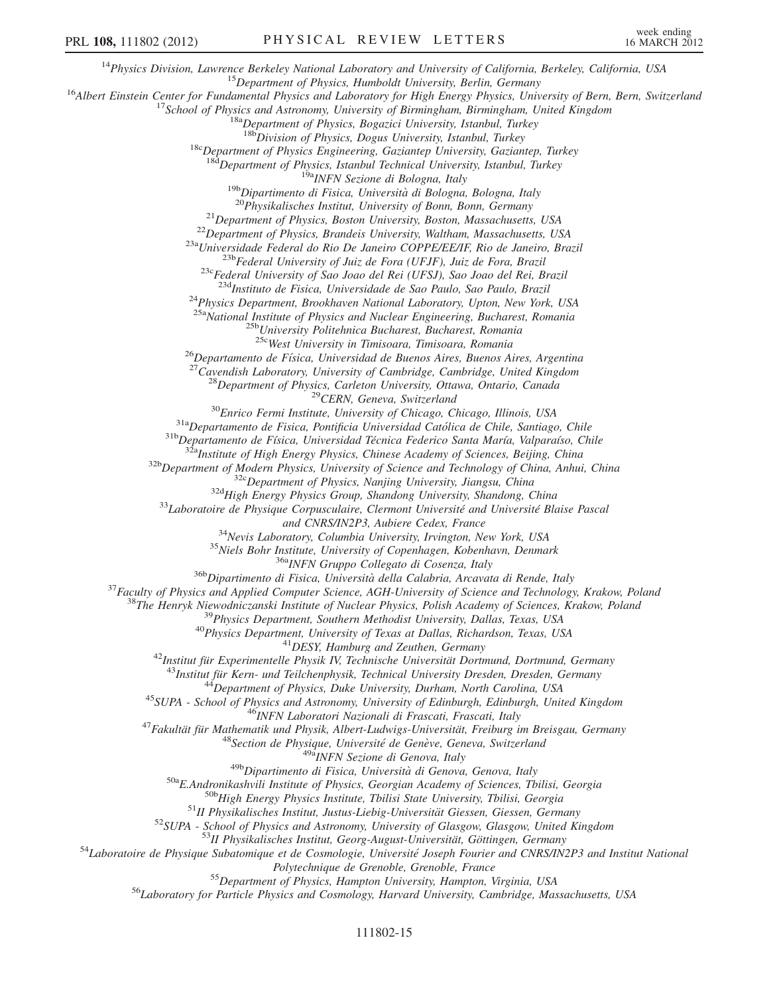<sup>14</sup>Physics Division, Lawrence Berkeley National Laboratory and University of California, Berkeley, California, USA<br><sup>15</sup>Department of Physics, Humboldt University, Berlin, Germany<br><sup>16</sup>Albert Einstein Center for Fundamenta <sup>18c</sup>Department of Physics Engineering, Gaziantep University, Gaziantep, Turkey  $\frac{18d}$ Department of Physics, Istanbul Technical University, Istanbul, Turkey <sup>19b</sup>Dipartimento di Fisica, Università di Bologna, Bologna, Italy<br><sup>19b</sup>Dipartimento di Fisica, Università di Bologna, Bologna, Italy<br><sup>20</sup>Physikalisches Institut, University of Bonn, Bonn, Germany<br><sup>21</sup>Department of Physic <sup>24</sup>Physics Department, Brookhaven National Laboratory, Upton, New York, USA <sup>25a</sup>National Institute of Physics and Nuclear Engineering, Bucharest, Romania<br><sup>25b</sup>University Politehnica Bucharest, Bucharest, Romania<br><sup>25c</sup>West University in Timisoara, Timisoara, Romania <sup>26</sup>Departamento de Física, Universidad de Buenos Aires, Buenos Aires, Argentina<br><sup>27</sup>Cavendish Laboratory, University of Cambridge, Cambridge, United Kingdom<br><sup>28</sup>Department of Physics, Carleton University, Ottawa, Ontario ama CNRSIN2P3, Aubiere Celear, France Den Marine (1987), and NEW Similar Celear (1987), and The Institute (1987) and the methanony Collegion of Copenhagen, Kobenham, Denmark<br>
<sup>35</sup>Neels Bohr Institute of New York, CSA (1990 Polytechnique de Grenoble, Grenoble, France<br><sup>55</sup>Department of Physics, Hampton University, Hampton, Virginia, USA<br><sup>56</sup>Laboratory for Particle Physics and Cosmology, Harvard University, Cambridge, Massachusetts, USA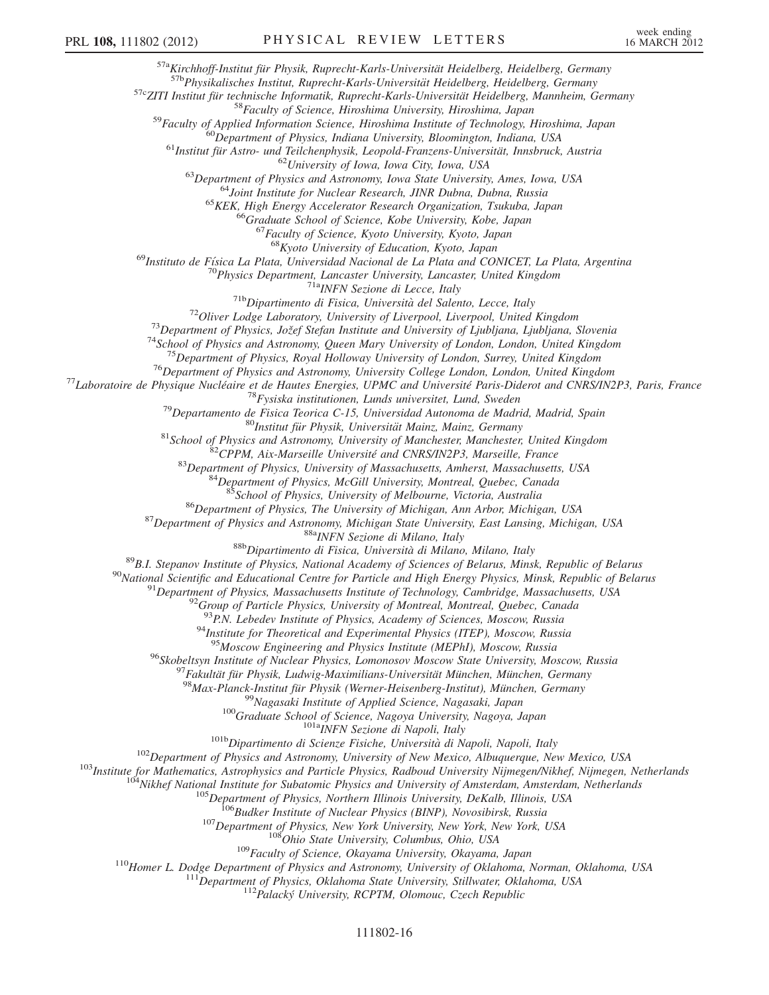$\begin{array}{c} \mathbf{^{57a}Kirchhoff-Institut für Physik, Ruprecht-Karls-Universität Heidelberg, Heidelberg, Germany}\\ \mathbf{^{57b}Physikalisches Institut, Ruprecht-Karls-Universität Heidelberg, Heidelberg, Germany}\\ \mathbf{^{57c}ZITI Institut für technische Informatik, Ruprecht-Karls-Universität Heidelberg, Mannheim, Germany\\ \mathbf{^{58}Faculty of Science, Hiroshima University, Hiroshima, Japan\\ \mathbf{^{69}Papartment of Physics, Indian University, Bloomington, Indian, USA\\ \mathbf{^{61}Institut für Astro- und Teilchenphysik, Leopold-Franzens-Universität, Innsbruck, Austria\\ \mathbf{^{61}Initut für Astro- und Teilchenphysik, Leop$ 

<sup>69</sup>Instituto de Física La Plata, Universidad Nacional de La Plata and CONICET, La Plata, Argentina<br><sup>70</sup>Physics Department, Lancaster University, Lancaster, United Kingdom

<sup>70</sup>Physics Department, Lancaster University, Lancaster, United Kingdom<br>
<sup>71</sup><sup>Physi</sup>Nexione di Lecce, Italy<br>
<sup>71</sup>PhysiNexione di Eisica, Università del Salento, Lecce, Italy<br>
<sup>72</sup>Oliver Lodge Laboratory, University of Liv

<sup>85</sup>School of Physics, University of Melbourne, Victoria, Australia<br><sup>86</sup>Department of Physics, The University of Michigan, Ann Arbor, Michigan, USA<br><sup>87</sup>Department of Physics and Astronomy, Michigan State University, East

<sup>93</sup>P.N. Lebedev Institute of Physics, Academy of Sciences, Moscow, Russia<br><sup>94</sup>Institute for Theoretical and Experimental Physics (ITEP), Moscow, Russia<br><sup>95</sup>Moscow Engineering and Physics Institute (MEPhI), Moscow, Russia

%Robeltsyn Institute of Nuclear Physics, Lomonosov Moscow State University, Moscow, Russia<br>
<sup>97</sup> Fakultú für Physik, Lukwig-Maximilian-5-Universität München, Germany<br>
<sup>98</sup> Nax-Planck-Institut für Physik (Werner-Heisenberg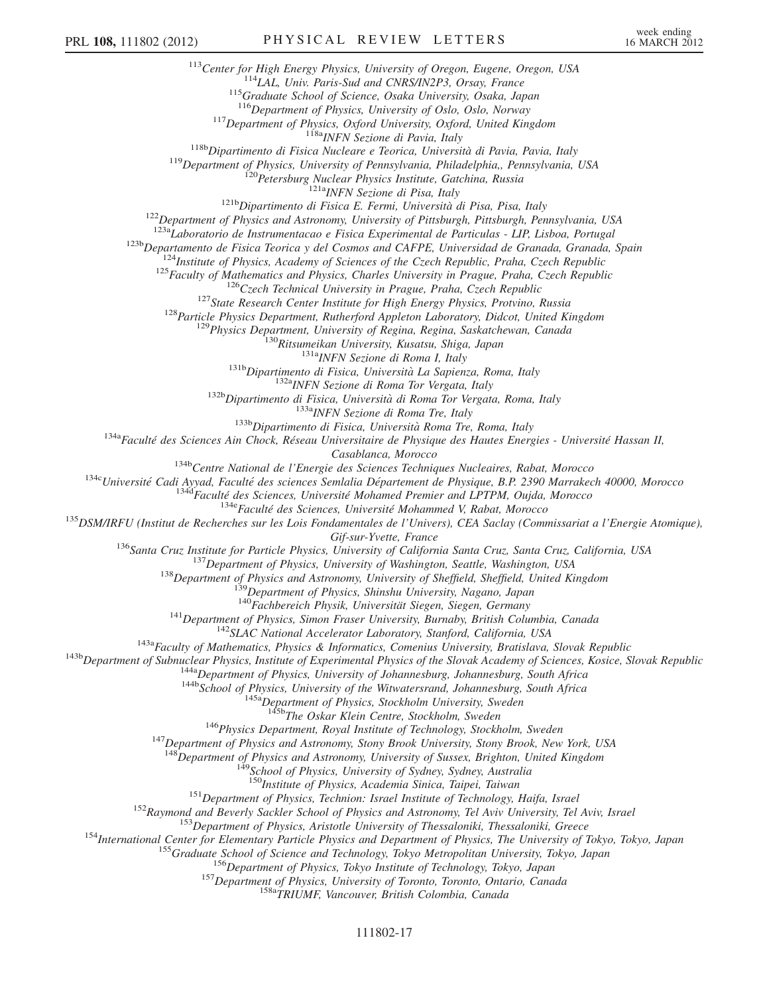<sup>113</sup>Center for High Energy Physics, University of Oregon, Eugene, Oregon, USA<br><sup>114</sup>LAL, Univ. Paris-Sud and CNRS/IN2P3, Orsay, France<br><sup>115</sup>Graduate School of Science, Osaka University, Osaka, Japan<br><sup>116</sup>Department of Phy <sup>117</sup>Department of Physics, Oxford University, Oxford, United Kingdom<br><sup>118b</sup>Dipartimento di Fisica Nucleare e Teorica, Università di Pavia, Pavia, Italy<br><sup>119</sup>Department of Physics, University of Pennsylvania, Philadelphia <sup>123a</sup>r *Laboratorio de Instrumentacao e Fisica Experimental de Particulas - LIP, Lisboa, Portugal*<br>
<sup>123</sup>n *Departamento de Fisica Teorica y del Cosmos and CAFPE, Universidad de Granada, Granada, Spain<br>
<sup>124</sup>Institute of* Casablanca, Morocco<br><sup>134</sup><sup>134</sup>Centre National de l'Energie des Sciences Techniques Nucleaires, Rabat, Morocco<br><sup>134</sup>Chiversité Cadi Ayyad, Faculté des sciences Semlalia Département de Physique, B.P. 2390 Marrakech 40000, Mo Gif-sur-Yvette, France<br>
<sup>136</sup>Santa Cruz, Institute for Particle Physics, University of California Santa Cruz, Santa Cruz, California, USA<br>
<sup>137</sup>Department of Physics, University of Vakington, Seattle, Washington, USA<br>
<sup>138</sup> <sup>145b</sup>The Oskar Klein Centre, Stockholm, Sweden<br><sup>146</sup>Physics Department, Royal Institute of Technology, Stockholm, Sweden<br><sup>147</sup>Department of Physics and Astronomy, Stony Brook University, Stony Brook, New York, USA 148Department of Physics and Astronomy, University of Sussex, Brighton, United Kingdom  $148$ School of Physics, University of Sydney, Sydney, Australia<br>150 Institute of Physics, Academia Sinica, Taipei, Taiwan <sup>151</sup>Department of Physics, Technion: Israel Institute of Technology, Haifa, Israel<br><sup>152</sup>Raymond and Beverly Sackler School of Physics and Astronomy, Tel Aviv University, Tel Aviv, Israel<br><sup>153</sup>Department of Physics, Aristo

## 111802-17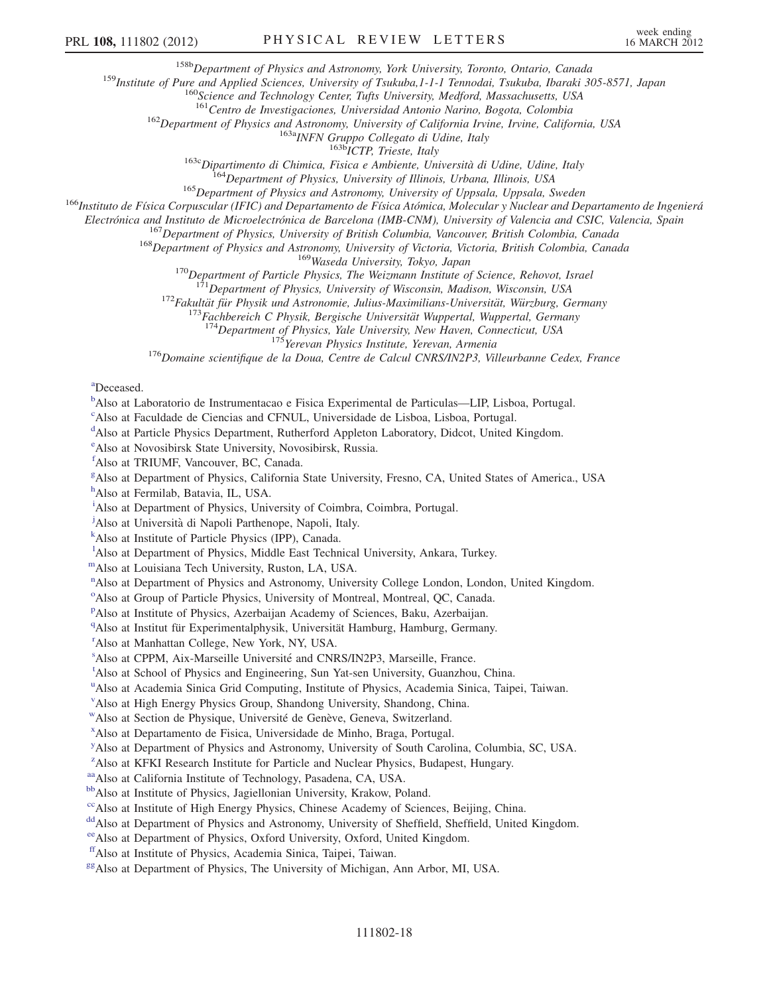<sup>158b</sup>Department of Physics and Astronomy, York University, Toronto, Ontario, Canada<br><sup>159</sup>Institute of Pure and Applied Sciences, University of Tsukuba, 1-1-1 Tennodai, Tsukuba, Ibaraki 305-8571, Japan<br><sup>160</sup>Science and Te

<sup>162</sup>Department of Physics and Astronomy, University of California Irvine, Irvine, California, USA<br><sup>163a</sup>INFN Gruppo Collegato di Udine, Italy<br><sup>163b</sup>ICTP, Trieste, Italy<br><sup>163</sup>Dipartimento di Chimica, Fisica e Ambiente, Un

<sup>167</sup>Department of Physics, University of British Columbia, Vancouver, British Colombia, Canada<br><sup>168</sup>Department of Physics and Astronomy, University of Victoria, Victoria, British Colombia, Canada<br><sup>169</sup>Waseda University,

<sup>172</sup>Fakultät für Physik und Astronomie, Julius-Maximilians-Universität, Würzburg, Germany<br><sup>173</sup>Fachbereich C Physik, Bergische Universität Wuppertal, Wuppertal, Germany<br><sup>174</sup>Department of Physics, Yale University, New Ha

<span id="page-17-3"></span>[a](#page-5-8) Deceased.

<span id="page-17-0"></span><sup>[b](#page-5-9)</sup>Also at Laboratorio de Instrumentacao e Fisica Experimental de Particulas—LIP, Lisboa, Portugal.

<span id="page-17-1"></span>[c](#page-5-10) Also at Faculdade de Ciencias and CFNUL, Universidade de Lisboa, Lisboa, Portugal.

<span id="page-17-2"></span><sup>[d](#page-5-11)</sup>Also at Particle Physics Department, Rutherford Appleton Laboratory, Didcot, United Kingdom.

<span id="page-17-28"></span>[e](#page-12-0) Also at Novosibirsk State University, Novosibirsk, Russia.

<span id="page-17-4"></span>[f](#page-5-12) Also at TRIUMF, Vancouver, BC, Canada.

<span id="page-17-5"></span><sup>[g](#page-5-13)</sup>Also at Department of Physics, California State University, Fresno, CA, United States of America., USA

<span id="page-17-6"></span>[h](#page-6-0) Also at Fermilab, Batavia, IL, USA.

<span id="page-17-7"></span><sup>[i](#page-6-1)</sup>Also at Department of Physics, University of Coimbra, Coimbra, Portugal.

<span id="page-17-8"></span><sup>[j](#page-6-2)</sup>Also at Università di Napoli Parthenope, Napoli, Italy.

<span id="page-17-9"></span>[k](#page-6-3) Also at Institute of Particle Physics (IPP), Canada.

<span id="page-17-10"></span><sup>1</sup>A[l](#page-7-0)so at Department of Physics, Middle East Technical University, Ankara, Turkey.

<span id="page-17-12"></span><span id="page-17-11"></span>[mA](#page-7-1)lso at Louisiana Tech University, Ruston, LA, USA.

<sup>[n](#page-7-2)</sup>Also at Department of Physics and Astronomy, University College London, London, United Kingdom.

<span id="page-17-13"></span><sup>[o](#page-8-0)</sup>Also at Group of Particle Physics, University of Montreal, Montreal, QC, Canada.

<span id="page-17-14"></span><su[p](#page-8-1)>p</sup>Also at Institute of Physics, Azerbaijan Academy of Sciences, Baku, Azerbaijan.

<span id="page-17-15"></span><sup>[q](#page-9-0)</sup>Also at Institut für Experimentalphysik, Universität Hamburg, Hamburg, Germany.

<span id="page-17-16"></span>[r](#page-9-0) Also at Manhattan College, New York, NY, USA.

<span id="page-17-19"></span><span id="page-17-18"></span><[s](#page-9-1)up>s</sup>Also at CPPM, Aix-Marseille Université and CNRS/IN2P3, Marseille, France.

<sup>[t](#page-9-1)</sup>Also at School of Physics and Engineering, Sun Yat-sen University, Guanzhou, China.

<span id="page-17-20"></span><s[u](#page-9-2)p>u</sup>Also at Academia Sinica Grid Computing, Institute of Physics, Academia Sinica, Taipei, Taiwan.

<span id="page-17-17"></span>[v](#page-9-1) Also at High Energy Physics Group, Shandong University, Shandong, China.

<span id="page-17-21"></span><sup>w</sup>Also at Section de Physique, Université de Genève, Geneva, Switzerland.

<span id="page-17-22"></span>[x](#page-10-1) Also at Departamento de Fisica, Universidade de Minho, Braga, Portugal.

<span id="page-17-23"></span><sup>[y](#page-10-2)</sup>Also at Department of Physics and Astronomy, University of South Carolina, Columbia, SC, USA.

<span id="page-17-24"></span><sup>[z](#page-10-3)</sup>Also at KFKI Research Institute for Particle and Nuclear Physics, Budapest, Hungary.

<span id="page-17-25"></span>[aaA](#page-10-4)lso at California Institute of Technology, Pasadena, CA, USA.

<span id="page-17-26"></span>bb<sub>Also at Institute of Physics, Jagiellonian University, Krakow, Poland.</sub>

<span id="page-17-27"></span><sup>cc</sup>Also at Institute of High Energy Physics, Chinese Academy of Sciences, Beijing, China.

<span id="page-17-29"></span>dd Also at Department of Physics and Astronomy, University of Sheffield, Sheffield, United Kingdom.

<span id="page-17-30"></span>[eeA](#page-12-2)lso at Department of Physics, Oxford University, Oxford, United Kingdom.

<span id="page-17-31"></span>[ffA](#page-13-0)lso at Institute of Physics, Academia Sinica, Taipei, Taiwan.

<span id="page-17-32"></span><sup>gg</sup>Also at Department of Physics, The University of Michigan, Ann Arbor, MI, USA.